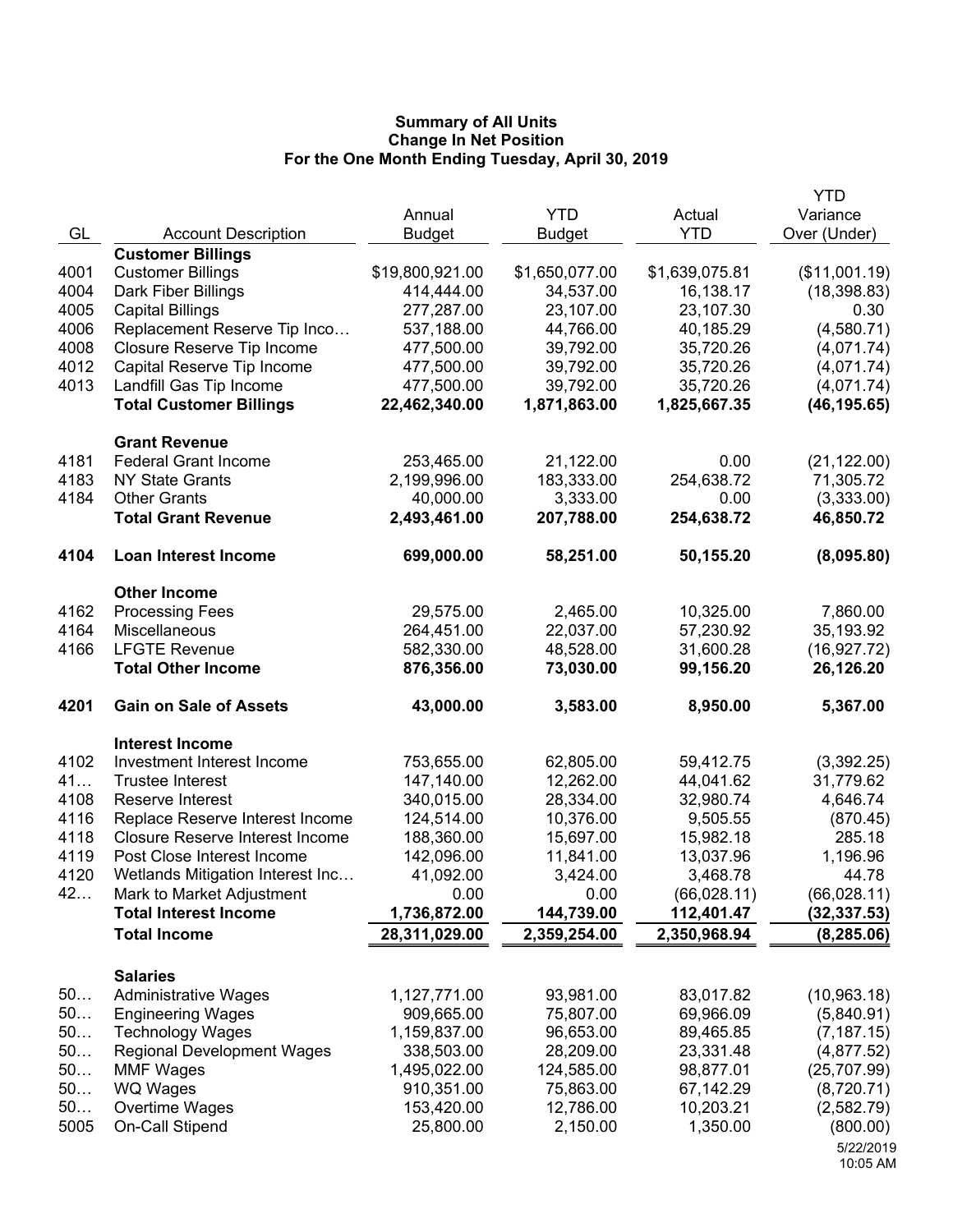|      |                                                         |                 |                |                | <b>YTD</b>                |
|------|---------------------------------------------------------|-----------------|----------------|----------------|---------------------------|
|      |                                                         | Annual          | <b>YTD</b>     | Actual         | Variance                  |
| GL   | <b>Account Description</b>                              | <b>Budget</b>   | <b>Budget</b>  | <b>YTD</b>     | Over (Under)              |
|      | <b>Customer Billings</b>                                |                 |                |                |                           |
| 4001 | <b>Customer Billings</b>                                | \$19,800,921.00 | \$1,650,077.00 | \$1,639,075.81 | (\$11,001.19)             |
| 4004 | Dark Fiber Billings                                     | 414,444.00      | 34,537.00      | 16,138.17      | (18, 398.83)              |
| 4005 | <b>Capital Billings</b>                                 | 277,287.00      | 23,107.00      | 23,107.30      | 0.30                      |
| 4006 | Replacement Reserve Tip Inco                            | 537,188.00      | 44,766.00      | 40,185.29      | (4,580.71)                |
| 4008 | Closure Reserve Tip Income                              | 477,500.00      | 39,792.00      | 35,720.26      | (4,071.74)                |
| 4012 | Capital Reserve Tip Income                              | 477,500.00      | 39,792.00      | 35,720.26      | (4,071.74)                |
| 4013 | Landfill Gas Tip Income                                 | 477,500.00      | 39,792.00      | 35,720.26      | (4,071.74)                |
|      | <b>Total Customer Billings</b>                          | 22,462,340.00   | 1,871,863.00   | 1,825,667.35   | (46, 195.65)              |
|      | <b>Grant Revenue</b>                                    |                 |                |                |                           |
| 4181 | <b>Federal Grant Income</b>                             | 253,465.00      | 21,122.00      | 0.00           | (21, 122.00)              |
| 4183 | <b>NY State Grants</b>                                  | 2,199,996.00    | 183,333.00     | 254,638.72     | 71,305.72                 |
| 4184 | <b>Other Grants</b>                                     | 40,000.00       | 3,333.00       | 0.00           | (3,333.00)                |
|      | <b>Total Grant Revenue</b>                              | 2,493,461.00    | 207,788.00     | 254,638.72     | 46,850.72                 |
|      |                                                         |                 |                |                |                           |
| 4104 | <b>Loan Interest Income</b>                             | 699,000.00      | 58,251.00      | 50,155.20      | (8,095.80)                |
|      | <b>Other Income</b>                                     |                 |                |                |                           |
| 4162 | <b>Processing Fees</b>                                  | 29,575.00       | 2,465.00       | 10,325.00      | 7,860.00                  |
| 4164 | Miscellaneous                                           | 264,451.00      | 22,037.00      | 57,230.92      | 35,193.92                 |
| 4166 | <b>LFGTE Revenue</b>                                    | 582,330.00      | 48,528.00      | 31,600.28      | (16, 927.72)              |
|      | <b>Total Other Income</b>                               | 876,356.00      | 73,030.00      | 99,156.20      | 26,126.20                 |
| 4201 | <b>Gain on Sale of Assets</b>                           | 43,000.00       | 3,583.00       | 8,950.00       | 5,367.00                  |
|      |                                                         |                 |                |                |                           |
|      | <b>Interest Income</b>                                  |                 |                |                |                           |
| 4102 | Investment Interest Income                              | 753,655.00      | 62,805.00      | 59,412.75      | (3,392.25)                |
| 41   | <b>Trustee Interest</b>                                 | 147,140.00      | 12,262.00      | 44,041.62      | 31,779.62                 |
| 4108 | Reserve Interest                                        | 340,015.00      | 28,334.00      | 32,980.74      | 4,646.74                  |
| 4116 | Replace Reserve Interest Income                         | 124,514.00      | 10,376.00      | 9,505.55       | (870.45)                  |
| 4118 | <b>Closure Reserve Interest Income</b>                  | 188,360.00      | 15,697.00      | 15,982.18      | 285.18                    |
| 4119 | Post Close Interest Income                              | 142,096.00      | 11,841.00      | 13,037.96      | 1,196.96                  |
| 4120 | Wetlands Mitigation Interest Inc                        | 41,092.00       | 3,424.00       | 3,468.78       | 44.78                     |
| 42   | Mark to Market Adjustment                               | 0.00            | 0.00           | (66,028.11)    | (66, 028.11)              |
|      | <b>Total Interest Income</b>                            | 1,736,872.00    | 144,739.00     | 112,401.47     | (32, 337.53)              |
|      | <b>Total Income</b>                                     | 28,311,029.00   | 2,359,254.00   | 2,350,968.94   | (8, 285.06)               |
|      | <b>Salaries</b>                                         |                 |                |                |                           |
| 50   |                                                         | 1,127,771.00    | 93,981.00      | 83,017.82      |                           |
| 50   | <b>Administrative Wages</b><br><b>Engineering Wages</b> | 909,665.00      | 75,807.00      | 69,966.09      | (10,963.18)<br>(5,840.91) |
| 50   | <b>Technology Wages</b>                                 | 1,159,837.00    | 96,653.00      | 89,465.85      |                           |
| 50   | <b>Regional Development Wages</b>                       | 338,503.00      | 28,209.00      | 23,331.48      | (7, 187.15)<br>(4,877.52) |
| 50   | <b>MMF Wages</b>                                        | 1,495,022.00    | 124,585.00     | 98,877.01      | (25,707.99)               |
| 50   | <b>WQ Wages</b>                                         | 910,351.00      | 75,863.00      | 67,142.29      | (8,720.71)                |
| 50   | Overtime Wages                                          | 153,420.00      | 12,786.00      | 10,203.21      | (2,582.79)                |
| 5005 | On-Call Stipend                                         | 25,800.00       | 2,150.00       | 1,350.00       | (800.00)                  |
|      |                                                         |                 |                |                | 5/22/2019                 |
|      |                                                         |                 |                |                | 10:05 AM                  |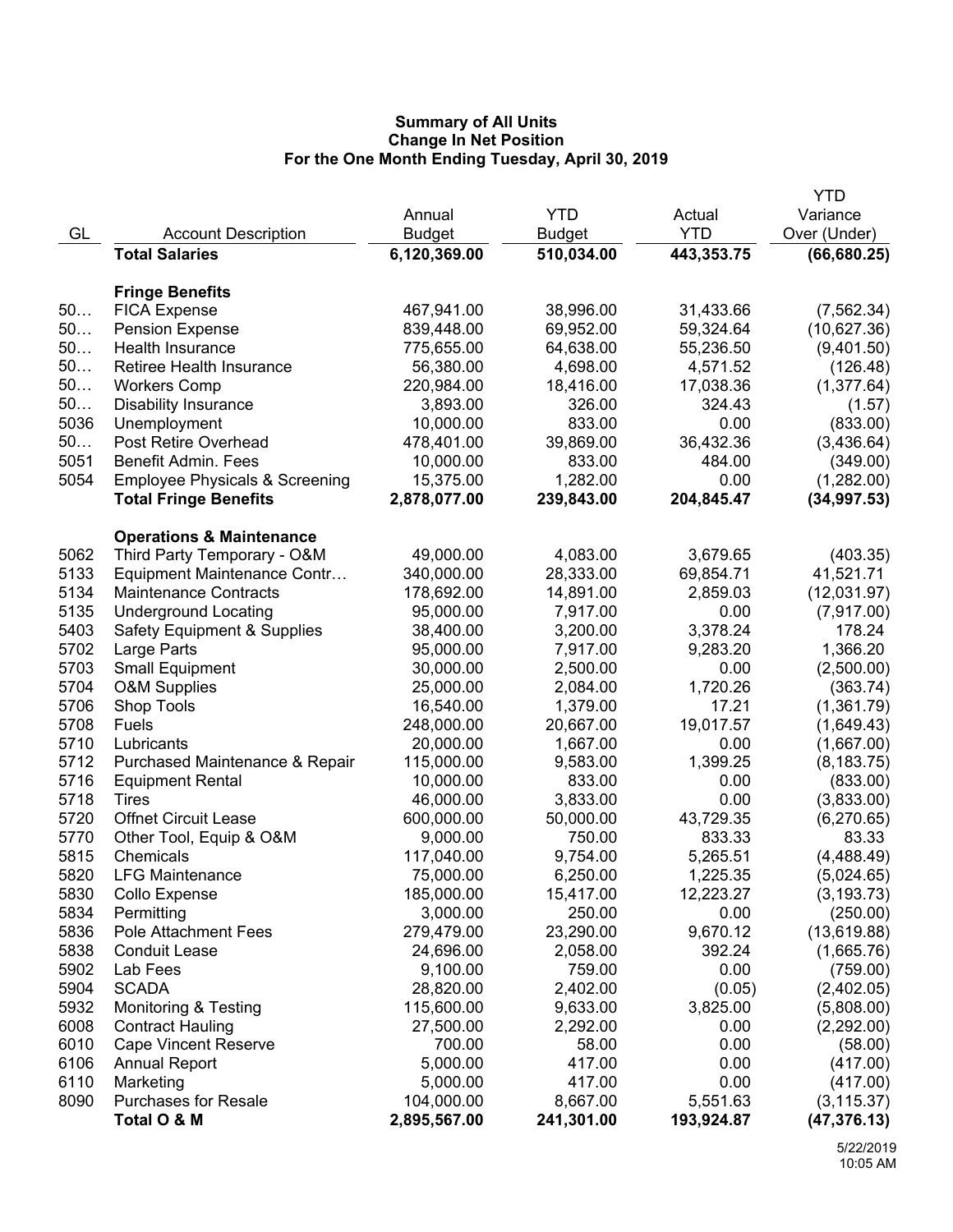|      |                                           |               |               |            | YTD          |
|------|-------------------------------------------|---------------|---------------|------------|--------------|
|      |                                           | Annual        | <b>YTD</b>    | Actual     | Variance     |
| GL   | <b>Account Description</b>                | <b>Budget</b> | <b>Budget</b> | <b>YTD</b> | Over (Under) |
|      | <b>Total Salaries</b>                     | 6,120,369.00  | 510,034.00    | 443,353.75 | (66, 680.25) |
|      |                                           |               |               |            |              |
|      | <b>Fringe Benefits</b>                    |               |               |            |              |
| 50   | <b>FICA Expense</b>                       | 467,941.00    | 38,996.00     | 31,433.66  | (7, 562.34)  |
| 50   | <b>Pension Expense</b>                    | 839,448.00    | 69,952.00     | 59,324.64  | (10,627.36)  |
| 50   | Health Insurance                          | 775,655.00    | 64,638.00     | 55,236.50  | (9,401.50)   |
| 50   | Retiree Health Insurance                  | 56,380.00     | 4,698.00      | 4,571.52   | (126.48)     |
| 50   | <b>Workers Comp</b>                       | 220,984.00    | 18,416.00     | 17,038.36  | (1,377.64)   |
| 50   | <b>Disability Insurance</b>               | 3,893.00      | 326.00        | 324.43     | (1.57)       |
| 5036 | Unemployment                              | 10,000.00     | 833.00        | 0.00       | (833.00)     |
| 50   | Post Retire Overhead                      | 478,401.00    | 39,869.00     | 36,432.36  | (3,436.64)   |
| 5051 | <b>Benefit Admin. Fees</b>                | 10,000.00     | 833.00        | 484.00     | (349.00)     |
| 5054 | <b>Employee Physicals &amp; Screening</b> | 15,375.00     | 1,282.00      | 0.00       | (1,282.00)   |
|      | <b>Total Fringe Benefits</b>              | 2,878,077.00  | 239,843.00    | 204,845.47 | (34, 997.53) |
|      | <b>Operations &amp; Maintenance</b>       |               |               |            |              |
| 5062 | Third Party Temporary - O&M               | 49,000.00     | 4,083.00      | 3,679.65   | (403.35)     |
| 5133 | Equipment Maintenance Contr               | 340,000.00    | 28,333.00     | 69,854.71  | 41,521.71    |
| 5134 | <b>Maintenance Contracts</b>              | 178,692.00    | 14,891.00     | 2,859.03   | (12,031.97)  |
| 5135 | <b>Underground Locating</b>               | 95,000.00     | 7,917.00      | 0.00       | (7,917.00)   |
| 5403 | <b>Safety Equipment &amp; Supplies</b>    | 38,400.00     | 3,200.00      | 3,378.24   | 178.24       |
| 5702 | Large Parts                               | 95,000.00     | 7,917.00      | 9,283.20   | 1,366.20     |
| 5703 | <b>Small Equipment</b>                    | 30,000.00     | 2,500.00      | 0.00       | (2,500.00)   |
| 5704 | <b>O&amp;M Supplies</b>                   | 25,000.00     | 2,084.00      | 1,720.26   | (363.74)     |
| 5706 | Shop Tools                                | 16,540.00     | 1,379.00      | 17.21      | (1,361.79)   |
| 5708 | Fuels                                     | 248,000.00    | 20,667.00     | 19,017.57  | (1,649.43)   |
| 5710 | Lubricants                                | 20,000.00     | 1,667.00      | 0.00       | (1,667.00)   |
| 5712 | Purchased Maintenance & Repair            | 115,000.00    | 9,583.00      | 1,399.25   | (8, 183.75)  |
| 5716 | <b>Equipment Rental</b>                   | 10,000.00     | 833.00        | 0.00       | (833.00)     |
| 5718 | Tires                                     | 46,000.00     | 3,833.00      | 0.00       | (3,833.00)   |
| 5720 | <b>Offnet Circuit Lease</b>               | 600,000.00    | 50,000.00     | 43,729.35  | (6,270.65)   |
| 5770 | Other Tool, Equip & O&M                   | 9,000.00      | 750.00        | 833.33     | 83.33        |
| 5815 | Chemicals                                 | 117,040.00    | 9,754.00      | 5,265.51   | (4,488.49)   |
| 5820 | <b>LFG Maintenance</b>                    | 75,000.00     | 6,250.00      | 1,225.35   | (5,024.65)   |
| 5830 | Collo Expense                             | 185,000.00    | 15,417.00     | 12,223.27  | (3, 193.73)  |
| 5834 | Permitting                                | 3,000.00      | 250.00        | 0.00       | (250.00)     |
| 5836 | <b>Pole Attachment Fees</b>               | 279,479.00    | 23,290.00     | 9,670.12   | (13,619.88)  |
| 5838 | <b>Conduit Lease</b>                      | 24,696.00     | 2,058.00      | 392.24     | (1,665.76)   |
| 5902 | Lab Fees                                  | 9,100.00      | 759.00        | 0.00       | (759.00)     |
| 5904 | <b>SCADA</b>                              | 28,820.00     | 2,402.00      | (0.05)     | (2,402.05)   |
| 5932 | <b>Monitoring &amp; Testing</b>           | 115,600.00    | 9,633.00      | 3,825.00   | (5,808.00)   |
| 6008 | <b>Contract Hauling</b>                   | 27,500.00     | 2,292.00      | 0.00       | (2,292.00)   |
| 6010 | <b>Cape Vincent Reserve</b>               | 700.00        | 58.00         | 0.00       | (58.00)      |
| 6106 | <b>Annual Report</b>                      | 5,000.00      | 417.00        | 0.00       | (417.00)     |
| 6110 | Marketing                                 | 5,000.00      | 417.00        | 0.00       | (417.00)     |
| 8090 | <b>Purchases for Resale</b>               | 104,000.00    | 8,667.00      | 5,551.63   | (3, 115.37)  |
|      | Total O & M                               | 2,895,567.00  | 241,301.00    | 193,924.87 | (47, 376.13) |
|      |                                           |               |               |            |              |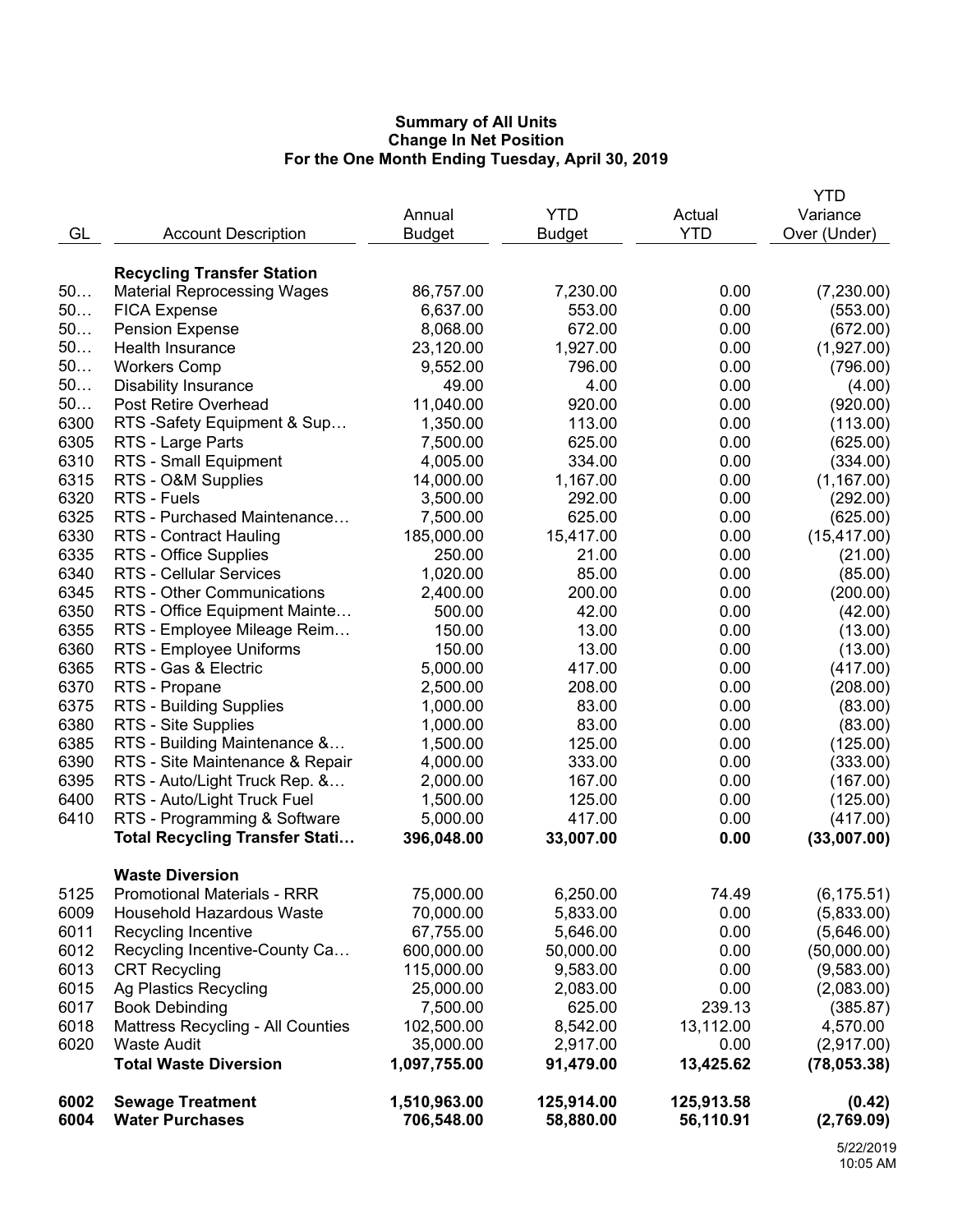|              |                                             |                      |                  |              | YTD                  |
|--------------|---------------------------------------------|----------------------|------------------|--------------|----------------------|
|              |                                             | Annual               | <b>YTD</b>       | Actual       | Variance             |
| GL           | <b>Account Description</b>                  | <b>Budget</b>        | <b>Budget</b>    | <b>YTD</b>   | Over (Under)         |
|              |                                             |                      |                  |              |                      |
|              | <b>Recycling Transfer Station</b>           |                      |                  |              |                      |
| 50           | <b>Material Reprocessing Wages</b>          | 86,757.00            | 7,230.00         | 0.00         | (7,230.00)           |
| 50           | <b>FICA Expense</b>                         | 6,637.00             | 553.00           | 0.00         | (553.00)             |
| 50           | <b>Pension Expense</b>                      | 8,068.00             | 672.00           | 0.00         | (672.00)             |
| 50           | Health Insurance                            | 23,120.00            | 1,927.00         | 0.00         | (1,927.00)           |
| 50           | <b>Workers Comp</b>                         | 9,552.00             | 796.00           | 0.00         | (796.00)             |
| 50           | <b>Disability Insurance</b>                 | 49.00                | 4.00             | 0.00         | (4.00)               |
| 50           | <b>Post Retire Overhead</b>                 | 11,040.00            | 920.00           | 0.00         | (920.00)             |
| 6300         | RTS -Safety Equipment & Sup                 | 1,350.00             | 113.00           | 0.00         | (113.00)             |
| 6305<br>6310 | RTS - Large Parts                           | 7,500.00<br>4,005.00 | 625.00<br>334.00 | 0.00<br>0.00 | (625.00)<br>(334.00) |
| 6315         | RTS - Small Equipment<br>RTS - O&M Supplies | 14,000.00            | 1,167.00         | 0.00         | (1, 167.00)          |
| 6320         | RTS - Fuels                                 | 3,500.00             | 292.00           | 0.00         | (292.00)             |
| 6325         | RTS - Purchased Maintenance                 | 7,500.00             | 625.00           | 0.00         | (625.00)             |
| 6330         | <b>RTS - Contract Hauling</b>               | 185,000.00           | 15,417.00        | 0.00         | (15, 417.00)         |
| 6335         | RTS - Office Supplies                       | 250.00               | 21.00            | 0.00         | (21.00)              |
| 6340         | <b>RTS - Cellular Services</b>              | 1,020.00             | 85.00            | 0.00         | (85.00)              |
| 6345         | RTS - Other Communications                  | 2,400.00             | 200.00           | 0.00         | (200.00)             |
| 6350         | RTS - Office Equipment Mainte               | 500.00               | 42.00            | 0.00         | (42.00)              |
| 6355         | RTS - Employee Mileage Reim                 | 150.00               | 13.00            | 0.00         | (13.00)              |
| 6360         | RTS - Employee Uniforms                     | 150.00               | 13.00            | 0.00         | (13.00)              |
| 6365         | RTS - Gas & Electric                        | 5,000.00             | 417.00           | 0.00         | (417.00)             |
| 6370         | RTS - Propane                               | 2,500.00             | 208.00           | 0.00         | (208.00)             |
| 6375         | RTS - Building Supplies                     | 1,000.00             | 83.00            | 0.00         | (83.00)              |
| 6380         | RTS - Site Supplies                         | 1,000.00             | 83.00            | 0.00         | (83.00)              |
| 6385         | RTS - Building Maintenance &                | 1,500.00             | 125.00           | 0.00         | (125.00)             |
| 6390         | RTS - Site Maintenance & Repair             | 4,000.00             | 333.00           | 0.00         | (333.00)             |
| 6395         | RTS - Auto/Light Truck Rep. &               | 2,000.00             | 167.00           | 0.00         | (167.00)             |
| 6400         | RTS - Auto/Light Truck Fuel                 | 1,500.00             | 125.00           | 0.00         | (125.00)             |
| 6410         | RTS - Programming & Software                | 5,000.00             | 417.00           | 0.00         | (417.00)             |
|              | <b>Total Recycling Transfer Stati</b>       | 396,048.00           | 33,007.00        | 0.00         | (33,007.00)          |
|              |                                             |                      |                  |              |                      |
|              | <b>Waste Diversion</b>                      |                      |                  |              |                      |
| 5125         | <b>Promotional Materials - RRR</b>          | 75,000.00            | 6,250.00         | 74.49        | (6, 175.51)          |
| 6009         | Household Hazardous Waste                   | 70,000.00            | 5,833.00         | 0.00         | (5,833.00)           |
| 6011         | Recycling Incentive                         | 67,755.00            | 5,646.00         | 0.00         | (5,646.00)           |
| 6012         | Recycling Incentive-County Ca               | 600,000.00           | 50,000.00        | 0.00         | (50,000.00)          |
| 6013         | <b>CRT Recycling</b>                        | 115,000.00           | 9,583.00         | 0.00         | (9,583.00)           |
| 6015         | Ag Plastics Recycling                       | 25,000.00            | 2,083.00         | 0.00         | (2,083.00)           |
| 6017         | <b>Book Debinding</b>                       | 7,500.00             | 625.00           | 239.13       | (385.87)             |
| 6018         | <b>Mattress Recycling - All Counties</b>    | 102,500.00           | 8,542.00         | 13,112.00    | 4,570.00             |
| 6020         | <b>Waste Audit</b>                          | 35,000.00            | 2,917.00         | 0.00         | (2,917.00)           |
|              | <b>Total Waste Diversion</b>                | 1,097,755.00         | 91,479.00        | 13,425.62    | (78,053.38)          |
| 6002         | <b>Sewage Treatment</b>                     | 1,510,963.00         | 125,914.00       | 125,913.58   | (0.42)               |
| 6004         | <b>Water Purchases</b>                      | 706,548.00           | 58,880.00        | 56,110.91    | (2,769.09)           |
|              |                                             |                      |                  |              |                      |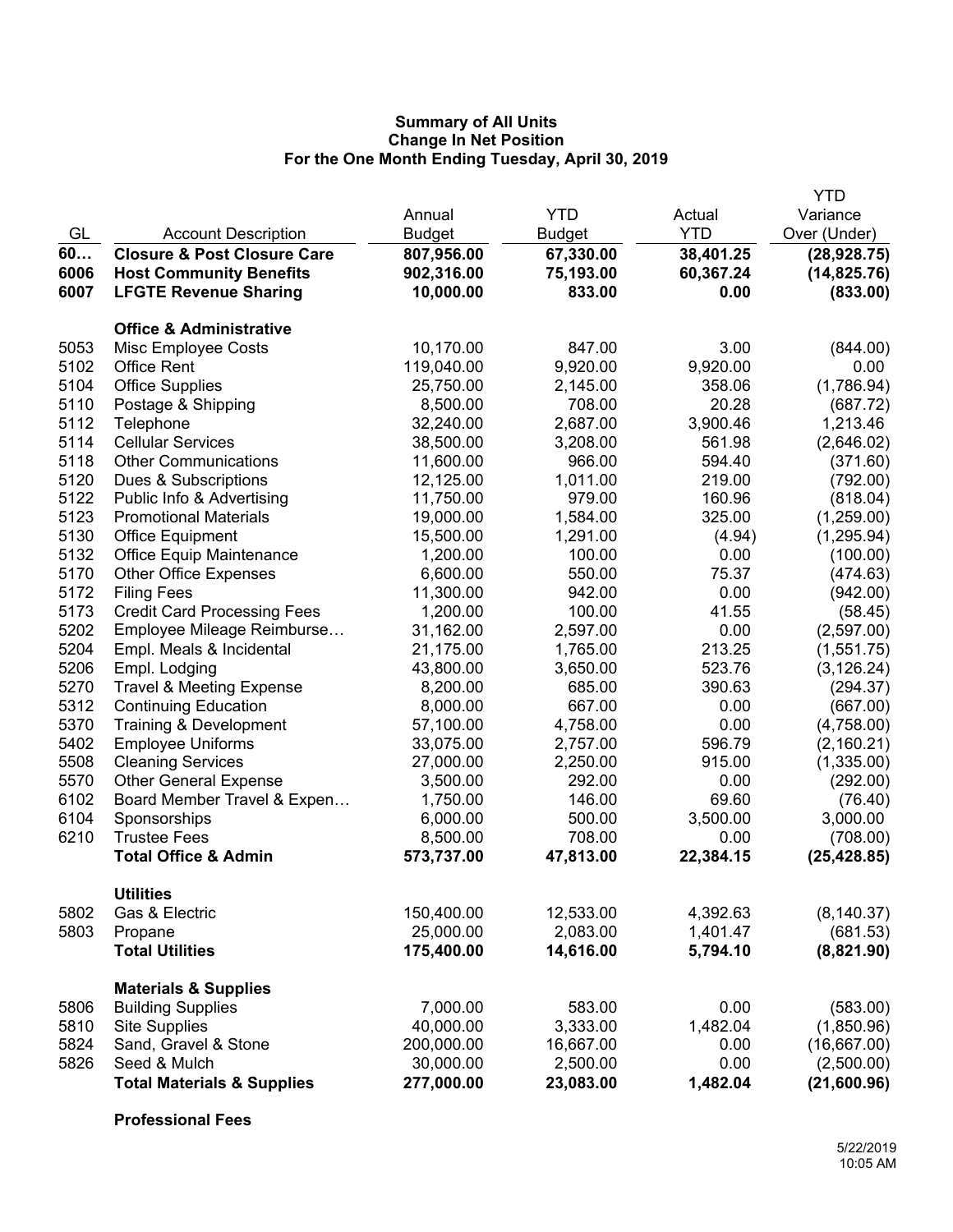|              |                                        |                         |                       |              | <b>YTD</b>   |
|--------------|----------------------------------------|-------------------------|-----------------------|--------------|--------------|
|              |                                        | Annual                  | <b>YTD</b>            | Actual       | Variance     |
| GL           | <b>Account Description</b>             | Budget                  | Budget                | <b>YTD</b>   | Over (Under) |
| 60           | <b>Closure &amp; Post Closure Care</b> | 807,956.00              | 67,330.00             | 38,401.25    | (28, 928.75) |
| 6006         | <b>Host Community Benefits</b>         | 902,316.00              | 75,193.00             | 60,367.24    | (14, 825.76) |
| 6007         | <b>LFGTE Revenue Sharing</b>           | 10,000.00               | 833.00                | 0.00         | (833.00)     |
|              | <b>Office &amp; Administrative</b>     |                         |                       |              |              |
| 5053         | Misc Employee Costs                    | 10,170.00               | 847.00                | 3.00         | (844.00)     |
| 5102         | <b>Office Rent</b>                     | 119,040.00              | 9,920.00              | 9,920.00     | 0.00         |
| 5104         | <b>Office Supplies</b>                 | 25,750.00               | 2,145.00              | 358.06       | (1,786.94)   |
| 5110         | Postage & Shipping                     | 8,500.00                | 708.00                | 20.28        | (687.72)     |
| 5112         | Telephone                              | 32,240.00               | 2,687.00              | 3,900.46     | 1,213.46     |
| 5114         | <b>Cellular Services</b>               | 38,500.00               | 3,208.00              | 561.98       | (2,646.02)   |
| 5118         | <b>Other Communications</b>            | 11,600.00               | 966.00                | 594.40       | (371.60)     |
| 5120         | Dues & Subscriptions                   | 12,125.00               | 1,011.00              | 219.00       | (792.00)     |
| 5122         | Public Info & Advertising              | 11,750.00               | 979.00                | 160.96       | (818.04)     |
| 5123         | <b>Promotional Materials</b>           | 19,000.00               | 1,584.00              | 325.00       | (1,259.00)   |
| 5130         | <b>Office Equipment</b>                | 15,500.00               | 1,291.00              | (4.94)       | (1,295.94)   |
| 5132         | <b>Office Equip Maintenance</b>        | 1,200.00                | 100.00                | 0.00         | (100.00)     |
| 5170         | <b>Other Office Expenses</b>           | 6,600.00                | 550.00                | 75.37        | (474.63)     |
| 5172         | <b>Filing Fees</b>                     | 11,300.00               | 942.00                | 0.00         | (942.00)     |
| 5173         | <b>Credit Card Processing Fees</b>     | 1,200.00                | 100.00                | 41.55        | (58.45)      |
| 5202         | Employee Mileage Reimburse             | 31,162.00               | 2,597.00              | 0.00         | (2,597.00)   |
| 5204         | Empl. Meals & Incidental               | 21,175.00               | 1,765.00              | 213.25       | (1,551.75)   |
| 5206         | Empl. Lodging                          | 43,800.00               | 3,650.00              | 523.76       | (3, 126.24)  |
| 5270         | <b>Travel &amp; Meeting Expense</b>    | 8,200.00                | 685.00                | 390.63       | (294.37)     |
| 5312         | <b>Continuing Education</b>            | 8,000.00                | 667.00                | 0.00         | (667.00)     |
| 5370         | Training & Development                 | 57,100.00               | 4,758.00              | 0.00         | (4,758.00)   |
| 5402         | <b>Employee Uniforms</b>               | 33,075.00               | 2,757.00              | 596.79       | (2,160.21)   |
| 5508         | <b>Cleaning Services</b>               | 27,000.00               | 2,250.00              | 915.00       | (1,335.00)   |
| 5570         | <b>Other General Expense</b>           | 3,500.00                | 292.00                | 0.00         | (292.00)     |
| 6102         | Board Member Travel & Expen            | 1,750.00                | 146.00                | 69.60        | (76.40)      |
| 6104         | Sponsorships                           | 6,000.00                | 500.00                | 3,500.00     | 3,000.00     |
| 6210         | <b>Trustee Fees</b>                    | 8,500.00                | 708.00                | 0.00         | (708.00)     |
|              | <b>Total Office &amp; Admin</b>        | 573,737.00              | 47,813.00             | 22,384.15    | (25, 428.85) |
|              | <b>Utilities</b>                       |                         |                       |              |              |
| 5802         | Gas & Electric                         | 150,400.00              | 12,533.00             | 4,392.63     | (8, 140.37)  |
| 5803         | Propane                                | 25,000.00               | 2,083.00              | 1,401.47     | (681.53)     |
|              | <b>Total Utilities</b>                 | 175,400.00              | 14,616.00             | 5,794.10     | (8,821.90)   |
|              | <b>Materials &amp; Supplies</b>        |                         |                       |              |              |
| 5806         | <b>Building Supplies</b>               | 7,000.00                | 583.00                | 0.00         | (583.00)     |
| 5810<br>5824 | <b>Site Supplies</b>                   | 40,000.00               | 3,333.00              | 1,482.04     | (1,850.96)   |
| 5826         | Sand, Gravel & Stone<br>Seed & Mulch   | 200,000.00<br>30,000.00 | 16,667.00<br>2,500.00 | 0.00<br>0.00 | (16,667.00)  |
|              |                                        |                         |                       |              | (2,500.00)   |
|              | <b>Total Materials &amp; Supplies</b>  | 277,000.00              | 23,083.00             | 1,482.04     | (21,600.96)  |

**Professional Fees**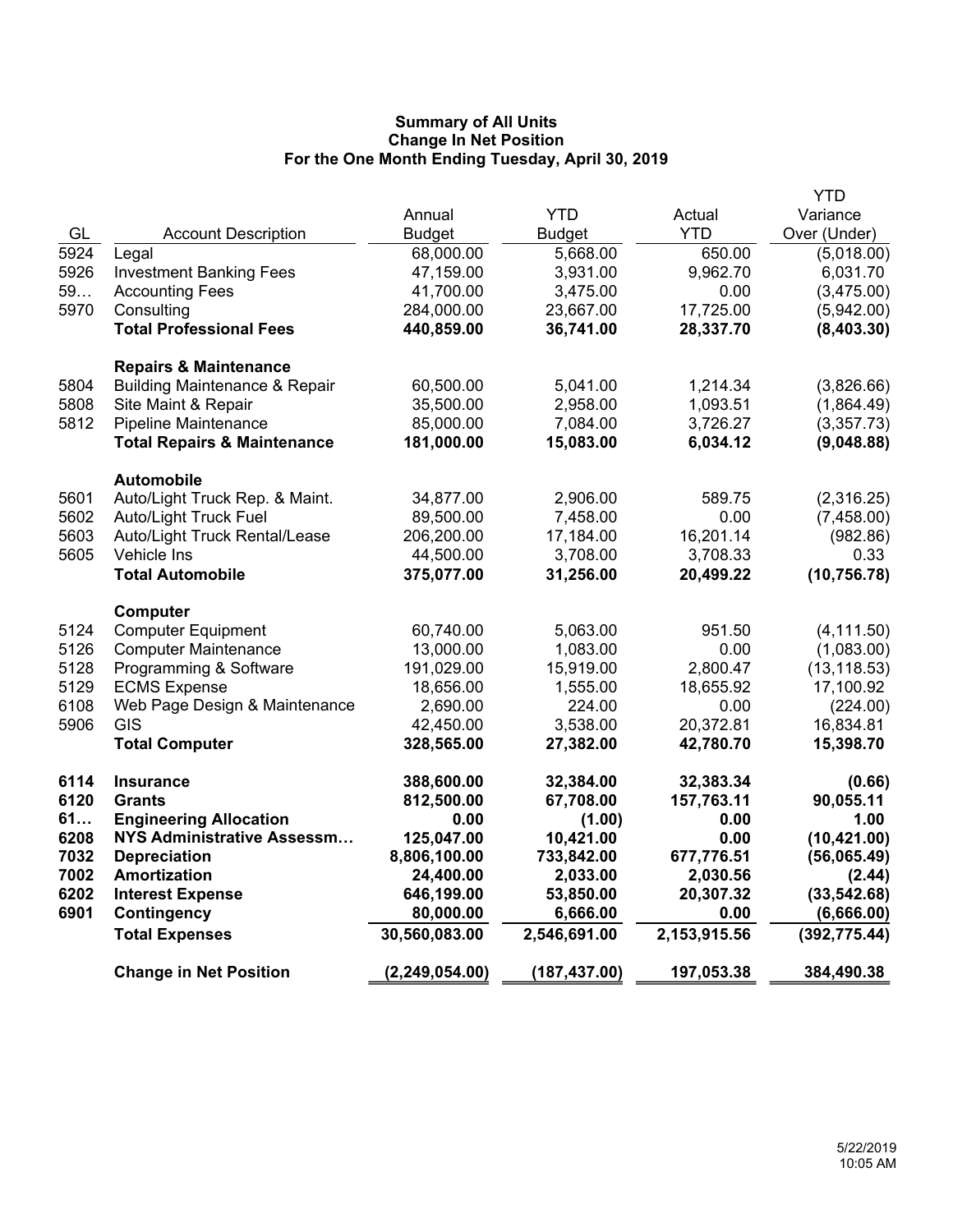|      |                                          |                  |               |              | <b>YTD</b>    |
|------|------------------------------------------|------------------|---------------|--------------|---------------|
|      |                                          | Annual           | <b>YTD</b>    | Actual       | Variance      |
| GL   | <b>Account Description</b>               | <b>Budget</b>    | <b>Budget</b> | <b>YTD</b>   | Over (Under)  |
| 5924 | Legal                                    | 68,000.00        | 5,668.00      | 650.00       | (5,018.00)    |
| 5926 | <b>Investment Banking Fees</b>           | 47,159.00        | 3,931.00      | 9,962.70     | 6,031.70      |
| 59   | <b>Accounting Fees</b>                   | 41,700.00        | 3,475.00      | 0.00         | (3,475.00)    |
| 5970 | Consulting                               | 284,000.00       | 23,667.00     | 17,725.00    | (5,942.00)    |
|      | <b>Total Professional Fees</b>           | 440,859.00       | 36,741.00     | 28,337.70    | (8,403.30)    |
|      | <b>Repairs &amp; Maintenance</b>         |                  |               |              |               |
| 5804 | <b>Building Maintenance &amp; Repair</b> | 60,500.00        | 5,041.00      | 1,214.34     | (3,826.66)    |
| 5808 | Site Maint & Repair                      | 35,500.00        | 2,958.00      | 1,093.51     | (1,864.49)    |
| 5812 | Pipeline Maintenance                     | 85,000.00        | 7,084.00      | 3,726.27     | (3,357.73)    |
|      | <b>Total Repairs &amp; Maintenance</b>   | 181,000.00       | 15,083.00     | 6,034.12     | (9,048.88)    |
|      | <b>Automobile</b>                        |                  |               |              |               |
| 5601 | Auto/Light Truck Rep. & Maint.           | 34,877.00        | 2,906.00      | 589.75       | (2,316.25)    |
| 5602 | <b>Auto/Light Truck Fuel</b>             | 89,500.00        | 7,458.00      | 0.00         | (7,458.00)    |
| 5603 | Auto/Light Truck Rental/Lease            | 206,200.00       | 17,184.00     | 16,201.14    | (982.86)      |
| 5605 | Vehicle Ins                              | 44,500.00        | 3,708.00      | 3,708.33     | 0.33          |
|      | <b>Total Automobile</b>                  | 375,077.00       | 31,256.00     | 20,499.22    | (10, 756.78)  |
|      | Computer                                 |                  |               |              |               |
| 5124 | <b>Computer Equipment</b>                | 60,740.00        | 5,063.00      | 951.50       | (4, 111.50)   |
| 5126 | <b>Computer Maintenance</b>              | 13,000.00        | 1,083.00      | 0.00         | (1,083.00)    |
| 5128 | Programming & Software                   | 191,029.00       | 15,919.00     | 2,800.47     | (13, 118.53)  |
| 5129 | <b>ECMS Expense</b>                      | 18,656.00        | 1,555.00      | 18,655.92    | 17,100.92     |
| 6108 | Web Page Design & Maintenance            | 2,690.00         | 224.00        | 0.00         | (224.00)      |
| 5906 | <b>GIS</b>                               | 42,450.00        | 3,538.00      | 20,372.81    | 16,834.81     |
|      | <b>Total Computer</b>                    | 328,565.00       | 27,382.00     | 42,780.70    | 15,398.70     |
| 6114 | <b>Insurance</b>                         | 388,600.00       | 32,384.00     | 32,383.34    | (0.66)        |
| 6120 | <b>Grants</b>                            | 812,500.00       | 67,708.00     | 157,763.11   | 90,055.11     |
| 61   | <b>Engineering Allocation</b>            | 0.00             | (1.00)        | 0.00         | 1.00          |
| 6208 | <b>NYS Administrative Assessm</b>        | 125,047.00       | 10,421.00     | 0.00         | (10, 421.00)  |
| 7032 | <b>Depreciation</b>                      | 8,806,100.00     | 733,842.00    | 677,776.51   | (56,065.49)   |
| 7002 | Amortization                             | 24,400.00        | 2,033.00      | 2,030.56     | (2.44)        |
| 6202 | <b>Interest Expense</b>                  | 646,199.00       | 53,850.00     | 20,307.32    | (33, 542.68)  |
| 6901 | <b>Contingency</b>                       | 80,000.00        | 6,666.00      | 0.00         | (6,666.00)    |
|      | <b>Total Expenses</b>                    | 30,560,083.00    | 2,546,691.00  | 2,153,915.56 | (392, 775.44) |
|      | <b>Change in Net Position</b>            | (2, 249, 054.00) | (187, 437.00) | 197,053.38   | 384,490.38    |
|      |                                          |                  |               |              |               |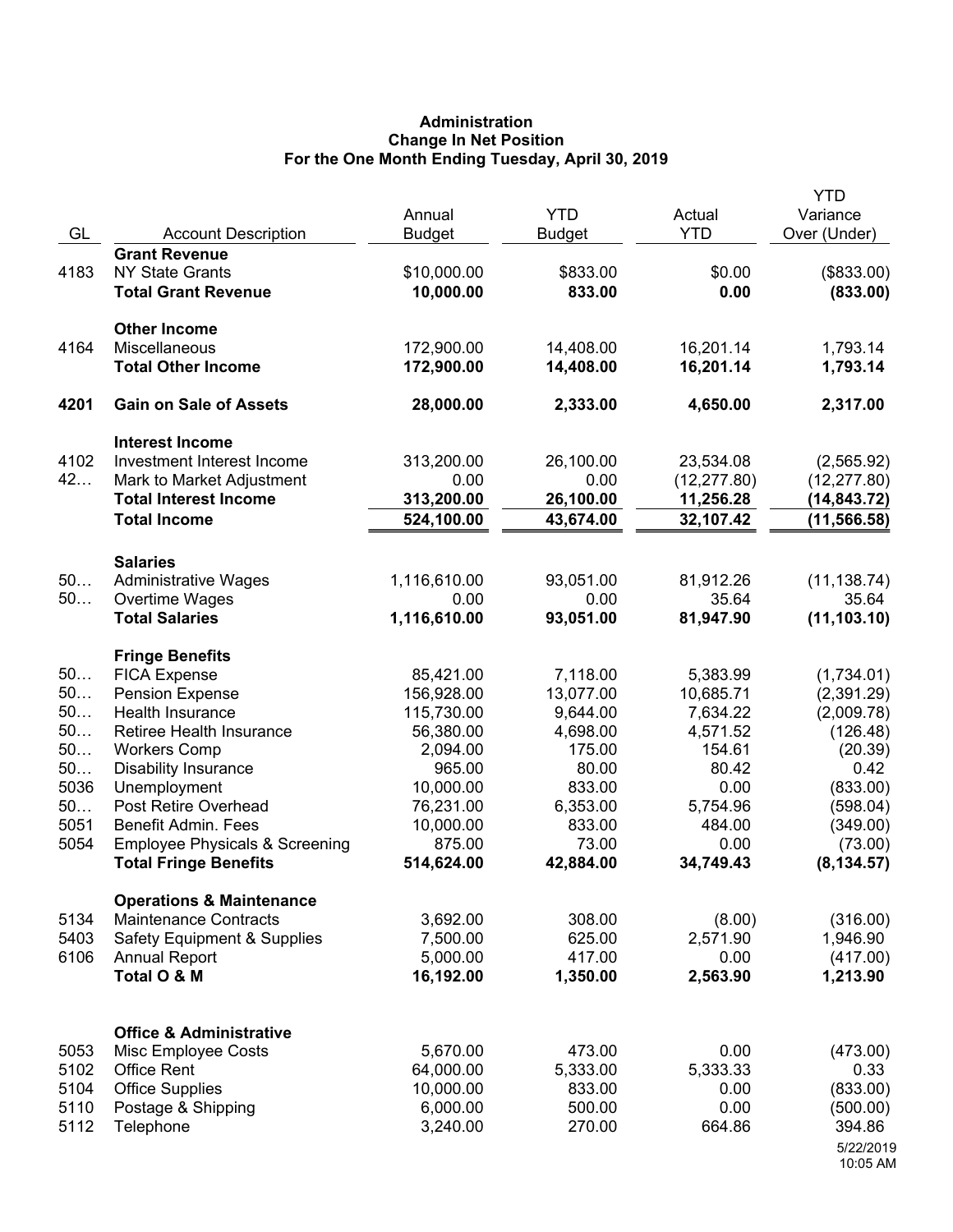# **Administration Change In Net Position For the One Month Ending Tuesday, April 30, 2019**

| GL       | <b>Account Description</b>                          | Annual<br><b>Budget</b>  | <b>YTD</b><br><b>Budget</b> | Actual<br><b>YTD</b>   | <b>YTD</b><br>Variance<br>Over (Under) |
|----------|-----------------------------------------------------|--------------------------|-----------------------------|------------------------|----------------------------------------|
| 4183     | <b>Grant Revenue</b><br><b>NY State Grants</b>      | \$10,000.00<br>10,000.00 | \$833.00                    | \$0.00<br>0.00         | (\$833.00)                             |
|          | <b>Total Grant Revenue</b>                          |                          | 833.00                      |                        | (833.00)                               |
|          | <b>Other Income</b>                                 |                          |                             |                        |                                        |
| 4164     | Miscellaneous                                       | 172,900.00               | 14,408.00                   | 16,201.14              | 1,793.14                               |
|          | <b>Total Other Income</b>                           | 172,900.00               | 14,408.00                   | 16,201.14              | 1,793.14                               |
| 4201     | <b>Gain on Sale of Assets</b>                       | 28,000.00                | 2,333.00                    | 4,650.00               | 2,317.00                               |
|          | <b>Interest Income</b>                              |                          |                             |                        |                                        |
| 4102     | Investment Interest Income                          | 313,200.00               | 26,100.00                   | 23,534.08              | (2,565.92)                             |
| 42       | Mark to Market Adjustment                           | 0.00                     | 0.00                        | (12, 277.80)           | (12, 277.80)                           |
|          | <b>Total Interest Income</b><br><b>Total Income</b> | 313,200.00<br>524,100.00 | 26,100.00<br>43,674.00      | 11,256.28<br>32,107.42 | (14, 843.72)<br>(11, 566.58)           |
|          |                                                     |                          |                             |                        |                                        |
|          | <b>Salaries</b>                                     |                          |                             |                        |                                        |
| 50<br>50 | <b>Administrative Wages</b><br>Overtime Wages       | 1,116,610.00<br>0.00     | 93,051.00<br>0.00           | 81,912.26<br>35.64     | (11, 138.74)<br>35.64                  |
|          | <b>Total Salaries</b>                               | 1,116,610.00             | 93,051.00                   | 81,947.90              | (11, 103.10)                           |
|          |                                                     |                          |                             |                        |                                        |
| 50       | <b>Fringe Benefits</b>                              | 85,421.00                | 7,118.00                    | 5,383.99               |                                        |
| 50       | <b>FICA Expense</b><br><b>Pension Expense</b>       | 156,928.00               | 13,077.00                   | 10,685.71              | (1,734.01)<br>(2,391.29)               |
| 50       | Health Insurance                                    | 115,730.00               | 9,644.00                    | 7,634.22               | (2,009.78)                             |
| 50       | Retiree Health Insurance                            | 56,380.00                | 4,698.00                    | 4,571.52               | (126.48)                               |
| 50       | <b>Workers Comp</b>                                 | 2,094.00                 | 175.00                      | 154.61                 | (20.39)                                |
| 50       | <b>Disability Insurance</b>                         | 965.00                   | 80.00                       | 80.42                  | 0.42                                   |
| 5036     | Unemployment                                        | 10,000.00                | 833.00                      | 0.00                   | (833.00)                               |
| 50       | Post Retire Overhead                                | 76,231.00                | 6,353.00                    | 5,754.96               | (598.04)                               |
| 5051     | <b>Benefit Admin. Fees</b>                          | 10,000.00                | 833.00                      | 484.00                 | (349.00)                               |
| 5054     | <b>Employee Physicals &amp; Screening</b>           | 875.00                   | 73.00                       | 0.00                   | (73.00)                                |
|          | <b>Total Fringe Benefits</b>                        | 514,624.00               | 42,884.00                   | 34,749.43              | (8, 134.57)                            |
|          | <b>Operations &amp; Maintenance</b>                 |                          |                             |                        |                                        |
| 5134     | <b>Maintenance Contracts</b>                        | 3,692.00                 | 308.00                      | (8.00)                 | (316.00)                               |
| 5403     | <b>Safety Equipment &amp; Supplies</b>              | 7,500.00                 | 625.00                      | 2,571.90               | 1,946.90                               |
| 6106     | <b>Annual Report</b><br>Total O & M                 | 5,000.00<br>16,192.00    | 417.00<br>1,350.00          | 0.00<br>2,563.90       | (417.00)<br>1,213.90                   |
|          |                                                     |                          |                             |                        |                                        |
|          | <b>Office &amp; Administrative</b>                  |                          |                             |                        |                                        |
| 5053     | Misc Employee Costs                                 | 5,670.00                 | 473.00                      | 0.00                   | (473.00)                               |
| 5102     | <b>Office Rent</b>                                  | 64,000.00                | 5,333.00                    | 5,333.33               | 0.33                                   |
| 5104     | <b>Office Supplies</b>                              | 10,000.00                | 833.00                      | 0.00                   | (833.00)                               |
| 5110     | Postage & Shipping                                  | 6,000.00                 | 500.00                      | 0.00                   | (500.00)                               |
| 5112     | Telephone                                           | 3,240.00                 | 270.00                      | 664.86                 | 394.86                                 |
|          |                                                     |                          |                             |                        | 5/22/2019<br>10:05 AM                  |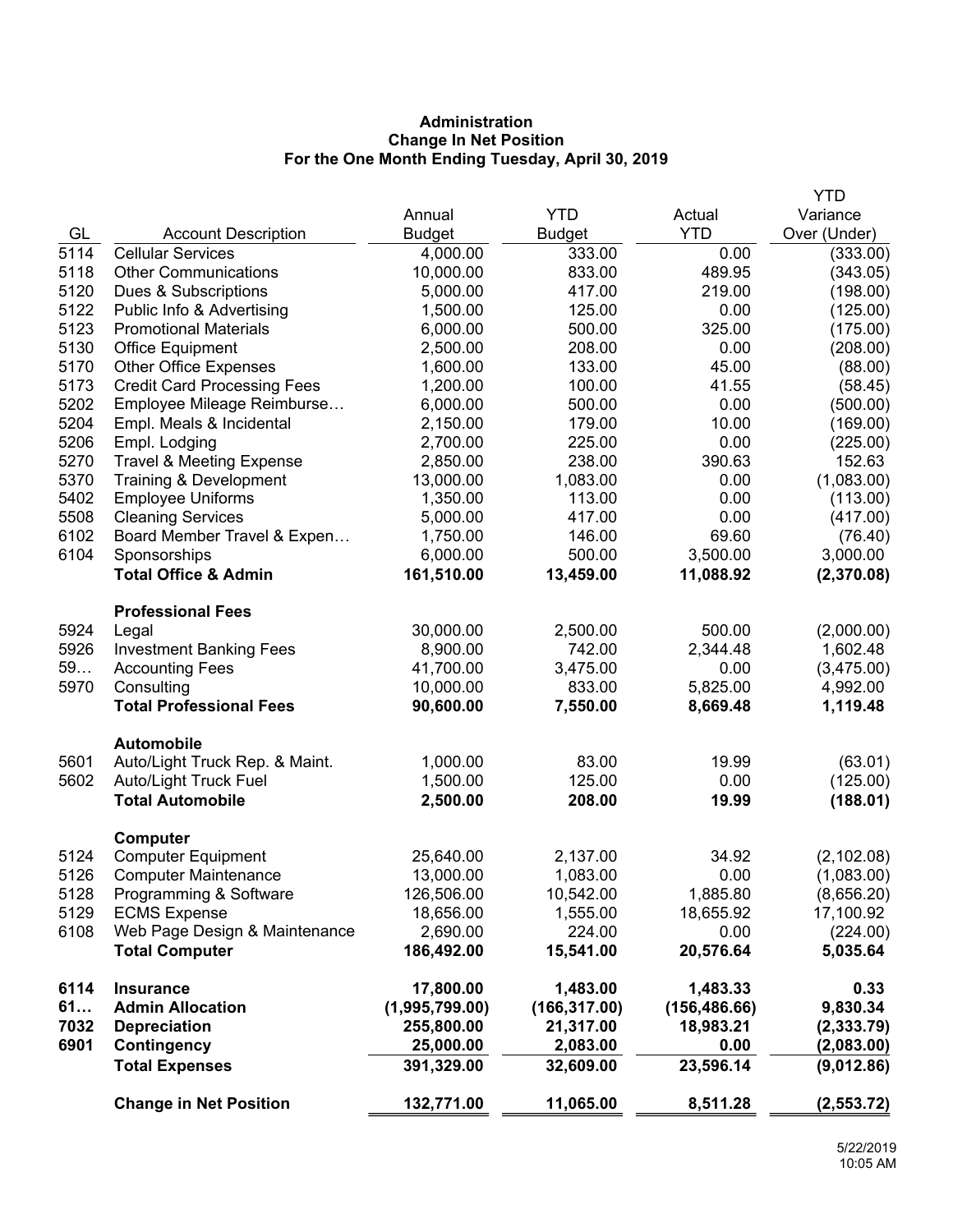# **Administration Change In Net Position For the One Month Ending Tuesday, April 30, 2019**

|      |                                                     |                        |                    |                      | <b>YTD</b>           |
|------|-----------------------------------------------------|------------------------|--------------------|----------------------|----------------------|
|      |                                                     | Annual                 | <b>YTD</b>         | Actual               | Variance             |
| GL   | <b>Account Description</b>                          | <b>Budget</b>          | <b>Budget</b>      | <b>YTD</b>           | Over (Under)         |
| 5114 | <b>Cellular Services</b>                            | 4,000.00               | 333.00             | 0.00                 | (333.00)             |
| 5118 | <b>Other Communications</b>                         | 10,000.00              | 833.00             | 489.95               | (343.05)             |
| 5120 | Dues & Subscriptions                                | 5,000.00               | 417.00             | 219.00               | (198.00)             |
| 5122 | Public Info & Advertising                           | 1,500.00               | 125.00             | 0.00                 | (125.00)             |
| 5123 | <b>Promotional Materials</b>                        | 6,000.00               | 500.00             | 325.00               | (175.00)             |
| 5130 | <b>Office Equipment</b>                             | 2,500.00               | 208.00             | 0.00                 | (208.00)             |
| 5170 | <b>Other Office Expenses</b>                        | 1,600.00               | 133.00             | 45.00                | (88.00)              |
| 5173 | <b>Credit Card Processing Fees</b>                  | 1,200.00               | 100.00             | 41.55                | (58.45)              |
| 5202 | Employee Mileage Reimburse                          | 6,000.00               | 500.00             | 0.00                 | (500.00)             |
| 5204 | Empl. Meals & Incidental                            | 2,150.00               | 179.00             | 10.00                | (169.00)             |
| 5206 | Empl. Lodging                                       | 2,700.00               | 225.00             | 0.00                 | (225.00)             |
| 5270 | <b>Travel &amp; Meeting Expense</b>                 | 2,850.00               | 238.00             | 390.63               | 152.63               |
| 5370 | Training & Development                              | 13,000.00              | 1,083.00           | 0.00                 | (1,083.00)           |
| 5402 | <b>Employee Uniforms</b>                            | 1,350.00               | 113.00             | 0.00                 | (113.00)             |
| 5508 | <b>Cleaning Services</b>                            | 5,000.00               | 417.00             | 0.00                 | (417.00)             |
| 6102 | Board Member Travel & Expen                         | 1,750.00               | 146.00             | 69.60                | (76.40)              |
| 6104 | Sponsorships                                        | 6,000.00               | 500.00             | 3,500.00             | 3,000.00             |
|      | <b>Total Office &amp; Admin</b>                     | 161,510.00             | 13,459.00          | 11,088.92            | (2,370.08)           |
|      | <b>Professional Fees</b>                            |                        |                    |                      |                      |
| 5924 | Legal                                               | 30,000.00              | 2,500.00           | 500.00               | (2,000.00)           |
| 5926 | <b>Investment Banking Fees</b>                      | 8,900.00               | 742.00             | 2,344.48             | 1,602.48             |
| 59   | <b>Accounting Fees</b>                              | 41,700.00              | 3,475.00           | 0.00                 | (3,475.00)           |
| 5970 | Consulting<br><b>Total Professional Fees</b>        | 10,000.00<br>90,600.00 | 833.00<br>7,550.00 | 5,825.00<br>8,669.48 | 4,992.00<br>1,119.48 |
|      |                                                     |                        |                    |                      |                      |
| 5601 | <b>Automobile</b><br>Auto/Light Truck Rep. & Maint. | 1,000.00               | 83.00              | 19.99                | (63.01)              |
| 5602 | Auto/Light Truck Fuel                               | 1,500.00               | 125.00             | 0.00                 | (125.00)             |
|      | <b>Total Automobile</b>                             | 2,500.00               | 208.00             | 19.99                | (188.01)             |
|      | <b>Computer</b>                                     |                        |                    |                      |                      |
| 5124 | <b>Computer Equipment</b>                           | 25,640.00              | 2,137.00           | 34.92                | (2, 102.08)          |
| 5126 | <b>Computer Maintenance</b>                         | 13,000.00              | 1,083.00           | 0.00                 | (1,083.00)           |
| 5128 | Programming & Software                              | 126,506.00             | 10,542.00          | 1,885.80             | (8,656.20)           |
| 5129 | <b>ECMS Expense</b>                                 | 18,656.00              | 1,555.00           | 18,655.92            | 17,100.92            |
| 6108 | Web Page Design & Maintenance                       | 2,690.00               | 224.00             | 0.00                 | (224.00)             |
|      | <b>Total Computer</b>                               | 186,492.00             | 15,541.00          | 20,576.64            | 5,035.64             |
| 6114 | <b>Insurance</b>                                    | 17,800.00              | 1,483.00           | 1,483.33             | 0.33                 |
| 61   | <b>Admin Allocation</b>                             | (1,995,799.00)         | (166, 317.00)      | (156, 486.66)        | 9,830.34             |
| 7032 | <b>Depreciation</b>                                 | 255,800.00             | 21,317.00          | 18,983.21            | (2, 333.79)          |
| 6901 | Contingency                                         | 25,000.00              | 2,083.00           | 0.00                 | (2,083.00)           |
|      | <b>Total Expenses</b>                               | 391,329.00             | 32,609.00          | 23,596.14            | (9,012.86)           |
|      | <b>Change in Net Position</b>                       | 132,771.00             | 11,065.00          | 8,511.28             | (2, 553.72)          |
|      |                                                     |                        |                    |                      |                      |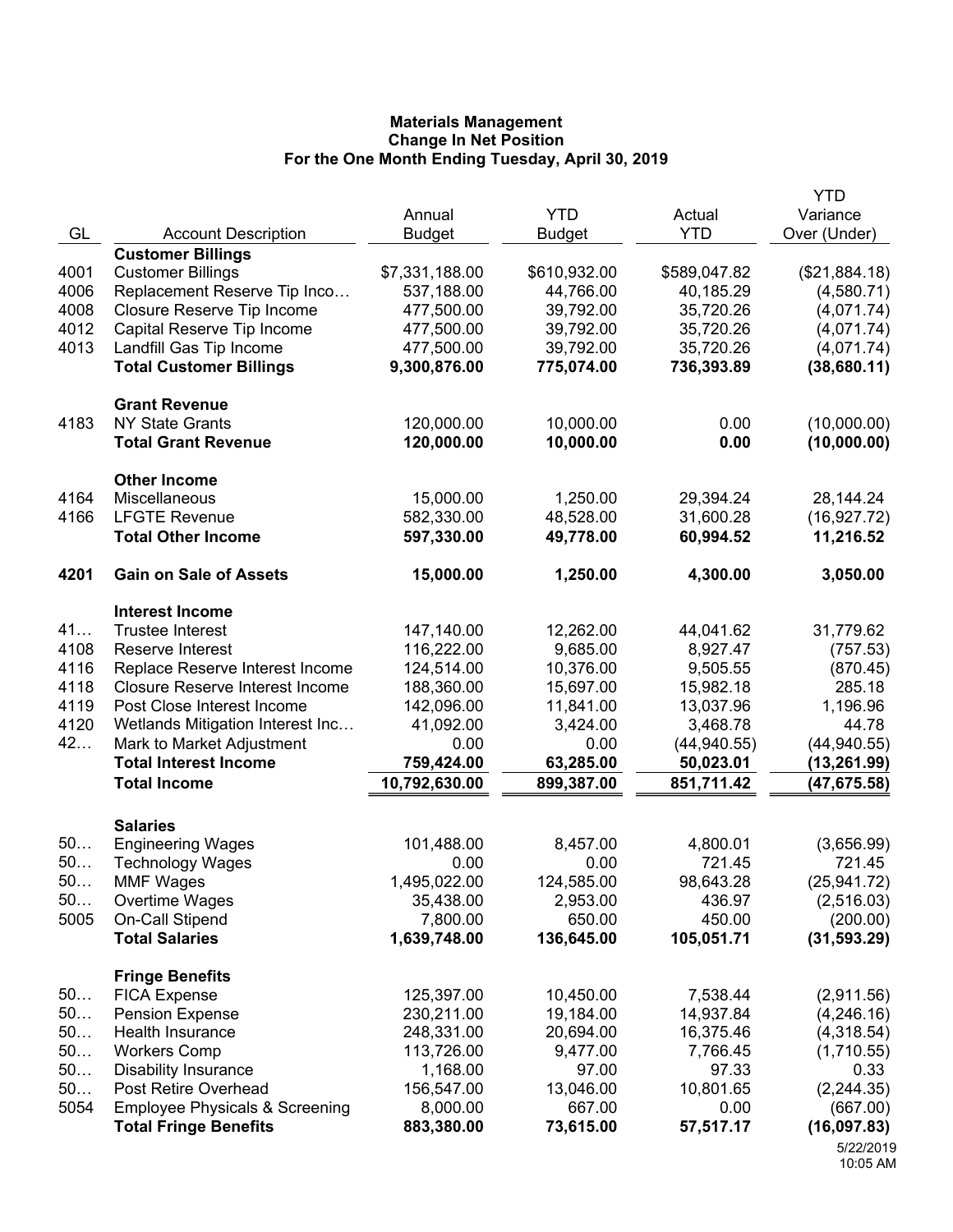|              |                                                                           |                |               |              | <b>YTD</b>    |
|--------------|---------------------------------------------------------------------------|----------------|---------------|--------------|---------------|
|              |                                                                           | Annual         | <b>YTD</b>    | Actual       | Variance      |
| GL           | <b>Account Description</b>                                                | <b>Budget</b>  | <b>Budget</b> | <b>YTD</b>   | Over (Under)  |
|              | <b>Customer Billings</b>                                                  |                |               |              |               |
| 4001         | <b>Customer Billings</b>                                                  | \$7,331,188.00 | \$610,932.00  | \$589,047.82 | (\$21,884.18) |
| 4006         | Replacement Reserve Tip Inco                                              | 537,188.00     | 44,766.00     | 40,185.29    | (4,580.71)    |
| 4008         | Closure Reserve Tip Income                                                | 477,500.00     | 39,792.00     | 35,720.26    | (4,071.74)    |
| 4012         | Capital Reserve Tip Income                                                | 477,500.00     | 39,792.00     | 35,720.26    | (4,071.74)    |
| 4013         | Landfill Gas Tip Income                                                   | 477,500.00     | 39,792.00     | 35,720.26    | (4,071.74)    |
|              | <b>Total Customer Billings</b>                                            | 9,300,876.00   | 775,074.00    | 736,393.89   | (38,680.11)   |
|              | <b>Grant Revenue</b>                                                      |                |               |              |               |
| 4183         | <b>NY State Grants</b>                                                    | 120,000.00     | 10,000.00     | 0.00         | (10,000.00)   |
|              | <b>Total Grant Revenue</b>                                                | 120,000.00     | 10,000.00     | 0.00         | (10,000.00)   |
|              | <b>Other Income</b>                                                       |                |               |              |               |
| 4164         | Miscellaneous                                                             | 15,000.00      | 1,250.00      | 29,394.24    | 28,144.24     |
| 4166         | <b>LFGTE Revenue</b>                                                      | 582,330.00     | 48,528.00     | 31,600.28    | (16, 927.72)  |
|              | <b>Total Other Income</b>                                                 | 597,330.00     | 49,778.00     | 60,994.52    | 11,216.52     |
| 4201         | <b>Gain on Sale of Assets</b>                                             | 15,000.00      | 1,250.00      | 4,300.00     | 3,050.00      |
|              |                                                                           |                |               |              |               |
| 41           | <b>Interest Income</b><br><b>Trustee Interest</b>                         |                |               |              |               |
|              |                                                                           | 147,140.00     | 12,262.00     | 44,041.62    | 31,779.62     |
| 4108<br>4116 | Reserve Interest                                                          | 116,222.00     | 9,685.00      | 8,927.47     | (757.53)      |
| 4118         | Replace Reserve Interest Income<br><b>Closure Reserve Interest Income</b> | 124,514.00     | 10,376.00     | 9,505.55     | (870.45)      |
|              |                                                                           | 188,360.00     | 15,697.00     | 15,982.18    | 285.18        |
| 4119         | Post Close Interest Income                                                | 142,096.00     | 11,841.00     | 13,037.96    | 1,196.96      |
| 4120         | Wetlands Mitigation Interest Inc                                          | 41,092.00      | 3,424.00      | 3,468.78     | 44.78         |
| 42           | Mark to Market Adjustment                                                 | 0.00           | 0.00          | (44, 940.55) | (44, 940.55)  |
|              | <b>Total Interest Income</b>                                              | 759,424.00     | 63,285.00     | 50,023.01    | (13, 261.99)  |
|              | <b>Total Income</b>                                                       | 10,792,630.00  | 899,387.00    | 851,711.42   | (47, 675.58)  |
|              | <b>Salaries</b>                                                           |                |               |              |               |
| 50           | <b>Engineering Wages</b>                                                  | 101,488.00     | 8,457.00      | 4,800.01     | (3,656.99)    |
| 50           | <b>Technology Wages</b>                                                   | 0.00           | 0.00          | 721.45       | 721.45        |
| 50           | <b>MMF Wages</b>                                                          | 1,495,022.00   | 124,585.00    | 98,643.28    | (25, 941.72)  |
| 50           | Overtime Wages                                                            | 35,438.00      | 2,953.00      | 436.97       | (2,516.03)    |
| 5005         | On-Call Stipend                                                           | 7,800.00       | 650.00        | 450.00       | (200.00)      |
|              | <b>Total Salaries</b>                                                     | 1,639,748.00   | 136,645.00    | 105,051.71   | (31, 593.29)  |
|              | <b>Fringe Benefits</b>                                                    |                |               |              |               |
| 50           | <b>FICA Expense</b>                                                       | 125,397.00     | 10,450.00     | 7,538.44     | (2,911.56)    |
| 50           | <b>Pension Expense</b>                                                    | 230,211.00     | 19,184.00     | 14,937.84    | (4,246.16)    |
| 50           | Health Insurance                                                          | 248,331.00     | 20,694.00     | 16,375.46    | (4,318.54)    |
| 50           | <b>Workers Comp</b>                                                       | 113,726.00     | 9,477.00      | 7,766.45     | (1,710.55)    |
| 50           | <b>Disability Insurance</b>                                               | 1,168.00       | 97.00         | 97.33        | 0.33          |
| 50           | Post Retire Overhead                                                      | 156,547.00     | 13,046.00     | 10,801.65    | (2, 244.35)   |
| 5054         | <b>Employee Physicals &amp; Screening</b>                                 | 8,000.00       | 667.00        | 0.00         | (667.00)      |
|              | <b>Total Fringe Benefits</b>                                              | 883,380.00     | 73,615.00     | 57,517.17    | (16,097.83)   |
|              |                                                                           |                |               |              | 5/22/2019     |

<sup>10:05</sup> AM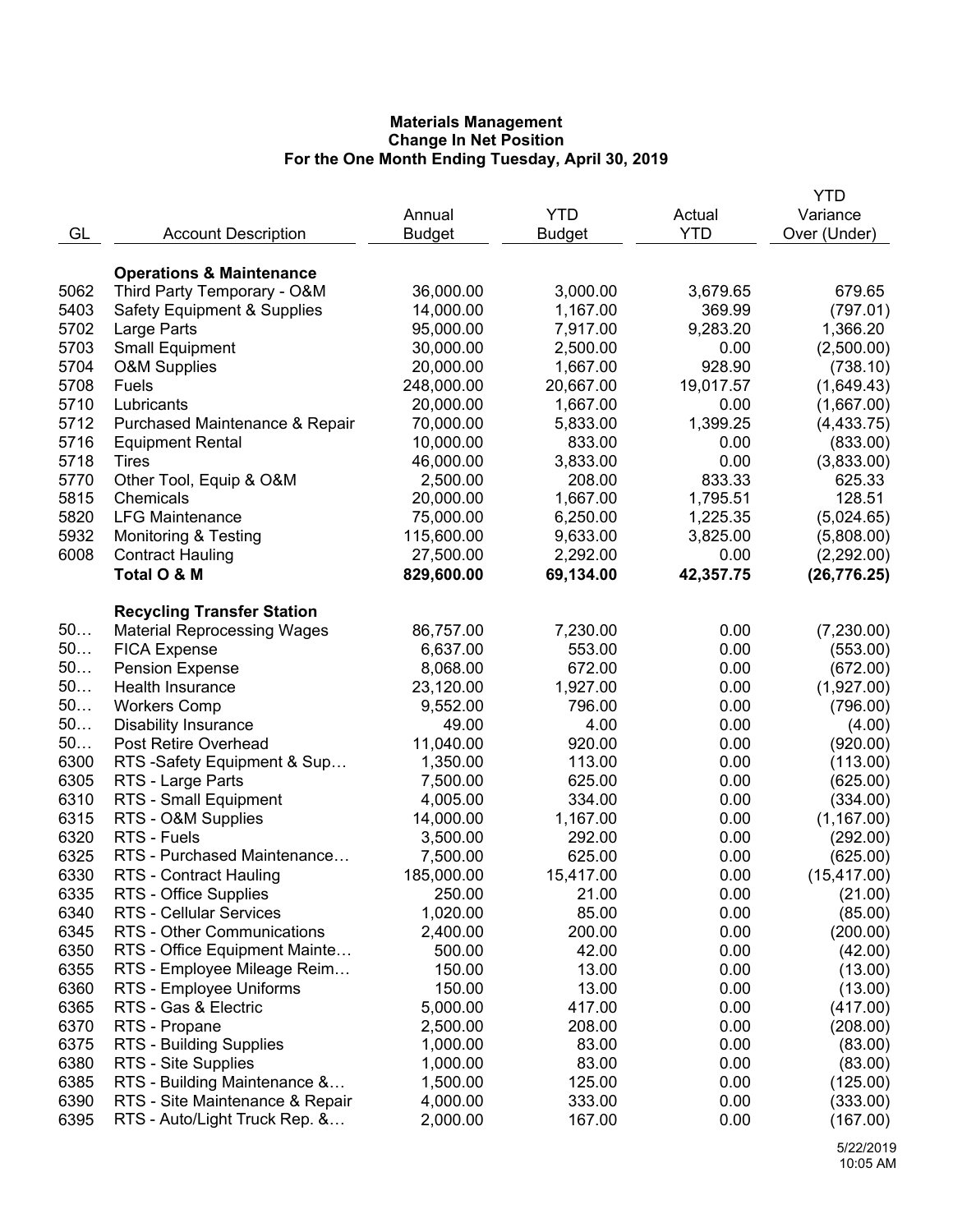|      |                                        |               |               |            | YTD          |
|------|----------------------------------------|---------------|---------------|------------|--------------|
|      |                                        | Annual        | <b>YTD</b>    | Actual     | Variance     |
| GL   | <b>Account Description</b>             | <b>Budget</b> | <b>Budget</b> | <b>YTD</b> | Over (Under) |
|      |                                        |               |               |            |              |
|      | <b>Operations &amp; Maintenance</b>    |               |               |            |              |
| 5062 | Third Party Temporary - O&M            | 36,000.00     | 3,000.00      | 3,679.65   | 679.65       |
| 5403 | <b>Safety Equipment &amp; Supplies</b> | 14,000.00     | 1,167.00      | 369.99     | (797.01)     |
| 5702 | Large Parts                            | 95,000.00     | 7,917.00      | 9,283.20   | 1,366.20     |
| 5703 | <b>Small Equipment</b>                 | 30,000.00     | 2,500.00      | 0.00       | (2,500.00)   |
| 5704 | <b>O&amp;M Supplies</b>                | 20,000.00     | 1,667.00      | 928.90     | (738.10)     |
| 5708 | Fuels                                  | 248,000.00    | 20,667.00     | 19,017.57  | (1,649.43)   |
| 5710 | Lubricants                             | 20,000.00     | 1,667.00      | 0.00       | (1,667.00)   |
| 5712 | Purchased Maintenance & Repair         | 70,000.00     | 5,833.00      | 1,399.25   | (4, 433.75)  |
| 5716 | <b>Equipment Rental</b>                | 10,000.00     | 833.00        | 0.00       | (833.00)     |
| 5718 | Tires                                  | 46,000.00     | 3,833.00      | 0.00       | (3,833.00)   |
| 5770 | Other Tool, Equip & O&M                | 2,500.00      | 208.00        | 833.33     | 625.33       |
| 5815 | Chemicals                              | 20,000.00     | 1,667.00      | 1,795.51   | 128.51       |
| 5820 | <b>LFG Maintenance</b>                 | 75,000.00     | 6,250.00      | 1,225.35   | (5,024.65)   |
| 5932 | <b>Monitoring &amp; Testing</b>        | 115,600.00    | 9,633.00      | 3,825.00   | (5,808.00)   |
| 6008 | <b>Contract Hauling</b>                | 27,500.00     | 2,292.00      | 0.00       | (2,292.00)   |
|      | Total O & M                            | 829,600.00    | 69,134.00     | 42,357.75  | (26, 776.25) |
|      |                                        |               |               |            |              |
|      | <b>Recycling Transfer Station</b>      |               |               |            |              |
| 50   | <b>Material Reprocessing Wages</b>     | 86,757.00     | 7,230.00      | 0.00       | (7,230.00)   |
| 50   | <b>FICA Expense</b>                    | 6,637.00      | 553.00        | 0.00       | (553.00)     |
| 50   | <b>Pension Expense</b>                 | 8,068.00      | 672.00        | 0.00       | (672.00)     |
| 50   | Health Insurance                       | 23,120.00     | 1,927.00      | 0.00       | (1,927.00)   |
| 50   | <b>Workers Comp</b>                    | 9,552.00      | 796.00        | 0.00       | (796.00)     |
| 50   | <b>Disability Insurance</b>            | 49.00         | 4.00          | 0.00       | (4.00)       |
| 50   | Post Retire Overhead                   | 11,040.00     | 920.00        | 0.00       | (920.00)     |
| 6300 | RTS -Safety Equipment & Sup            | 1,350.00      | 113.00        | 0.00       | (113.00)     |
| 6305 | RTS - Large Parts                      | 7,500.00      | 625.00        | 0.00       | (625.00)     |
| 6310 | RTS - Small Equipment                  | 4,005.00      | 334.00        | 0.00       | (334.00)     |
| 6315 | RTS - O&M Supplies                     | 14,000.00     | 1,167.00      | 0.00       | (1, 167.00)  |
| 6320 | RTS - Fuels                            | 3,500.00      | 292.00        | 0.00       | (292.00)     |
| 6325 | RTS - Purchased Maintenance            | 7,500.00      | 625.00        | 0.00       | (625.00)     |
| 6330 | RTS - Contract Hauling                 | 185,000.00    | 15,417.00     | 0.00       | (15, 417.00) |
| 6335 | RTS - Office Supplies                  | 250.00        | 21.00         | 0.00       | (21.00)      |
| 6340 | RTS - Cellular Services                | 1,020.00      | 85.00         | 0.00       | (85.00)      |
| 6345 | RTS - Other Communications             | 2,400.00      | 200.00        | 0.00       | (200.00)     |
| 6350 | RTS - Office Equipment Mainte          | 500.00        | 42.00         | 0.00       | (42.00)      |
| 6355 |                                        |               |               |            |              |
| 6360 | RTS - Employee Mileage Reim            | 150.00        | 13.00         | 0.00       | (13.00)      |
|      | RTS - Employee Uniforms                | 150.00        | 13.00         | 0.00       | (13.00)      |
| 6365 | RTS - Gas & Electric                   | 5,000.00      | 417.00        | 0.00       | (417.00)     |
| 6370 | RTS - Propane                          | 2,500.00      | 208.00        | 0.00       | (208.00)     |
| 6375 | <b>RTS - Building Supplies</b>         | 1,000.00      | 83.00         | 0.00       | (83.00)      |
| 6380 | RTS - Site Supplies                    | 1,000.00      | 83.00         | 0.00       | (83.00)      |
| 6385 | RTS - Building Maintenance &           | 1,500.00      | 125.00        | 0.00       | (125.00)     |
| 6390 | RTS - Site Maintenance & Repair        | 4,000.00      | 333.00        | 0.00       | (333.00)     |
| 6395 | RTS - Auto/Light Truck Rep. &          | 2,000.00      | 167.00        | 0.00       | (167.00)     |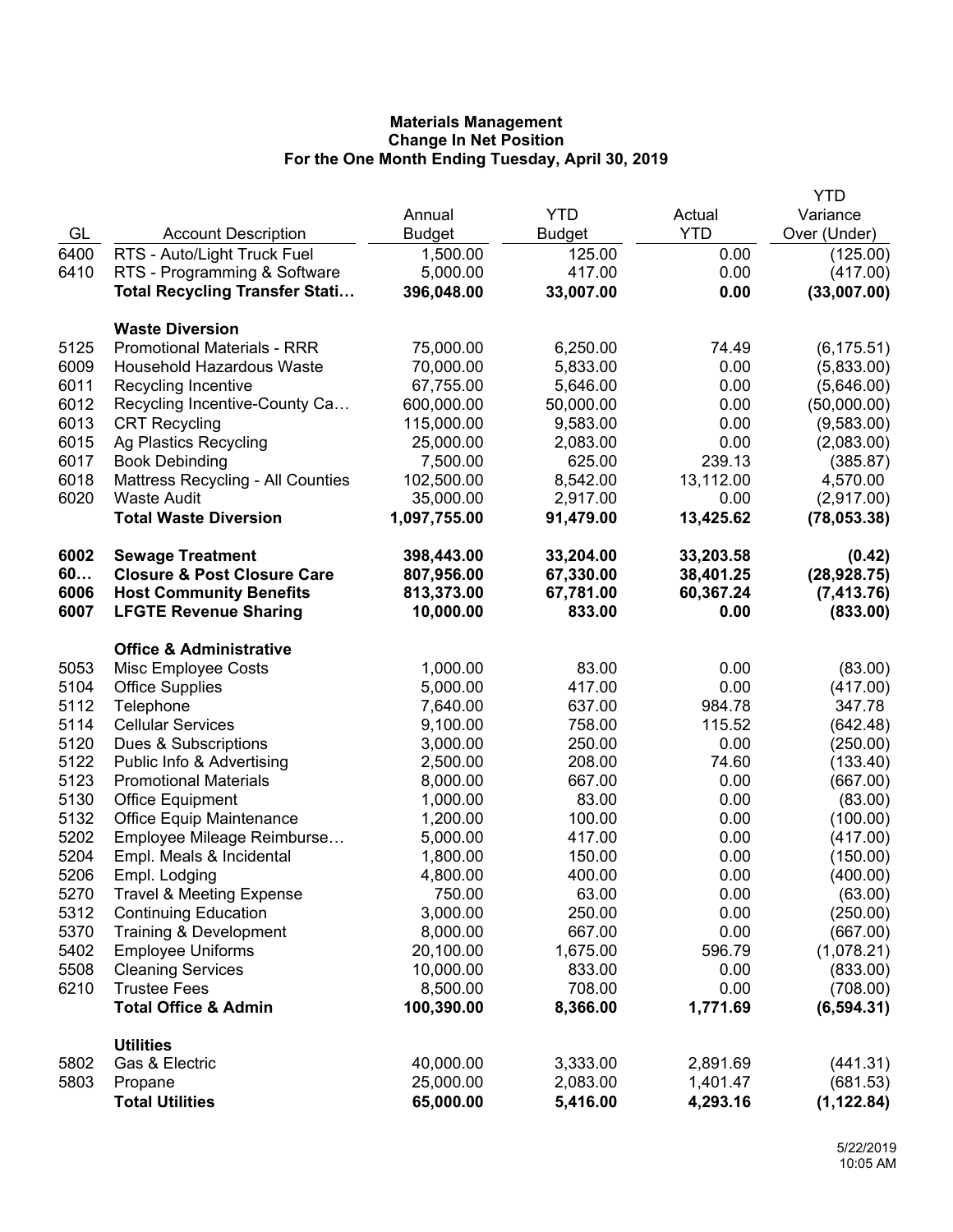|      |                                          |               |               |            | YTD          |
|------|------------------------------------------|---------------|---------------|------------|--------------|
|      |                                          | Annual        | <b>YTD</b>    | Actual     | Variance     |
| GL   | <b>Account Description</b>               | <b>Budget</b> | <b>Budget</b> | <b>YTD</b> | Over (Under) |
| 6400 | RTS - Auto/Light Truck Fuel              | 1,500.00      | 125.00        | 0.00       | (125.00)     |
| 6410 | RTS - Programming & Software             | 5,000.00      | 417.00        | 0.00       | (417.00)     |
|      | <b>Total Recycling Transfer Stati</b>    | 396,048.00    | 33,007.00     | 0.00       | (33,007.00)  |
|      |                                          |               |               |            |              |
|      | <b>Waste Diversion</b>                   |               |               |            |              |
| 5125 | <b>Promotional Materials - RRR</b>       | 75,000.00     | 6,250.00      | 74.49      | (6, 175.51)  |
| 6009 | Household Hazardous Waste                | 70,000.00     | 5,833.00      | 0.00       | (5,833.00)   |
| 6011 | Recycling Incentive                      | 67,755.00     | 5,646.00      | 0.00       | (5,646.00)   |
| 6012 | Recycling Incentive-County Ca            | 600,000.00    | 50,000.00     | 0.00       | (50,000.00)  |
| 6013 | <b>CRT Recycling</b>                     | 115,000.00    | 9,583.00      | 0.00       | (9,583.00)   |
| 6015 | Ag Plastics Recycling                    | 25,000.00     | 2,083.00      | 0.00       | (2,083.00)   |
| 6017 | <b>Book Debinding</b>                    | 7,500.00      | 625.00        | 239.13     | (385.87)     |
| 6018 | <b>Mattress Recycling - All Counties</b> | 102,500.00    | 8,542.00      | 13,112.00  | 4,570.00     |
| 6020 | <b>Waste Audit</b>                       | 35,000.00     | 2,917.00      | 0.00       | (2,917.00)   |
|      | <b>Total Waste Diversion</b>             | 1,097,755.00  | 91,479.00     | 13,425.62  | (78,053.38)  |
| 6002 | <b>Sewage Treatment</b>                  | 398,443.00    | 33,204.00     | 33,203.58  | (0.42)       |
| 60   | <b>Closure &amp; Post Closure Care</b>   | 807,956.00    | 67,330.00     | 38,401.25  | (28, 928.75) |
| 6006 | <b>Host Community Benefits</b>           | 813,373.00    | 67,781.00     | 60,367.24  | (7, 413.76)  |
| 6007 | <b>LFGTE Revenue Sharing</b>             | 10,000.00     | 833.00        | 0.00       | (833.00)     |
|      |                                          |               |               |            |              |
|      | <b>Office &amp; Administrative</b>       |               |               |            |              |
| 5053 | Misc Employee Costs                      | 1,000.00      | 83.00         | 0.00       | (83.00)      |
| 5104 | <b>Office Supplies</b>                   | 5,000.00      | 417.00        | 0.00       | (417.00)     |
| 5112 | Telephone                                | 7,640.00      | 637.00        | 984.78     | 347.78       |
| 5114 | <b>Cellular Services</b>                 | 9,100.00      | 758.00        | 115.52     | (642.48)     |
| 5120 | Dues & Subscriptions                     | 3,000.00      | 250.00        | 0.00       | (250.00)     |
| 5122 | Public Info & Advertising                | 2,500.00      | 208.00        | 74.60      | (133.40)     |
| 5123 | <b>Promotional Materials</b>             | 8,000.00      | 667.00        | 0.00       | (667.00)     |
| 5130 | Office Equipment                         | 1,000.00      | 83.00         | 0.00       | (83.00)      |
| 5132 | <b>Office Equip Maintenance</b>          | 1,200.00      | 100.00        | 0.00       | (100.00)     |
| 5202 | Employee Mileage Reimburse               | 5,000.00      | 417.00        | 0.00       | (417.00)     |
| 5204 | Empl. Meals & Incidental                 | 1,800.00      | 150.00        | 0.00       | (150.00)     |
| 5206 | Empl. Lodging                            | 4,800.00      | 400.00        | 0.00       | (400.00)     |
| 5270 | <b>Travel &amp; Meeting Expense</b>      | 750.00        | 63.00         | 0.00       | (63.00)      |
| 5312 | <b>Continuing Education</b>              | 3,000.00      | 250.00        | 0.00       | (250.00)     |
| 5370 | Training & Development                   | 8,000.00      | 667.00        | 0.00       | (667.00)     |
| 5402 | <b>Employee Uniforms</b>                 | 20,100.00     | 1,675.00      | 596.79     | (1,078.21)   |
| 5508 | <b>Cleaning Services</b>                 | 10,000.00     | 833.00        | 0.00       | (833.00)     |
| 6210 | <b>Trustee Fees</b>                      | 8,500.00      | 708.00        | 0.00       | (708.00)     |
|      | <b>Total Office &amp; Admin</b>          | 100,390.00    | 8,366.00      | 1,771.69   | (6, 594.31)  |
|      | <b>Utilities</b>                         |               |               |            |              |
| 5802 | Gas & Electric                           | 40,000.00     | 3,333.00      | 2,891.69   | (441.31)     |
| 5803 | Propane                                  | 25,000.00     | 2,083.00      | 1,401.47   | (681.53)     |
|      | <b>Total Utilities</b>                   | 65,000.00     | 5,416.00      | 4,293.16   | (1, 122.84)  |
|      |                                          |               |               |            |              |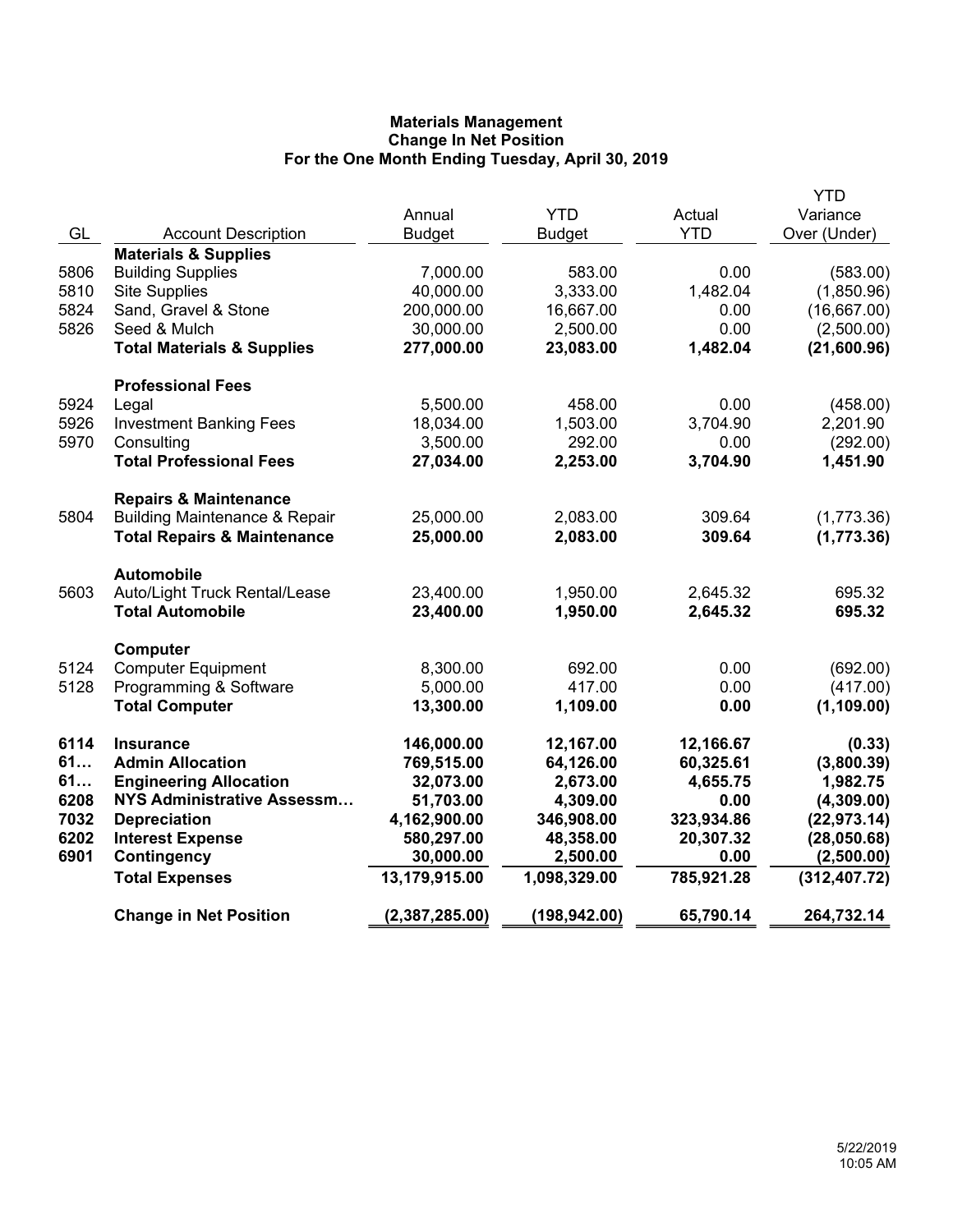|      |                                          |                |               |            | <b>YTD</b>    |
|------|------------------------------------------|----------------|---------------|------------|---------------|
|      |                                          | Annual         | <b>YTD</b>    | Actual     | Variance      |
| GL   | <b>Account Description</b>               | <b>Budget</b>  | <b>Budget</b> | <b>YTD</b> | Over (Under)  |
|      | <b>Materials &amp; Supplies</b>          |                |               |            |               |
| 5806 | <b>Building Supplies</b>                 | 7,000.00       | 583.00        | 0.00       | (583.00)      |
| 5810 | <b>Site Supplies</b>                     | 40,000.00      | 3,333.00      | 1,482.04   | (1,850.96)    |
| 5824 | Sand, Gravel & Stone                     | 200,000.00     | 16,667.00     | 0.00       | (16,667.00)   |
| 5826 | Seed & Mulch                             | 30,000.00      | 2,500.00      | 0.00       | (2,500.00)    |
|      | <b>Total Materials &amp; Supplies</b>    | 277,000.00     | 23,083.00     | 1,482.04   | (21,600.96)   |
|      | <b>Professional Fees</b>                 |                |               |            |               |
| 5924 | Legal                                    | 5,500.00       | 458.00        | 0.00       | (458.00)      |
| 5926 | <b>Investment Banking Fees</b>           | 18,034.00      | 1,503.00      | 3,704.90   | 2,201.90      |
| 5970 | Consulting                               | 3,500.00       | 292.00        | 0.00       | (292.00)      |
|      | <b>Total Professional Fees</b>           | 27,034.00      | 2,253.00      | 3,704.90   | 1,451.90      |
|      |                                          |                |               |            |               |
| 5804 | <b>Repairs &amp; Maintenance</b>         |                |               | 309.64     |               |
|      | <b>Building Maintenance &amp; Repair</b> | 25,000.00      | 2,083.00      |            | (1,773.36)    |
|      | <b>Total Repairs &amp; Maintenance</b>   | 25,000.00      | 2,083.00      | 309.64     | (1,773.36)    |
|      | <b>Automobile</b>                        |                |               |            |               |
| 5603 | Auto/Light Truck Rental/Lease            | 23,400.00      | 1,950.00      | 2,645.32   | 695.32        |
|      | <b>Total Automobile</b>                  | 23,400.00      | 1,950.00      | 2,645.32   | 695.32        |
|      | Computer                                 |                |               |            |               |
| 5124 | <b>Computer Equipment</b>                | 8,300.00       | 692.00        | 0.00       | (692.00)      |
| 5128 | Programming & Software                   | 5,000.00       | 417.00        | 0.00       | (417.00)      |
|      | <b>Total Computer</b>                    | 13,300.00      | 1,109.00      | 0.00       | (1, 109.00)   |
|      |                                          |                |               |            |               |
| 6114 | <b>Insurance</b>                         | 146,000.00     | 12,167.00     | 12,166.67  | (0.33)        |
| 61   | <b>Admin Allocation</b>                  | 769,515.00     | 64,126.00     | 60,325.61  | (3,800.39)    |
| 61   | <b>Engineering Allocation</b>            | 32,073.00      | 2,673.00      | 4,655.75   | 1,982.75      |
| 6208 | NYS Administrative Assessm               | 51,703.00      | 4,309.00      | 0.00       | (4,309.00)    |
| 7032 | <b>Depreciation</b>                      | 4,162,900.00   | 346,908.00    | 323,934.86 | (22, 973.14)  |
| 6202 | <b>Interest Expense</b>                  | 580,297.00     | 48,358.00     | 20,307.32  | (28,050.68)   |
| 6901 | Contingency                              | 30,000.00      | 2,500.00      | 0.00       | (2,500.00)    |
|      | <b>Total Expenses</b>                    | 13,179,915.00  | 1,098,329.00  | 785,921.28 | (312, 407.72) |
|      | <b>Change in Net Position</b>            | (2,387,285.00) | (198, 942.00) | 65,790.14  | 264,732.14    |
|      |                                          |                |               |            |               |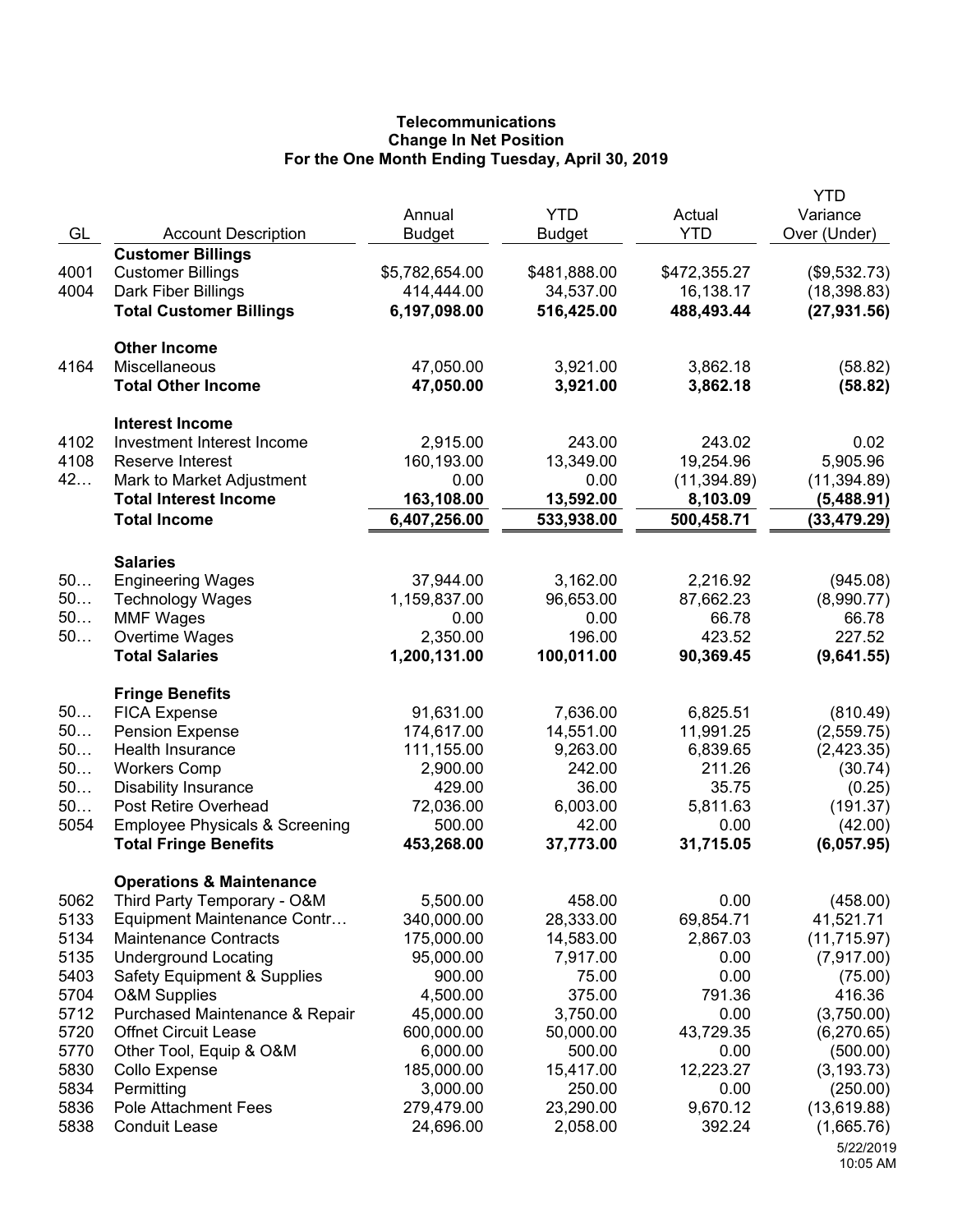## **Telecommunications Change In Net Position For the One Month Ending Tuesday, April 30, 2019**

| GL       | <b>Account Description</b>                          | Annual<br><b>Budget</b> | <b>YTD</b><br><b>Budget</b> | Actual<br><b>YTD</b> | <b>YTD</b><br>Variance<br>Over (Under) |
|----------|-----------------------------------------------------|-------------------------|-----------------------------|----------------------|----------------------------------------|
|          | <b>Customer Billings</b>                            |                         |                             |                      |                                        |
| 4001     | <b>Customer Billings</b>                            | \$5,782,654.00          | \$481,888.00                | \$472,355.27         | (\$9,532.73)                           |
| 4004     | Dark Fiber Billings                                 | 414,444.00              | 34,537.00                   | 16,138.17            | (18, 398.83)                           |
|          | <b>Total Customer Billings</b>                      | 6,197,098.00            | 516,425.00                  | 488,493.44           | (27, 931.56)                           |
|          | <b>Other Income</b>                                 |                         |                             |                      |                                        |
| 4164     | Miscellaneous<br><b>Total Other Income</b>          | 47,050.00<br>47,050.00  | 3,921.00<br>3,921.00        | 3,862.18<br>3,862.18 | (58.82)<br>(58.82)                     |
|          | <b>Interest Income</b>                              |                         |                             |                      |                                        |
| 4102     | Investment Interest Income                          | 2,915.00                | 243.00                      | 243.02               | 0.02                                   |
| 4108     | Reserve Interest                                    | 160,193.00              | 13,349.00                   | 19,254.96            | 5,905.96                               |
| 42       | Mark to Market Adjustment                           | 0.00                    | 0.00                        | (11, 394.89)         | (11, 394.89)                           |
|          | <b>Total Interest Income</b>                        | 163,108.00              | 13,592.00                   | 8,103.09             | (5,488.91)                             |
|          | <b>Total Income</b>                                 | 6,407,256.00            | 533,938.00                  | 500,458.71           | (33, 479.29)                           |
|          | <b>Salaries</b>                                     |                         |                             |                      |                                        |
| 50       | <b>Engineering Wages</b>                            | 37,944.00               | 3,162.00                    | 2,216.92             | (945.08)                               |
| 50       | <b>Technology Wages</b>                             | 1,159,837.00            | 96,653.00                   | 87,662.23            | (8,990.77)                             |
| 50       | <b>MMF Wages</b>                                    | 0.00                    | 0.00                        | 66.78                | 66.78                                  |
| 50       | Overtime Wages                                      | 2,350.00                | 196.00                      | 423.52               | 227.52                                 |
|          | <b>Total Salaries</b>                               | 1,200,131.00            | 100,011.00                  | 90,369.45            | (9,641.55)                             |
|          | <b>Fringe Benefits</b>                              |                         |                             |                      |                                        |
| 50       | <b>FICA Expense</b>                                 | 91,631.00               | 7,636.00                    | 6,825.51             | (810.49)                               |
| 50       | <b>Pension Expense</b>                              | 174,617.00              | 14,551.00                   | 11,991.25            | (2,559.75)                             |
| 50<br>50 | Health Insurance                                    | 111,155.00              | 9,263.00                    | 6,839.65             | (2,423.35)                             |
| 50       | <b>Workers Comp</b>                                 | 2,900.00<br>429.00      | 242.00<br>36.00             | 211.26<br>35.75      | (30.74)                                |
| 50       | <b>Disability Insurance</b><br>Post Retire Overhead | 72,036.00               | 6,003.00                    | 5,811.63             | (0.25)<br>(191.37)                     |
| 5054     | <b>Employee Physicals &amp; Screening</b>           | 500.00                  | 42.00                       | 0.00                 | (42.00)                                |
|          | <b>Total Fringe Benefits</b>                        | 453,268.00              | 37,773.00                   | 31,715.05            | (6,057.95)                             |
|          | <b>Operations &amp; Maintenance</b>                 |                         |                             |                      |                                        |
| 5062     | Third Party Temporary - O&M                         | 5,500.00                | 458.00                      | 0.00                 | (458.00)                               |
| 5133     | Equipment Maintenance Contr                         | 340,000.00              | 28,333.00                   | 69,854.71            | 41,521.71                              |
| 5134     | <b>Maintenance Contracts</b>                        | 175,000.00              | 14,583.00                   | 2,867.03             | (11, 715.97)                           |
| 5135     | <b>Underground Locating</b>                         | 95,000.00               | 7,917.00                    | 0.00                 | (7,917.00)                             |
| 5403     | <b>Safety Equipment &amp; Supplies</b>              | 900.00                  | 75.00                       | 0.00                 | (75.00)                                |
| 5704     | <b>O&amp;M Supplies</b>                             | 4,500.00                | 375.00                      | 791.36               | 416.36                                 |
| 5712     | Purchased Maintenance & Repair                      | 45,000.00               | 3,750.00                    | 0.00                 | (3,750.00)                             |
| 5720     | Offnet Circuit Lease                                | 600,000.00              | 50,000.00                   | 43,729.35            | (6,270.65)                             |
| 5770     | Other Tool, Equip & O&M                             | 6,000.00                | 500.00                      | 0.00                 | (500.00)                               |
| 5830     | Collo Expense                                       | 185,000.00              | 15,417.00                   | 12,223.27            | (3, 193.73)                            |
| 5834     | Permitting                                          | 3,000.00                | 250.00                      | 0.00                 | (250.00)                               |
| 5836     | <b>Pole Attachment Fees</b>                         | 279,479.00              | 23,290.00                   | 9,670.12             | (13,619.88)                            |
| 5838     | <b>Conduit Lease</b>                                | 24,696.00               | 2,058.00                    | 392.24               | (1,665.76)                             |
|          |                                                     |                         |                             |                      | 5/22/2019<br>10:05 AM                  |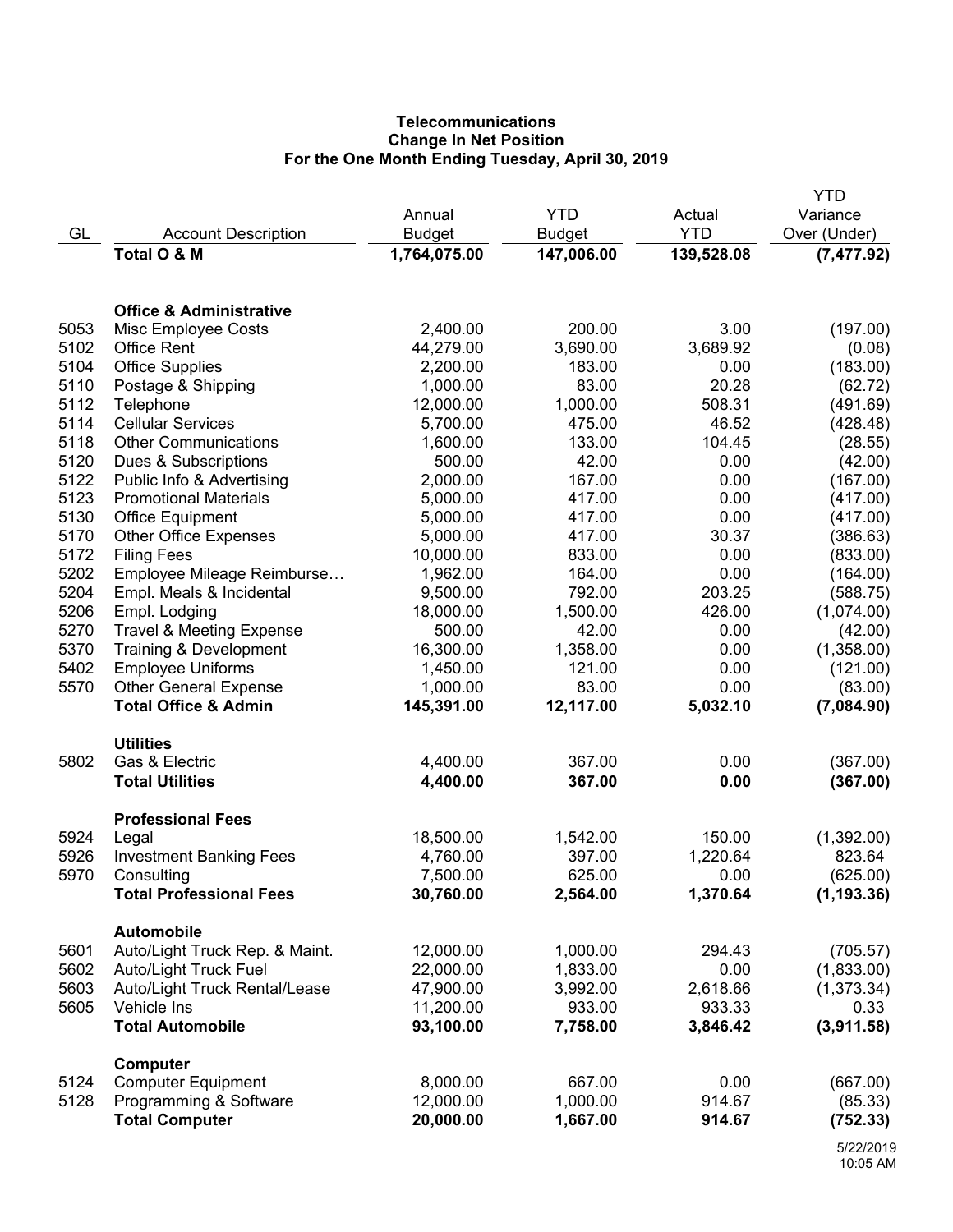# **Telecommunications Change In Net Position For the One Month Ending Tuesday, April 30, 2019**

|      |                                     |               |               |            | <b>YTD</b>   |
|------|-------------------------------------|---------------|---------------|------------|--------------|
|      |                                     | Annual        | <b>YTD</b>    | Actual     | Variance     |
| GL   | <b>Account Description</b>          | <b>Budget</b> | <b>Budget</b> | <b>YTD</b> | Over (Under) |
|      | Total O & M                         | 1,764,075.00  | 147,006.00    | 139,528.08 | (7, 477.92)  |
|      |                                     |               |               |            |              |
|      | <b>Office &amp; Administrative</b>  |               |               |            |              |
| 5053 | Misc Employee Costs                 | 2,400.00      | 200.00        | 3.00       | (197.00)     |
| 5102 | <b>Office Rent</b>                  | 44,279.00     | 3,690.00      | 3,689.92   | (0.08)       |
| 5104 | <b>Office Supplies</b>              | 2,200.00      | 183.00        | 0.00       | (183.00)     |
| 5110 | Postage & Shipping                  | 1,000.00      | 83.00         | 20.28      | (62.72)      |
| 5112 | Telephone                           | 12,000.00     | 1,000.00      | 508.31     | (491.69)     |
| 5114 | <b>Cellular Services</b>            | 5,700.00      | 475.00        | 46.52      | (428.48)     |
| 5118 | <b>Other Communications</b>         | 1,600.00      | 133.00        | 104.45     | (28.55)      |
| 5120 | Dues & Subscriptions                | 500.00        | 42.00         | 0.00       | (42.00)      |
| 5122 | Public Info & Advertising           | 2,000.00      | 167.00        | 0.00       | (167.00)     |
| 5123 | <b>Promotional Materials</b>        | 5,000.00      | 417.00        | 0.00       | (417.00)     |
| 5130 | <b>Office Equipment</b>             | 5,000.00      | 417.00        | 0.00       | (417.00)     |
| 5170 | <b>Other Office Expenses</b>        | 5,000.00      | 417.00        | 30.37      | (386.63)     |
| 5172 | <b>Filing Fees</b>                  | 10,000.00     | 833.00        | 0.00       | (833.00)     |
| 5202 | Employee Mileage Reimburse          | 1,962.00      | 164.00        | 0.00       | (164.00)     |
| 5204 | Empl. Meals & Incidental            | 9,500.00      | 792.00        | 203.25     | (588.75)     |
| 5206 | Empl. Lodging                       | 18,000.00     | 1,500.00      | 426.00     | (1,074.00)   |
| 5270 | <b>Travel &amp; Meeting Expense</b> | 500.00        | 42.00         | 0.00       | (42.00)      |
| 5370 | Training & Development              | 16,300.00     | 1,358.00      | 0.00       | (1,358.00)   |
| 5402 | <b>Employee Uniforms</b>            | 1,450.00      | 121.00        | 0.00       | (121.00)     |
| 5570 | <b>Other General Expense</b>        | 1,000.00      | 83.00         | 0.00       | (83.00)      |
|      | <b>Total Office &amp; Admin</b>     | 145,391.00    | 12,117.00     | 5,032.10   | (7,084.90)   |
|      |                                     |               |               |            |              |
|      | <b>Utilities</b>                    |               |               |            |              |
| 5802 | Gas & Electric                      | 4,400.00      | 367.00        | 0.00       | (367.00)     |
|      | <b>Total Utilities</b>              | 4,400.00      | 367.00        | 0.00       | (367.00)     |
|      | <b>Professional Fees</b>            |               |               |            |              |
| 5924 | Legal                               | 18,500.00     | 1,542.00      | 150.00     | (1,392.00)   |
| 5926 | <b>Investment Banking Fees</b>      | 4,760.00      | 397.00        | 1,220.64   | 823.64       |
| 5970 | Consulting                          | 7,500.00      | 625.00        | 0.00       | (625.00)     |
|      | <b>Total Professional Fees</b>      | 30,760.00     | 2,564.00      | 1,370.64   | (1, 193.36)  |
|      | <b>Automobile</b>                   |               |               |            |              |
| 5601 | Auto/Light Truck Rep. & Maint.      | 12,000.00     | 1,000.00      | 294.43     | (705.57)     |
| 5602 | <b>Auto/Light Truck Fuel</b>        | 22,000.00     | 1,833.00      | 0.00       | (1,833.00)   |
| 5603 | Auto/Light Truck Rental/Lease       | 47,900.00     | 3,992.00      | 2,618.66   | (1,373.34)   |
| 5605 | Vehicle Ins                         | 11,200.00     | 933.00        | 933.33     | 0.33         |
|      | <b>Total Automobile</b>             | 93,100.00     | 7,758.00      | 3,846.42   | (3,911.58)   |
|      | Computer                            |               |               |            |              |
| 5124 | <b>Computer Equipment</b>           | 8,000.00      | 667.00        | 0.00       | (667.00)     |
| 5128 | Programming & Software              | 12,000.00     | 1,000.00      | 914.67     | (85.33)      |
|      | <b>Total Computer</b>               | 20,000.00     | 1,667.00      | 914.67     | (752.33)     |
|      |                                     |               |               |            |              |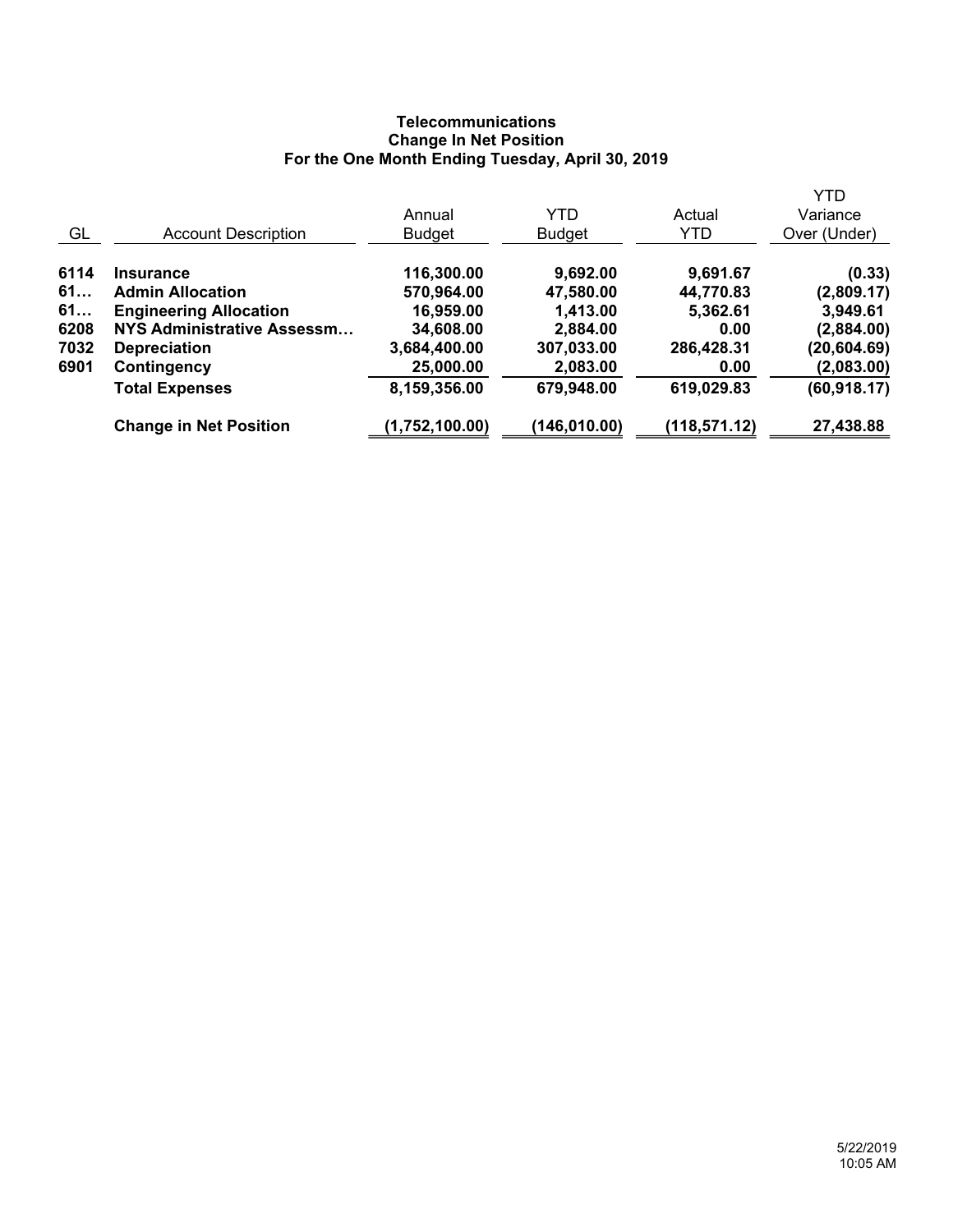# **Telecommunications Change In Net Position For the One Month Ending Tuesday, April 30, 2019**

|      |                               | Annual         | <b>YTD</b>    | Actual       | <b>YTD</b><br>Variance |
|------|-------------------------------|----------------|---------------|--------------|------------------------|
| GL   | <b>Account Description</b>    | <b>Budget</b>  | <b>Budget</b> | YTD          | Over (Under)           |
| 6114 | <b>Insurance</b>              | 116,300.00     | 9,692.00      | 9,691.67     | (0.33)                 |
| 61   | <b>Admin Allocation</b>       | 570,964.00     | 47,580.00     | 44,770.83    | (2,809.17)             |
| 61   | <b>Engineering Allocation</b> | 16,959.00      | 1,413.00      | 5,362.61     | 3,949.61               |
| 6208 | NYS Administrative Assessm    | 34,608.00      | 2,884.00      | 0.00         | (2,884.00)             |
| 7032 | <b>Depreciation</b>           | 3,684,400.00   | 307,033.00    | 286,428.31   | (20, 604.69)           |
| 6901 | Contingency                   | 25,000.00      | 2,083.00      | 0.00         | (2,083.00)             |
|      | <b>Total Expenses</b>         | 8,159,356.00   | 679,948.00    | 619,029.83   | (60, 918.17)           |
|      | <b>Change in Net Position</b> | (1,752,100.00) | (146, 010.00) | (118,571.12) | 27,438.88              |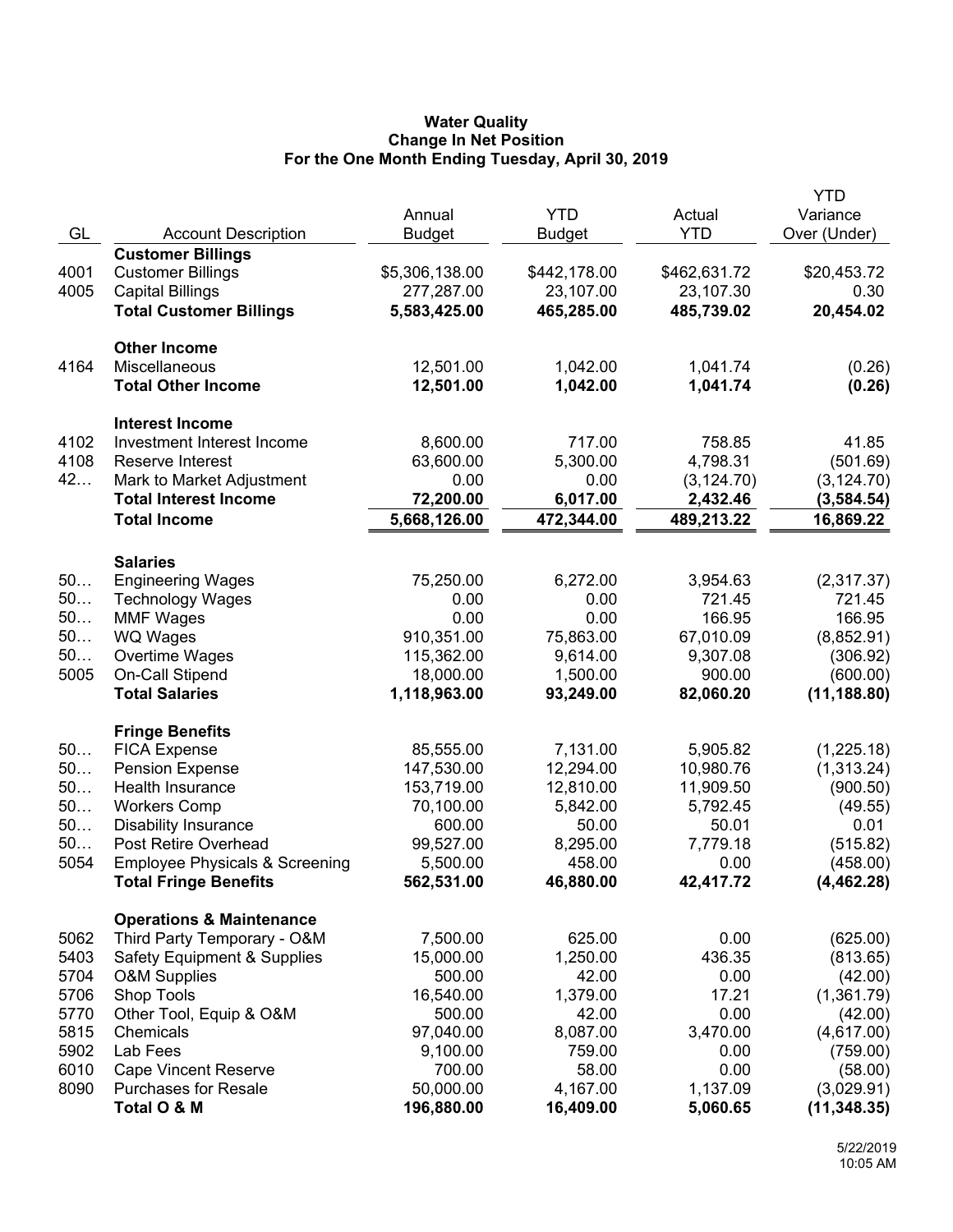## **Water Quality Change In Net Position For the One Month Ending Tuesday, April 30, 2019**

| GL<br><b>YTD</b><br>Over (Under)<br><b>Account Description</b><br><b>Budget</b><br><b>Budget</b><br><b>Customer Billings</b><br>\$5,306,138.00<br>\$20,453.72<br>4001<br><b>Customer Billings</b><br>\$442,178.00<br>\$462,631.72<br>4005<br><b>Capital Billings</b><br>277,287.00<br>23,107.00<br>23,107.30<br>0.30<br><b>Total Customer Billings</b><br>5,583,425.00<br>465,285.00<br>485,739.02<br>20,454.02<br><b>Other Income</b><br>4164<br>Miscellaneous<br>12,501.00<br>1,042.00<br>1,041.74<br>(0.26)<br><b>Total Other Income</b><br>12,501.00<br>1,042.00<br>1,041.74<br>(0.26)<br><b>Interest Income</b><br>4102<br>Investment Interest Income<br>8,600.00<br>717.00<br>758.85<br>41.85<br>4108<br>Reserve Interest<br>63,600.00<br>5,300.00<br>4,798.31<br>(501.69)<br>42<br>Mark to Market Adjustment<br>0.00<br>0.00<br>(3, 124.70)<br>(3, 124.70)<br><b>Total Interest Income</b><br>72,200.00<br>6,017.00<br>2,432.46<br>(3,584.54)<br><b>Total Income</b><br>489,213.22<br>16,869.22<br>5,668,126.00<br>472,344.00<br><b>Salaries</b><br>50<br><b>Engineering Wages</b><br>75,250.00<br>6,272.00<br>3,954.63<br>(2,317.37)<br>50<br>721.45<br>721.45<br><b>Technology Wages</b><br>0.00<br>0.00<br>50<br>0.00<br>0.00<br>166.95<br>166.95<br><b>MMF Wages</b><br>50<br>910,351.00<br>75,863.00<br>67,010.09<br>(8,852.91)<br><b>WQ Wages</b><br>50<br>115,362.00<br>9,614.00<br>9,307.08<br>Overtime Wages<br>(306.92)<br>5005<br>On-Call Stipend<br>18,000.00<br>1,500.00<br>900.00<br>(600.00)<br><b>Total Salaries</b><br>1,118,963.00<br>82,060.20<br>(11, 188.80)<br>93,249.00<br><b>Fringe Benefits</b><br>50<br>85,555.00<br>7,131.00<br>5,905.82<br>(1,225.18)<br><b>FICA Expense</b><br>50<br>147,530.00<br><b>Pension Expense</b><br>12,294.00<br>10,980.76<br>(1,313.24)<br>50<br>Health Insurance<br>153,719.00<br>12,810.00<br>11,909.50<br>(900.50)<br>50<br><b>Workers Comp</b><br>70,100.00<br>5,842.00<br>5,792.45<br>(49.55)<br>50<br>600.00<br><b>Disability Insurance</b><br>50.00<br>50.01<br>0.01<br>50<br>Post Retire Overhead<br>99,527.00<br>8,295.00<br>7,779.18<br>(515.82)<br>5054<br>458.00<br><b>Employee Physicals &amp; Screening</b><br>5,500.00<br>0.00<br>(458.00)<br>562,531.00<br>46,880.00<br>42,417.72<br>(4, 462.28)<br><b>Total Fringe Benefits</b><br><b>Operations &amp; Maintenance</b><br>Third Party Temporary - O&M<br>7,500.00<br>625.00<br>0.00<br>(625.00)<br>5062<br>5403<br>15,000.00<br>1,250.00<br>436.35<br><b>Safety Equipment &amp; Supplies</b><br>(813.65)<br>5704<br>500.00<br>42.00<br><b>O&amp;M Supplies</b><br>0.00<br>(42.00)<br>5706<br>Shop Tools<br>16,540.00<br>1,379.00<br>17.21<br>(1,361.79)<br>5770<br>Other Tool, Equip & O&M<br>0.00<br>500.00<br>42.00<br>(42.00)<br>5815<br>97,040.00<br>8,087.00<br>3,470.00<br>Chemicals<br>(4,617.00)<br>5902<br>Lab Fees<br>9,100.00<br>759.00<br>0.00<br>(759.00)<br>6010<br><b>Cape Vincent Reserve</b><br>58.00<br>0.00<br>700.00<br>(58.00)<br>8090<br><b>Purchases for Resale</b><br>50,000.00<br>4,167.00<br>1,137.09<br>(3,029.91)<br>Total O & M<br>196,880.00<br>16,409.00<br>5,060.65<br>(11, 348.35) |  |        |            |        | <b>YTD</b> |
|----------------------------------------------------------------------------------------------------------------------------------------------------------------------------------------------------------------------------------------------------------------------------------------------------------------------------------------------------------------------------------------------------------------------------------------------------------------------------------------------------------------------------------------------------------------------------------------------------------------------------------------------------------------------------------------------------------------------------------------------------------------------------------------------------------------------------------------------------------------------------------------------------------------------------------------------------------------------------------------------------------------------------------------------------------------------------------------------------------------------------------------------------------------------------------------------------------------------------------------------------------------------------------------------------------------------------------------------------------------------------------------------------------------------------------------------------------------------------------------------------------------------------------------------------------------------------------------------------------------------------------------------------------------------------------------------------------------------------------------------------------------------------------------------------------------------------------------------------------------------------------------------------------------------------------------------------------------------------------------------------------------------------------------------------------------------------------------------------------------------------------------------------------------------------------------------------------------------------------------------------------------------------------------------------------------------------------------------------------------------------------------------------------------------------------------------------------------------------------------------------------------------------------------------------------------------------------------------------------------------------------------------------------------------------------------------------------------------------------------------------------------------------------------------------------------------------------------------------------------------------------------------------------------------------------------------------------------------------------------------------------------------------------------------------------------------------------------------------------------------------------------------------|--|--------|------------|--------|------------|
|                                                                                                                                                                                                                                                                                                                                                                                                                                                                                                                                                                                                                                                                                                                                                                                                                                                                                                                                                                                                                                                                                                                                                                                                                                                                                                                                                                                                                                                                                                                                                                                                                                                                                                                                                                                                                                                                                                                                                                                                                                                                                                                                                                                                                                                                                                                                                                                                                                                                                                                                                                                                                                                                                                                                                                                                                                                                                                                                                                                                                                                                                                                                                    |  | Annual | <b>YTD</b> | Actual | Variance   |
|                                                                                                                                                                                                                                                                                                                                                                                                                                                                                                                                                                                                                                                                                                                                                                                                                                                                                                                                                                                                                                                                                                                                                                                                                                                                                                                                                                                                                                                                                                                                                                                                                                                                                                                                                                                                                                                                                                                                                                                                                                                                                                                                                                                                                                                                                                                                                                                                                                                                                                                                                                                                                                                                                                                                                                                                                                                                                                                                                                                                                                                                                                                                                    |  |        |            |        |            |
|                                                                                                                                                                                                                                                                                                                                                                                                                                                                                                                                                                                                                                                                                                                                                                                                                                                                                                                                                                                                                                                                                                                                                                                                                                                                                                                                                                                                                                                                                                                                                                                                                                                                                                                                                                                                                                                                                                                                                                                                                                                                                                                                                                                                                                                                                                                                                                                                                                                                                                                                                                                                                                                                                                                                                                                                                                                                                                                                                                                                                                                                                                                                                    |  |        |            |        |            |
|                                                                                                                                                                                                                                                                                                                                                                                                                                                                                                                                                                                                                                                                                                                                                                                                                                                                                                                                                                                                                                                                                                                                                                                                                                                                                                                                                                                                                                                                                                                                                                                                                                                                                                                                                                                                                                                                                                                                                                                                                                                                                                                                                                                                                                                                                                                                                                                                                                                                                                                                                                                                                                                                                                                                                                                                                                                                                                                                                                                                                                                                                                                                                    |  |        |            |        |            |
|                                                                                                                                                                                                                                                                                                                                                                                                                                                                                                                                                                                                                                                                                                                                                                                                                                                                                                                                                                                                                                                                                                                                                                                                                                                                                                                                                                                                                                                                                                                                                                                                                                                                                                                                                                                                                                                                                                                                                                                                                                                                                                                                                                                                                                                                                                                                                                                                                                                                                                                                                                                                                                                                                                                                                                                                                                                                                                                                                                                                                                                                                                                                                    |  |        |            |        |            |
|                                                                                                                                                                                                                                                                                                                                                                                                                                                                                                                                                                                                                                                                                                                                                                                                                                                                                                                                                                                                                                                                                                                                                                                                                                                                                                                                                                                                                                                                                                                                                                                                                                                                                                                                                                                                                                                                                                                                                                                                                                                                                                                                                                                                                                                                                                                                                                                                                                                                                                                                                                                                                                                                                                                                                                                                                                                                                                                                                                                                                                                                                                                                                    |  |        |            |        |            |
|                                                                                                                                                                                                                                                                                                                                                                                                                                                                                                                                                                                                                                                                                                                                                                                                                                                                                                                                                                                                                                                                                                                                                                                                                                                                                                                                                                                                                                                                                                                                                                                                                                                                                                                                                                                                                                                                                                                                                                                                                                                                                                                                                                                                                                                                                                                                                                                                                                                                                                                                                                                                                                                                                                                                                                                                                                                                                                                                                                                                                                                                                                                                                    |  |        |            |        |            |
|                                                                                                                                                                                                                                                                                                                                                                                                                                                                                                                                                                                                                                                                                                                                                                                                                                                                                                                                                                                                                                                                                                                                                                                                                                                                                                                                                                                                                                                                                                                                                                                                                                                                                                                                                                                                                                                                                                                                                                                                                                                                                                                                                                                                                                                                                                                                                                                                                                                                                                                                                                                                                                                                                                                                                                                                                                                                                                                                                                                                                                                                                                                                                    |  |        |            |        |            |
|                                                                                                                                                                                                                                                                                                                                                                                                                                                                                                                                                                                                                                                                                                                                                                                                                                                                                                                                                                                                                                                                                                                                                                                                                                                                                                                                                                                                                                                                                                                                                                                                                                                                                                                                                                                                                                                                                                                                                                                                                                                                                                                                                                                                                                                                                                                                                                                                                                                                                                                                                                                                                                                                                                                                                                                                                                                                                                                                                                                                                                                                                                                                                    |  |        |            |        |            |
|                                                                                                                                                                                                                                                                                                                                                                                                                                                                                                                                                                                                                                                                                                                                                                                                                                                                                                                                                                                                                                                                                                                                                                                                                                                                                                                                                                                                                                                                                                                                                                                                                                                                                                                                                                                                                                                                                                                                                                                                                                                                                                                                                                                                                                                                                                                                                                                                                                                                                                                                                                                                                                                                                                                                                                                                                                                                                                                                                                                                                                                                                                                                                    |  |        |            |        |            |
|                                                                                                                                                                                                                                                                                                                                                                                                                                                                                                                                                                                                                                                                                                                                                                                                                                                                                                                                                                                                                                                                                                                                                                                                                                                                                                                                                                                                                                                                                                                                                                                                                                                                                                                                                                                                                                                                                                                                                                                                                                                                                                                                                                                                                                                                                                                                                                                                                                                                                                                                                                                                                                                                                                                                                                                                                                                                                                                                                                                                                                                                                                                                                    |  |        |            |        |            |
|                                                                                                                                                                                                                                                                                                                                                                                                                                                                                                                                                                                                                                                                                                                                                                                                                                                                                                                                                                                                                                                                                                                                                                                                                                                                                                                                                                                                                                                                                                                                                                                                                                                                                                                                                                                                                                                                                                                                                                                                                                                                                                                                                                                                                                                                                                                                                                                                                                                                                                                                                                                                                                                                                                                                                                                                                                                                                                                                                                                                                                                                                                                                                    |  |        |            |        |            |
|                                                                                                                                                                                                                                                                                                                                                                                                                                                                                                                                                                                                                                                                                                                                                                                                                                                                                                                                                                                                                                                                                                                                                                                                                                                                                                                                                                                                                                                                                                                                                                                                                                                                                                                                                                                                                                                                                                                                                                                                                                                                                                                                                                                                                                                                                                                                                                                                                                                                                                                                                                                                                                                                                                                                                                                                                                                                                                                                                                                                                                                                                                                                                    |  |        |            |        |            |
|                                                                                                                                                                                                                                                                                                                                                                                                                                                                                                                                                                                                                                                                                                                                                                                                                                                                                                                                                                                                                                                                                                                                                                                                                                                                                                                                                                                                                                                                                                                                                                                                                                                                                                                                                                                                                                                                                                                                                                                                                                                                                                                                                                                                                                                                                                                                                                                                                                                                                                                                                                                                                                                                                                                                                                                                                                                                                                                                                                                                                                                                                                                                                    |  |        |            |        |            |
|                                                                                                                                                                                                                                                                                                                                                                                                                                                                                                                                                                                                                                                                                                                                                                                                                                                                                                                                                                                                                                                                                                                                                                                                                                                                                                                                                                                                                                                                                                                                                                                                                                                                                                                                                                                                                                                                                                                                                                                                                                                                                                                                                                                                                                                                                                                                                                                                                                                                                                                                                                                                                                                                                                                                                                                                                                                                                                                                                                                                                                                                                                                                                    |  |        |            |        |            |
|                                                                                                                                                                                                                                                                                                                                                                                                                                                                                                                                                                                                                                                                                                                                                                                                                                                                                                                                                                                                                                                                                                                                                                                                                                                                                                                                                                                                                                                                                                                                                                                                                                                                                                                                                                                                                                                                                                                                                                                                                                                                                                                                                                                                                                                                                                                                                                                                                                                                                                                                                                                                                                                                                                                                                                                                                                                                                                                                                                                                                                                                                                                                                    |  |        |            |        |            |
|                                                                                                                                                                                                                                                                                                                                                                                                                                                                                                                                                                                                                                                                                                                                                                                                                                                                                                                                                                                                                                                                                                                                                                                                                                                                                                                                                                                                                                                                                                                                                                                                                                                                                                                                                                                                                                                                                                                                                                                                                                                                                                                                                                                                                                                                                                                                                                                                                                                                                                                                                                                                                                                                                                                                                                                                                                                                                                                                                                                                                                                                                                                                                    |  |        |            |        |            |
|                                                                                                                                                                                                                                                                                                                                                                                                                                                                                                                                                                                                                                                                                                                                                                                                                                                                                                                                                                                                                                                                                                                                                                                                                                                                                                                                                                                                                                                                                                                                                                                                                                                                                                                                                                                                                                                                                                                                                                                                                                                                                                                                                                                                                                                                                                                                                                                                                                                                                                                                                                                                                                                                                                                                                                                                                                                                                                                                                                                                                                                                                                                                                    |  |        |            |        |            |
|                                                                                                                                                                                                                                                                                                                                                                                                                                                                                                                                                                                                                                                                                                                                                                                                                                                                                                                                                                                                                                                                                                                                                                                                                                                                                                                                                                                                                                                                                                                                                                                                                                                                                                                                                                                                                                                                                                                                                                                                                                                                                                                                                                                                                                                                                                                                                                                                                                                                                                                                                                                                                                                                                                                                                                                                                                                                                                                                                                                                                                                                                                                                                    |  |        |            |        |            |
|                                                                                                                                                                                                                                                                                                                                                                                                                                                                                                                                                                                                                                                                                                                                                                                                                                                                                                                                                                                                                                                                                                                                                                                                                                                                                                                                                                                                                                                                                                                                                                                                                                                                                                                                                                                                                                                                                                                                                                                                                                                                                                                                                                                                                                                                                                                                                                                                                                                                                                                                                                                                                                                                                                                                                                                                                                                                                                                                                                                                                                                                                                                                                    |  |        |            |        |            |
|                                                                                                                                                                                                                                                                                                                                                                                                                                                                                                                                                                                                                                                                                                                                                                                                                                                                                                                                                                                                                                                                                                                                                                                                                                                                                                                                                                                                                                                                                                                                                                                                                                                                                                                                                                                                                                                                                                                                                                                                                                                                                                                                                                                                                                                                                                                                                                                                                                                                                                                                                                                                                                                                                                                                                                                                                                                                                                                                                                                                                                                                                                                                                    |  |        |            |        |            |
|                                                                                                                                                                                                                                                                                                                                                                                                                                                                                                                                                                                                                                                                                                                                                                                                                                                                                                                                                                                                                                                                                                                                                                                                                                                                                                                                                                                                                                                                                                                                                                                                                                                                                                                                                                                                                                                                                                                                                                                                                                                                                                                                                                                                                                                                                                                                                                                                                                                                                                                                                                                                                                                                                                                                                                                                                                                                                                                                                                                                                                                                                                                                                    |  |        |            |        |            |
|                                                                                                                                                                                                                                                                                                                                                                                                                                                                                                                                                                                                                                                                                                                                                                                                                                                                                                                                                                                                                                                                                                                                                                                                                                                                                                                                                                                                                                                                                                                                                                                                                                                                                                                                                                                                                                                                                                                                                                                                                                                                                                                                                                                                                                                                                                                                                                                                                                                                                                                                                                                                                                                                                                                                                                                                                                                                                                                                                                                                                                                                                                                                                    |  |        |            |        |            |
|                                                                                                                                                                                                                                                                                                                                                                                                                                                                                                                                                                                                                                                                                                                                                                                                                                                                                                                                                                                                                                                                                                                                                                                                                                                                                                                                                                                                                                                                                                                                                                                                                                                                                                                                                                                                                                                                                                                                                                                                                                                                                                                                                                                                                                                                                                                                                                                                                                                                                                                                                                                                                                                                                                                                                                                                                                                                                                                                                                                                                                                                                                                                                    |  |        |            |        |            |
|                                                                                                                                                                                                                                                                                                                                                                                                                                                                                                                                                                                                                                                                                                                                                                                                                                                                                                                                                                                                                                                                                                                                                                                                                                                                                                                                                                                                                                                                                                                                                                                                                                                                                                                                                                                                                                                                                                                                                                                                                                                                                                                                                                                                                                                                                                                                                                                                                                                                                                                                                                                                                                                                                                                                                                                                                                                                                                                                                                                                                                                                                                                                                    |  |        |            |        |            |
|                                                                                                                                                                                                                                                                                                                                                                                                                                                                                                                                                                                                                                                                                                                                                                                                                                                                                                                                                                                                                                                                                                                                                                                                                                                                                                                                                                                                                                                                                                                                                                                                                                                                                                                                                                                                                                                                                                                                                                                                                                                                                                                                                                                                                                                                                                                                                                                                                                                                                                                                                                                                                                                                                                                                                                                                                                                                                                                                                                                                                                                                                                                                                    |  |        |            |        |            |
|                                                                                                                                                                                                                                                                                                                                                                                                                                                                                                                                                                                                                                                                                                                                                                                                                                                                                                                                                                                                                                                                                                                                                                                                                                                                                                                                                                                                                                                                                                                                                                                                                                                                                                                                                                                                                                                                                                                                                                                                                                                                                                                                                                                                                                                                                                                                                                                                                                                                                                                                                                                                                                                                                                                                                                                                                                                                                                                                                                                                                                                                                                                                                    |  |        |            |        |            |
|                                                                                                                                                                                                                                                                                                                                                                                                                                                                                                                                                                                                                                                                                                                                                                                                                                                                                                                                                                                                                                                                                                                                                                                                                                                                                                                                                                                                                                                                                                                                                                                                                                                                                                                                                                                                                                                                                                                                                                                                                                                                                                                                                                                                                                                                                                                                                                                                                                                                                                                                                                                                                                                                                                                                                                                                                                                                                                                                                                                                                                                                                                                                                    |  |        |            |        |            |
|                                                                                                                                                                                                                                                                                                                                                                                                                                                                                                                                                                                                                                                                                                                                                                                                                                                                                                                                                                                                                                                                                                                                                                                                                                                                                                                                                                                                                                                                                                                                                                                                                                                                                                                                                                                                                                                                                                                                                                                                                                                                                                                                                                                                                                                                                                                                                                                                                                                                                                                                                                                                                                                                                                                                                                                                                                                                                                                                                                                                                                                                                                                                                    |  |        |            |        |            |
|                                                                                                                                                                                                                                                                                                                                                                                                                                                                                                                                                                                                                                                                                                                                                                                                                                                                                                                                                                                                                                                                                                                                                                                                                                                                                                                                                                                                                                                                                                                                                                                                                                                                                                                                                                                                                                                                                                                                                                                                                                                                                                                                                                                                                                                                                                                                                                                                                                                                                                                                                                                                                                                                                                                                                                                                                                                                                                                                                                                                                                                                                                                                                    |  |        |            |        |            |
|                                                                                                                                                                                                                                                                                                                                                                                                                                                                                                                                                                                                                                                                                                                                                                                                                                                                                                                                                                                                                                                                                                                                                                                                                                                                                                                                                                                                                                                                                                                                                                                                                                                                                                                                                                                                                                                                                                                                                                                                                                                                                                                                                                                                                                                                                                                                                                                                                                                                                                                                                                                                                                                                                                                                                                                                                                                                                                                                                                                                                                                                                                                                                    |  |        |            |        |            |
|                                                                                                                                                                                                                                                                                                                                                                                                                                                                                                                                                                                                                                                                                                                                                                                                                                                                                                                                                                                                                                                                                                                                                                                                                                                                                                                                                                                                                                                                                                                                                                                                                                                                                                                                                                                                                                                                                                                                                                                                                                                                                                                                                                                                                                                                                                                                                                                                                                                                                                                                                                                                                                                                                                                                                                                                                                                                                                                                                                                                                                                                                                                                                    |  |        |            |        |            |
|                                                                                                                                                                                                                                                                                                                                                                                                                                                                                                                                                                                                                                                                                                                                                                                                                                                                                                                                                                                                                                                                                                                                                                                                                                                                                                                                                                                                                                                                                                                                                                                                                                                                                                                                                                                                                                                                                                                                                                                                                                                                                                                                                                                                                                                                                                                                                                                                                                                                                                                                                                                                                                                                                                                                                                                                                                                                                                                                                                                                                                                                                                                                                    |  |        |            |        |            |
|                                                                                                                                                                                                                                                                                                                                                                                                                                                                                                                                                                                                                                                                                                                                                                                                                                                                                                                                                                                                                                                                                                                                                                                                                                                                                                                                                                                                                                                                                                                                                                                                                                                                                                                                                                                                                                                                                                                                                                                                                                                                                                                                                                                                                                                                                                                                                                                                                                                                                                                                                                                                                                                                                                                                                                                                                                                                                                                                                                                                                                                                                                                                                    |  |        |            |        |            |
|                                                                                                                                                                                                                                                                                                                                                                                                                                                                                                                                                                                                                                                                                                                                                                                                                                                                                                                                                                                                                                                                                                                                                                                                                                                                                                                                                                                                                                                                                                                                                                                                                                                                                                                                                                                                                                                                                                                                                                                                                                                                                                                                                                                                                                                                                                                                                                                                                                                                                                                                                                                                                                                                                                                                                                                                                                                                                                                                                                                                                                                                                                                                                    |  |        |            |        |            |
|                                                                                                                                                                                                                                                                                                                                                                                                                                                                                                                                                                                                                                                                                                                                                                                                                                                                                                                                                                                                                                                                                                                                                                                                                                                                                                                                                                                                                                                                                                                                                                                                                                                                                                                                                                                                                                                                                                                                                                                                                                                                                                                                                                                                                                                                                                                                                                                                                                                                                                                                                                                                                                                                                                                                                                                                                                                                                                                                                                                                                                                                                                                                                    |  |        |            |        |            |
|                                                                                                                                                                                                                                                                                                                                                                                                                                                                                                                                                                                                                                                                                                                                                                                                                                                                                                                                                                                                                                                                                                                                                                                                                                                                                                                                                                                                                                                                                                                                                                                                                                                                                                                                                                                                                                                                                                                                                                                                                                                                                                                                                                                                                                                                                                                                                                                                                                                                                                                                                                                                                                                                                                                                                                                                                                                                                                                                                                                                                                                                                                                                                    |  |        |            |        |            |
|                                                                                                                                                                                                                                                                                                                                                                                                                                                                                                                                                                                                                                                                                                                                                                                                                                                                                                                                                                                                                                                                                                                                                                                                                                                                                                                                                                                                                                                                                                                                                                                                                                                                                                                                                                                                                                                                                                                                                                                                                                                                                                                                                                                                                                                                                                                                                                                                                                                                                                                                                                                                                                                                                                                                                                                                                                                                                                                                                                                                                                                                                                                                                    |  |        |            |        |            |
|                                                                                                                                                                                                                                                                                                                                                                                                                                                                                                                                                                                                                                                                                                                                                                                                                                                                                                                                                                                                                                                                                                                                                                                                                                                                                                                                                                                                                                                                                                                                                                                                                                                                                                                                                                                                                                                                                                                                                                                                                                                                                                                                                                                                                                                                                                                                                                                                                                                                                                                                                                                                                                                                                                                                                                                                                                                                                                                                                                                                                                                                                                                                                    |  |        |            |        |            |
|                                                                                                                                                                                                                                                                                                                                                                                                                                                                                                                                                                                                                                                                                                                                                                                                                                                                                                                                                                                                                                                                                                                                                                                                                                                                                                                                                                                                                                                                                                                                                                                                                                                                                                                                                                                                                                                                                                                                                                                                                                                                                                                                                                                                                                                                                                                                                                                                                                                                                                                                                                                                                                                                                                                                                                                                                                                                                                                                                                                                                                                                                                                                                    |  |        |            |        |            |
|                                                                                                                                                                                                                                                                                                                                                                                                                                                                                                                                                                                                                                                                                                                                                                                                                                                                                                                                                                                                                                                                                                                                                                                                                                                                                                                                                                                                                                                                                                                                                                                                                                                                                                                                                                                                                                                                                                                                                                                                                                                                                                                                                                                                                                                                                                                                                                                                                                                                                                                                                                                                                                                                                                                                                                                                                                                                                                                                                                                                                                                                                                                                                    |  |        |            |        |            |
|                                                                                                                                                                                                                                                                                                                                                                                                                                                                                                                                                                                                                                                                                                                                                                                                                                                                                                                                                                                                                                                                                                                                                                                                                                                                                                                                                                                                                                                                                                                                                                                                                                                                                                                                                                                                                                                                                                                                                                                                                                                                                                                                                                                                                                                                                                                                                                                                                                                                                                                                                                                                                                                                                                                                                                                                                                                                                                                                                                                                                                                                                                                                                    |  |        |            |        |            |
|                                                                                                                                                                                                                                                                                                                                                                                                                                                                                                                                                                                                                                                                                                                                                                                                                                                                                                                                                                                                                                                                                                                                                                                                                                                                                                                                                                                                                                                                                                                                                                                                                                                                                                                                                                                                                                                                                                                                                                                                                                                                                                                                                                                                                                                                                                                                                                                                                                                                                                                                                                                                                                                                                                                                                                                                                                                                                                                                                                                                                                                                                                                                                    |  |        |            |        |            |
|                                                                                                                                                                                                                                                                                                                                                                                                                                                                                                                                                                                                                                                                                                                                                                                                                                                                                                                                                                                                                                                                                                                                                                                                                                                                                                                                                                                                                                                                                                                                                                                                                                                                                                                                                                                                                                                                                                                                                                                                                                                                                                                                                                                                                                                                                                                                                                                                                                                                                                                                                                                                                                                                                                                                                                                                                                                                                                                                                                                                                                                                                                                                                    |  |        |            |        |            |
|                                                                                                                                                                                                                                                                                                                                                                                                                                                                                                                                                                                                                                                                                                                                                                                                                                                                                                                                                                                                                                                                                                                                                                                                                                                                                                                                                                                                                                                                                                                                                                                                                                                                                                                                                                                                                                                                                                                                                                                                                                                                                                                                                                                                                                                                                                                                                                                                                                                                                                                                                                                                                                                                                                                                                                                                                                                                                                                                                                                                                                                                                                                                                    |  |        |            |        |            |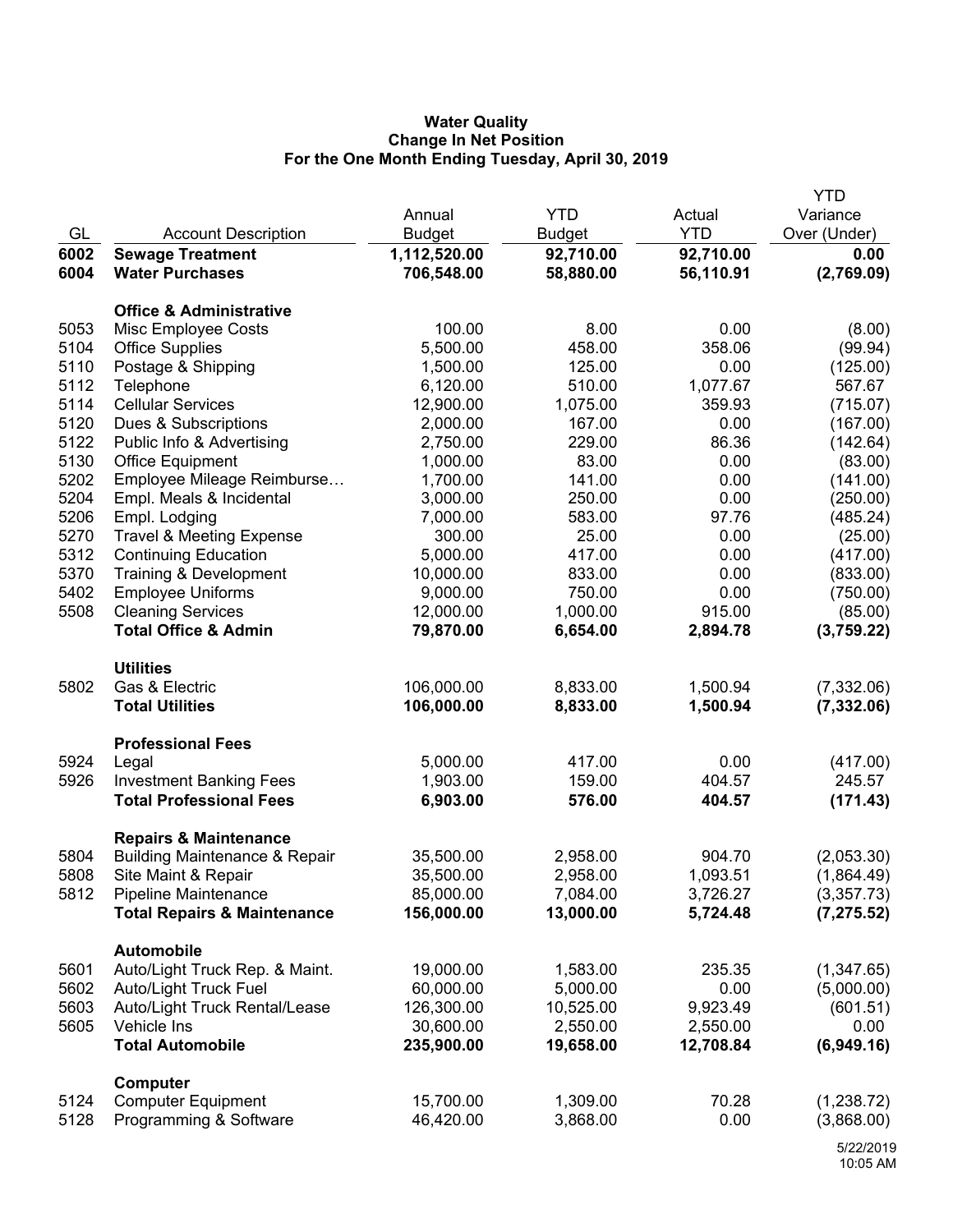## **Water Quality Change In Net Position For the One Month Ending Tuesday, April 30, 2019**

|      |                                                                 |               |               |            | <b>YTD</b>               |
|------|-----------------------------------------------------------------|---------------|---------------|------------|--------------------------|
|      |                                                                 | Annual        | <b>YTD</b>    | Actual     | Variance                 |
| GL   | <b>Account Description</b>                                      | <b>Budget</b> | <b>Budget</b> | <b>YTD</b> | Over (Under)             |
| 6002 | <b>Sewage Treatment</b>                                         | 1,112,520.00  | 92,710.00     | 92,710.00  | 0.00                     |
| 6004 | <b>Water Purchases</b>                                          | 706,548.00    | 58,880.00     | 56,110.91  | (2,769.09)               |
|      | <b>Office &amp; Administrative</b>                              |               |               |            |                          |
| 5053 | Misc Employee Costs                                             | 100.00        | 8.00          | 0.00       | (8.00)                   |
| 5104 | <b>Office Supplies</b>                                          | 5,500.00      | 458.00        | 358.06     | (99.94)                  |
| 5110 | Postage & Shipping                                              | 1,500.00      | 125.00        | 0.00       | (125.00)                 |
| 5112 | Telephone                                                       | 6,120.00      | 510.00        | 1,077.67   | 567.67                   |
| 5114 | <b>Cellular Services</b>                                        | 12,900.00     | 1,075.00      | 359.93     | (715.07)                 |
| 5120 | Dues & Subscriptions                                            | 2,000.00      | 167.00        | 0.00       | (167.00)                 |
| 5122 | Public Info & Advertising                                       | 2,750.00      | 229.00        | 86.36      | (142.64)                 |
| 5130 | <b>Office Equipment</b>                                         | 1,000.00      | 83.00         | 0.00       | (83.00)                  |
| 5202 | Employee Mileage Reimburse                                      | 1,700.00      | 141.00        | 0.00       | (141.00)                 |
| 5204 | Empl. Meals & Incidental                                        | 3,000.00      | 250.00        | 0.00       | (250.00)                 |
| 5206 | Empl. Lodging                                                   | 7,000.00      | 583.00        | 97.76      | (485.24)                 |
| 5270 | <b>Travel &amp; Meeting Expense</b>                             | 300.00        | 25.00         | 0.00       | (25.00)                  |
| 5312 | <b>Continuing Education</b>                                     | 5,000.00      | 417.00        | 0.00       | (417.00)                 |
| 5370 | Training & Development                                          | 10,000.00     | 833.00        | 0.00       | (833.00)                 |
| 5402 | <b>Employee Uniforms</b>                                        | 9,000.00      | 750.00        | 0.00       | (750.00)                 |
| 5508 | <b>Cleaning Services</b>                                        | 12,000.00     | 1,000.00      | 915.00     | (85.00)                  |
|      | <b>Total Office &amp; Admin</b>                                 | 79,870.00     | 6,654.00      | 2,894.78   | (3,759.22)               |
|      |                                                                 |               |               |            |                          |
|      | <b>Utilities</b>                                                |               |               |            |                          |
| 5802 | Gas & Electric                                                  | 106,000.00    | 8,833.00      | 1,500.94   | (7, 332.06)              |
|      | <b>Total Utilities</b>                                          | 106,000.00    | 8,833.00      | 1,500.94   | (7, 332.06)              |
|      | <b>Professional Fees</b>                                        |               |               |            |                          |
| 5924 | Legal                                                           | 5,000.00      | 417.00        | 0.00       | (417.00)                 |
| 5926 | <b>Investment Banking Fees</b>                                  | 1,903.00      | 159.00        | 404.57     | 245.57                   |
|      | <b>Total Professional Fees</b>                                  | 6,903.00      | 576.00        | 404.57     | (171.43)                 |
|      |                                                                 |               |               |            |                          |
| 5804 | <b>Repairs &amp; Maintenance</b>                                | 35,500.00     | 2,958.00      | 904.70     |                          |
| 5808 | <b>Building Maintenance &amp; Repair</b><br>Site Maint & Repair | 35,500.00     | 2,958.00      | 1,093.51   | (2,053.30)<br>(1,864.49) |
| 5812 | <b>Pipeline Maintenance</b>                                     | 85,000.00     | 7,084.00      | 3,726.27   | (3,357.73)               |
|      | <b>Total Repairs &amp; Maintenance</b>                          | 156,000.00    | 13,000.00     | 5,724.48   | (7, 275.52)              |
|      |                                                                 |               |               |            |                          |
|      | Automobile                                                      |               |               |            |                          |
| 5601 | Auto/Light Truck Rep. & Maint.                                  | 19,000.00     | 1,583.00      | 235.35     | (1,347.65)               |
| 5602 | <b>Auto/Light Truck Fuel</b>                                    | 60,000.00     | 5,000.00      | 0.00       | (5,000.00)               |
| 5603 | Auto/Light Truck Rental/Lease                                   | 126,300.00    | 10,525.00     | 9,923.49   | (601.51)                 |
| 5605 | Vehicle Ins                                                     | 30,600.00     | 2,550.00      | 2,550.00   | 0.00                     |
|      | <b>Total Automobile</b>                                         | 235,900.00    | 19,658.00     | 12,708.84  | (6,949.16)               |
|      | Computer                                                        |               |               |            |                          |
| 5124 | <b>Computer Equipment</b>                                       | 15,700.00     | 1,309.00      | 70.28      | (1,238.72)               |
| 5128 | Programming & Software                                          | 46,420.00     | 3,868.00      | 0.00       | (3,868.00)               |
|      |                                                                 |               |               |            | F/22/2046                |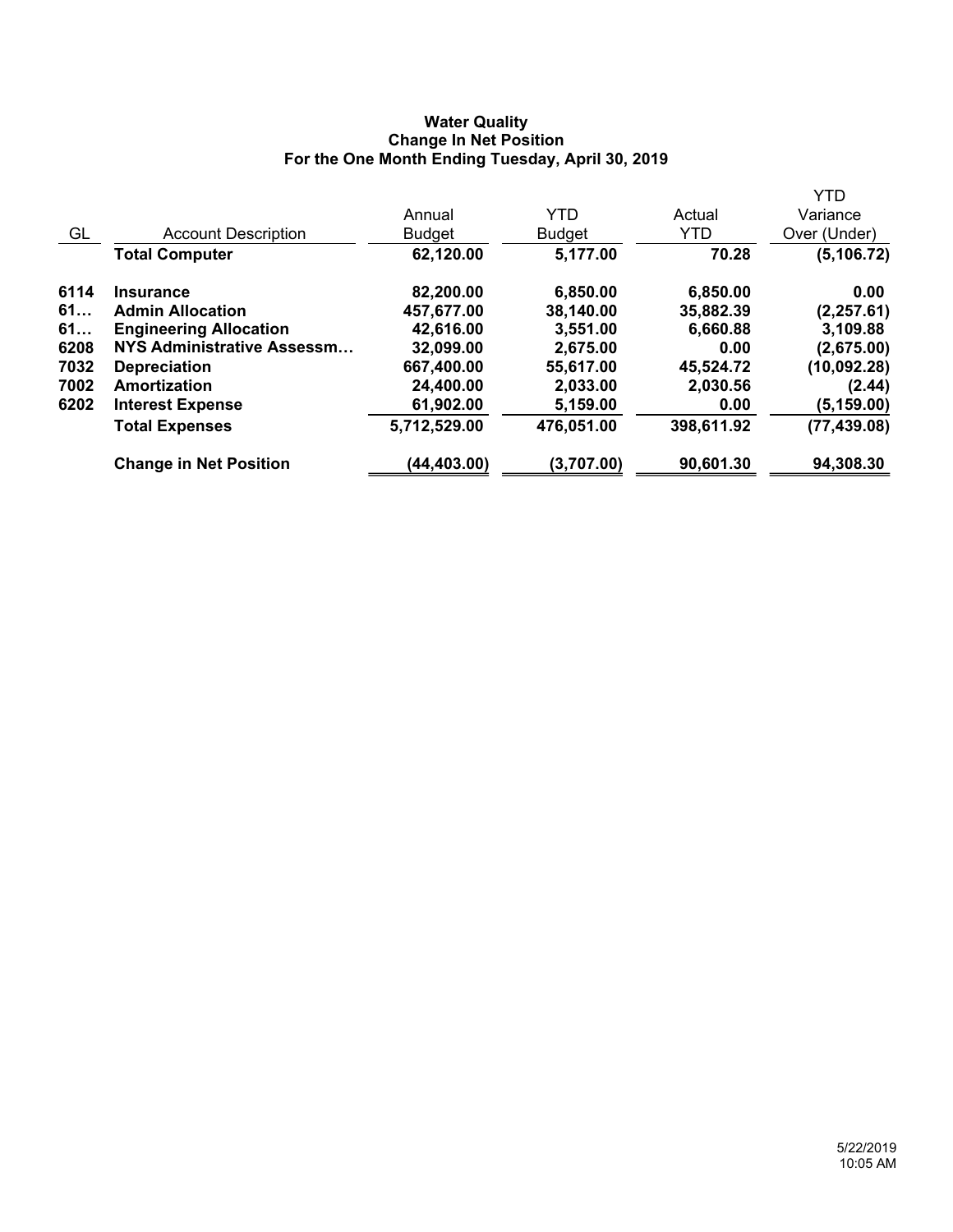## **Water Quality Change In Net Position For the One Month Ending Tuesday, April 30, 2019**

|      |                               |               |               |            | <b>YTD</b>   |
|------|-------------------------------|---------------|---------------|------------|--------------|
|      |                               | Annual        | <b>YTD</b>    | Actual     | Variance     |
| GL   | <b>Account Description</b>    | <b>Budget</b> | <b>Budget</b> | <b>YTD</b> | Over (Under) |
|      | <b>Total Computer</b>         | 62,120.00     | 5,177.00      | 70.28      | (5, 106.72)  |
| 6114 | <b>Insurance</b>              | 82,200.00     | 6,850.00      | 6,850.00   | 0.00         |
| 61   | <b>Admin Allocation</b>       | 457,677.00    | 38,140.00     | 35,882.39  | (2, 257.61)  |
| 61   | <b>Engineering Allocation</b> | 42,616.00     | 3,551.00      | 6,660.88   | 3,109.88     |
| 6208 | NYS Administrative Assessm    | 32,099.00     | 2,675.00      | 0.00       | (2,675.00)   |
| 7032 | <b>Depreciation</b>           | 667,400.00    | 55,617.00     | 45,524.72  | (10,092.28)  |
| 7002 | Amortization                  | 24,400.00     | 2,033.00      | 2,030.56   | (2.44)       |
| 6202 | <b>Interest Expense</b>       | 61,902.00     | 5,159.00      | 0.00       | (5, 159.00)  |
|      | <b>Total Expenses</b>         | 5,712,529.00  | 476,051.00    | 398,611.92 | (77, 439.08) |
|      | <b>Change in Net Position</b> | (44,403.00)   | (3,707.00)    | 90,601.30  | 94,308.30    |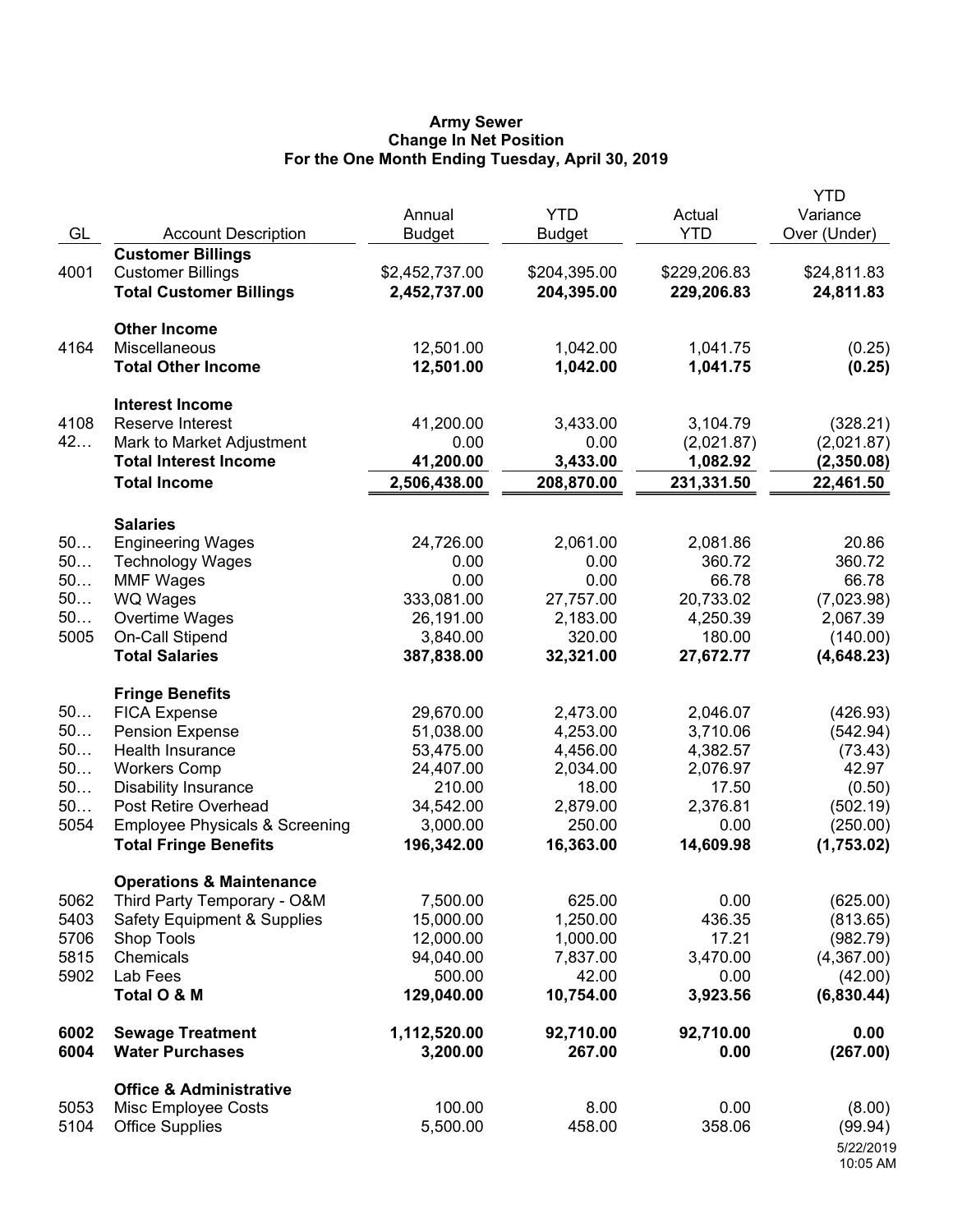### **Army Sewer Change In Net Position For the One Month Ending Tuesday, April 30, 2019**

| GL       | <b>Account Description</b>                 | Annual<br><b>Budget</b> | <b>YTD</b><br><b>Budget</b> | Actual<br><b>YTD</b> | <b>YTD</b><br>Variance<br>Over (Under) |
|----------|--------------------------------------------|-------------------------|-----------------------------|----------------------|----------------------------------------|
|          | <b>Customer Billings</b>                   |                         |                             |                      |                                        |
| 4001     | <b>Customer Billings</b>                   | \$2,452,737.00          | \$204,395.00                | \$229,206.83         | \$24,811.83                            |
|          | <b>Total Customer Billings</b>             | 2,452,737.00            | 204,395.00                  | 229,206.83           | 24,811.83                              |
|          | <b>Other Income</b>                        |                         |                             |                      |                                        |
| 4164     | Miscellaneous                              | 12,501.00               | 1,042.00                    | 1,041.75             | (0.25)                                 |
|          | <b>Total Other Income</b>                  | 12,501.00               | 1,042.00                    | 1,041.75             | (0.25)                                 |
|          | <b>Interest Income</b>                     |                         |                             |                      |                                        |
| 4108     | Reserve Interest                           | 41,200.00               | 3,433.00                    | 3,104.79             | (328.21)                               |
| 42       | Mark to Market Adjustment                  | 0.00                    | 0.00                        | (2,021.87)           | (2,021.87)                             |
|          | <b>Total Interest Income</b>               | 41,200.00               | 3,433.00                    | 1,082.92             | (2,350.08)                             |
|          | <b>Total Income</b>                        | 2,506,438.00            | 208,870.00                  | 231,331.50           | 22,461.50                              |
|          | <b>Salaries</b>                            |                         |                             |                      |                                        |
| 50       | <b>Engineering Wages</b>                   | 24,726.00               | 2,061.00                    | 2,081.86             | 20.86                                  |
| 50       | <b>Technology Wages</b>                    | 0.00                    | 0.00                        | 360.72               | 360.72                                 |
| 50       | <b>MMF Wages</b>                           | 0.00                    | 0.00                        | 66.78                | 66.78                                  |
| 50       | WQ Wages                                   | 333,081.00              | 27,757.00                   | 20,733.02            | (7,023.98)                             |
| 50       | Overtime Wages                             | 26,191.00               | 2,183.00                    | 4,250.39             | 2,067.39                               |
| 5005     | On-Call Stipend                            | 3,840.00                | 320.00                      | 180.00               | (140.00)                               |
|          | <b>Total Salaries</b>                      | 387,838.00              | 32,321.00                   | 27,672.77            | (4,648.23)                             |
|          | <b>Fringe Benefits</b>                     |                         |                             |                      |                                        |
| 50       | <b>FICA Expense</b>                        | 29,670.00               | 2,473.00                    | 2,046.07             | (426.93)                               |
| 50<br>50 | <b>Pension Expense</b><br>Health Insurance | 51,038.00<br>53,475.00  | 4,253.00<br>4,456.00        | 3,710.06             | (542.94)                               |
| 50       | <b>Workers Comp</b>                        | 24,407.00               | 2,034.00                    | 4,382.57<br>2,076.97 | (73.43)<br>42.97                       |
| 50       | <b>Disability Insurance</b>                | 210.00                  | 18.00                       | 17.50                | (0.50)                                 |
| 50       | Post Retire Overhead                       | 34,542.00               | 2,879.00                    | 2,376.81             | (502.19)                               |
| 5054     | <b>Employee Physicals &amp; Screening</b>  | 3,000.00                | 250.00                      | 0.00                 | (250.00)                               |
|          | <b>Total Fringe Benefits</b>               | 196,342.00              | 16,363.00                   | 14,609.98            | (1,753.02)                             |
|          | <b>Operations &amp; Maintenance</b>        |                         |                             |                      |                                        |
| 5062     | Third Party Temporary - O&M                | 7,500.00                | 625.00                      | 0.00                 | (625.00)                               |
| 5403     | <b>Safety Equipment &amp; Supplies</b>     | 15,000.00               | 1,250.00                    | 436.35               | (813.65)                               |
| 5706     | Shop Tools                                 | 12,000.00               | 1,000.00                    | 17.21                | (982.79)                               |
| 5815     | Chemicals                                  | 94,040.00               | 7,837.00                    | 3,470.00             | (4,367.00)                             |
| 5902     | Lab Fees                                   | 500.00                  | 42.00                       | 0.00                 | (42.00)                                |
|          | Total O & M                                | 129,040.00              | 10,754.00                   | 3,923.56             | (6,830.44)                             |
| 6002     | <b>Sewage Treatment</b>                    | 1,112,520.00            | 92,710.00                   | 92,710.00            | 0.00                                   |
| 6004     | <b>Water Purchases</b>                     | 3,200.00                | 267.00                      | 0.00                 | (267.00)                               |
|          | <b>Office &amp; Administrative</b>         |                         |                             |                      |                                        |
| 5053     | Misc Employee Costs                        | 100.00                  | 8.00                        | 0.00                 | (8.00)                                 |
| 5104     | <b>Office Supplies</b>                     | 5,500.00                | 458.00                      | 358.06               | (99.94)                                |
|          |                                            |                         |                             |                      | 5/22/2019<br>10:05 AM                  |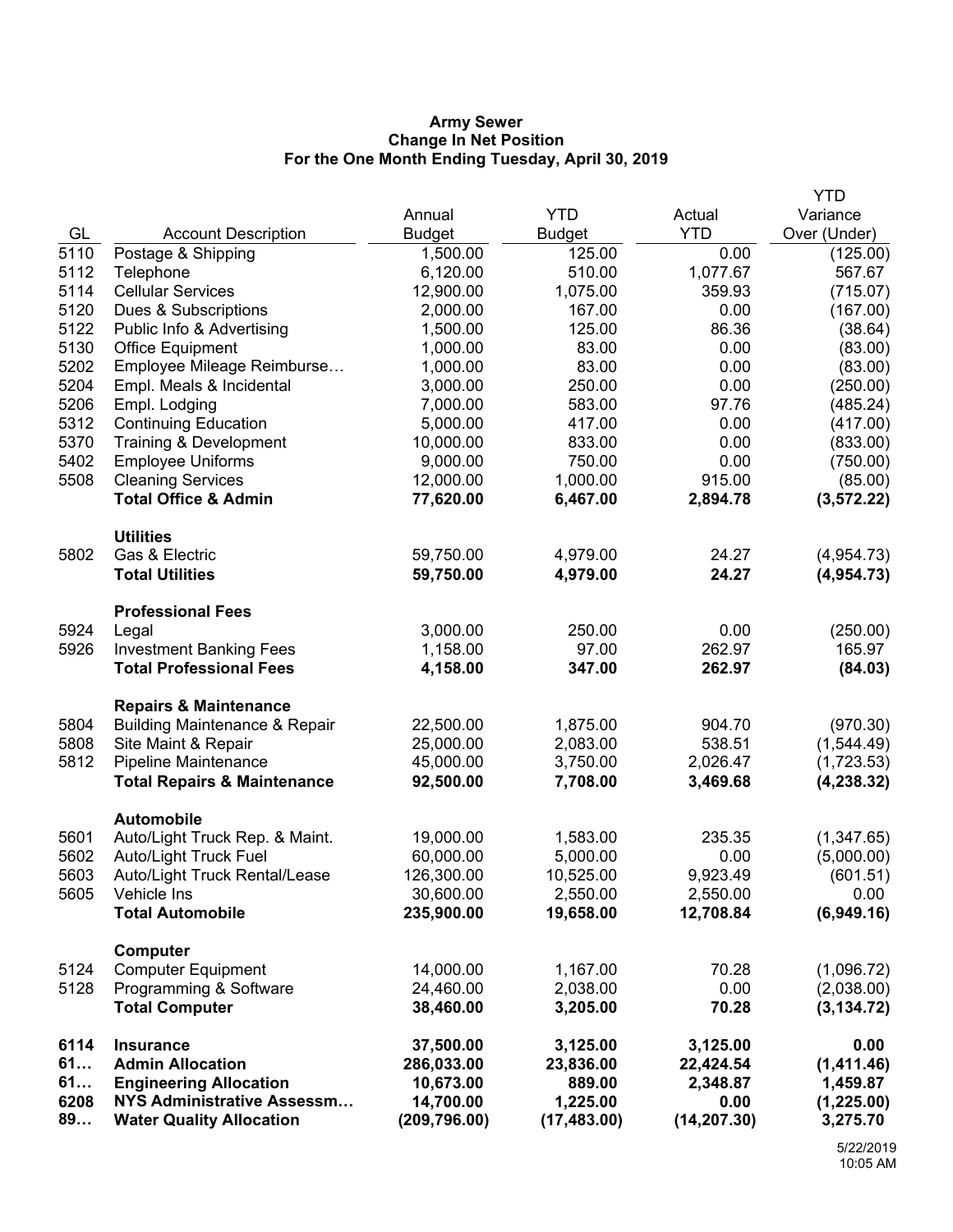## **Army Sewer Change In Net Position For the One Month Ending Tuesday, April 30, 2019**

|      |                                          |               |               |              | <b>YTD</b>   |
|------|------------------------------------------|---------------|---------------|--------------|--------------|
|      |                                          | Annual        | <b>YTD</b>    | Actual       | Variance     |
| GL   | <b>Account Description</b>               | <b>Budget</b> | <b>Budget</b> | <b>YTD</b>   | Over (Under) |
| 5110 | Postage & Shipping                       | 1,500.00      | 125.00        | 0.00         | (125.00)     |
| 5112 | Telephone                                | 6,120.00      | 510.00        | 1,077.67     | 567.67       |
| 5114 | <b>Cellular Services</b>                 | 12,900.00     | 1,075.00      | 359.93       | (715.07)     |
| 5120 | Dues & Subscriptions                     | 2,000.00      | 167.00        | 0.00         | (167.00)     |
| 5122 | Public Info & Advertising                | 1,500.00      | 125.00        | 86.36        | (38.64)      |
| 5130 | Office Equipment                         | 1,000.00      | 83.00         | 0.00         | (83.00)      |
| 5202 | Employee Mileage Reimburse               | 1,000.00      | 83.00         | 0.00         | (83.00)      |
| 5204 | Empl. Meals & Incidental                 | 3,000.00      | 250.00        | 0.00         | (250.00)     |
| 5206 | Empl. Lodging                            | 7,000.00      | 583.00        | 97.76        | (485.24)     |
| 5312 | <b>Continuing Education</b>              | 5,000.00      | 417.00        | 0.00         | (417.00)     |
| 5370 | Training & Development                   | 10,000.00     | 833.00        | 0.00         | (833.00)     |
| 5402 | <b>Employee Uniforms</b>                 | 9,000.00      | 750.00        | 0.00         | (750.00)     |
| 5508 | <b>Cleaning Services</b>                 | 12,000.00     | 1,000.00      | 915.00       | (85.00)      |
|      | <b>Total Office &amp; Admin</b>          | 77,620.00     | 6,467.00      | 2,894.78     | (3, 572.22)  |
|      | <b>Utilities</b>                         |               |               |              |              |
| 5802 | Gas & Electric                           | 59,750.00     | 4,979.00      | 24.27        | (4,954.73)   |
|      | <b>Total Utilities</b>                   | 59,750.00     | 4,979.00      | 24.27        | (4,954.73)   |
|      | <b>Professional Fees</b>                 |               |               |              |              |
| 5924 | Legal                                    | 3,000.00      | 250.00        | 0.00         | (250.00)     |
| 5926 | <b>Investment Banking Fees</b>           | 1,158.00      | 97.00         | 262.97       | 165.97       |
|      | <b>Total Professional Fees</b>           | 4,158.00      | 347.00        | 262.97       | (84.03)      |
|      | <b>Repairs &amp; Maintenance</b>         |               |               |              |              |
| 5804 | <b>Building Maintenance &amp; Repair</b> | 22,500.00     | 1,875.00      | 904.70       | (970.30)     |
| 5808 | Site Maint & Repair                      | 25,000.00     | 2,083.00      | 538.51       | (1,544.49)   |
| 5812 | Pipeline Maintenance                     | 45,000.00     | 3,750.00      | 2,026.47     | (1,723.53)   |
|      | <b>Total Repairs &amp; Maintenance</b>   | 92,500.00     | 7,708.00      | 3,469.68     | (4, 238.32)  |
|      | <b>Automobile</b>                        |               |               |              |              |
| 5601 | Auto/Light Truck Rep. & Maint.           | 19,000.00     | 1,583.00      | 235.35       | (1,347.65)   |
| 5602 | Auto/Light Truck Fuel                    | 60,000.00     | 5,000.00      | 0.00         | (5,000.00)   |
| 5603 | Auto/Light Truck Rental/Lease            | 126,300.00    | 10,525.00     | 9,923.49     | (601.51)     |
| 5605 | Vehicle Ins                              | 30,600.00     | 2,550.00      | 2,550.00     | 0.00         |
|      | <b>Total Automobile</b>                  | 235,900.00    | 19,658.00     | 12,708.84    | (6,949.16)   |
|      | Computer                                 |               |               |              |              |
| 5124 | <b>Computer Equipment</b>                | 14,000.00     | 1,167.00      | 70.28        | (1,096.72)   |
| 5128 | Programming & Software                   | 24,460.00     | 2,038.00      | 0.00         | (2,038.00)   |
|      | <b>Total Computer</b>                    | 38,460.00     | 3,205.00      | 70.28        | (3, 134.72)  |
| 6114 | <b>Insurance</b>                         | 37,500.00     | 3,125.00      | 3,125.00     | 0.00         |
| 61   | <b>Admin Allocation</b>                  | 286,033.00    | 23,836.00     | 22,424.54    | (1,411.46)   |
| 61   | <b>Engineering Allocation</b>            | 10,673.00     | 889.00        | 2,348.87     | 1,459.87     |
| 6208 | <b>NYS Administrative Assessm</b>        | 14,700.00     | 1,225.00      | 0.00         | (1,225.00)   |
| 89   | <b>Water Quality Allocation</b>          | (209, 796.00) | (17, 483.00)  | (14, 207.30) | 3,275.70     |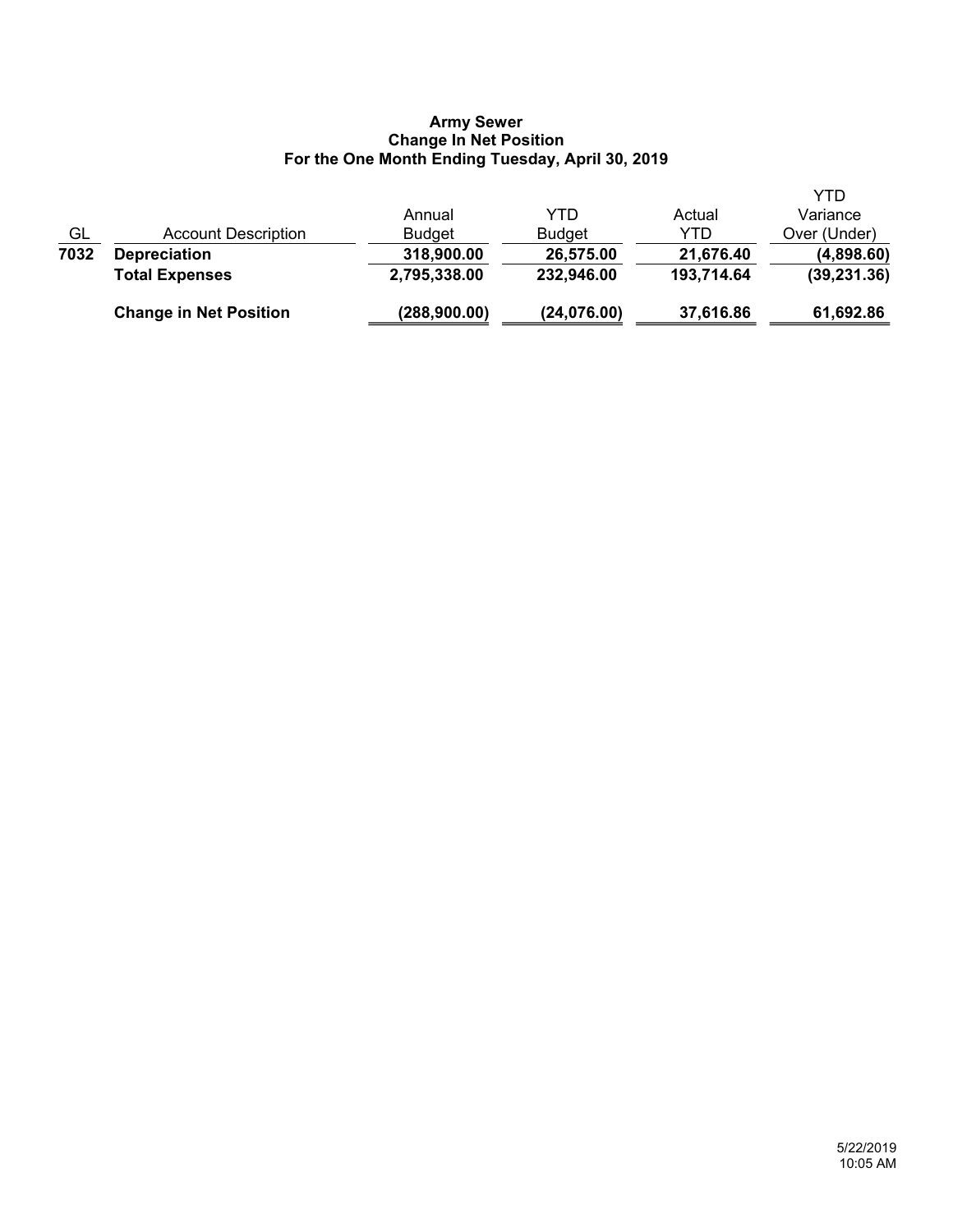## **Army Sewer Change In Net Position For the One Month Ending Tuesday, April 30, 2019**

|      | <b>Change in Net Position</b> | (288,900.00)  | (24,076.00)   | 37,616.86  | 61,692.86    |
|------|-------------------------------|---------------|---------------|------------|--------------|
|      | <b>Total Expenses</b>         | 2,795,338.00  | 232,946.00    | 193,714.64 | (39, 231.36) |
| 7032 | <b>Depreciation</b>           | 318,900.00    | 26,575.00     | 21,676.40  | (4,898.60)   |
| GL   | Account Description           | <b>Budget</b> | <b>Budget</b> | YTD        | Over (Under) |
|      |                               | Annual        | YTD           | Actual     | Variance     |
|      |                               |               |               |            | YTD          |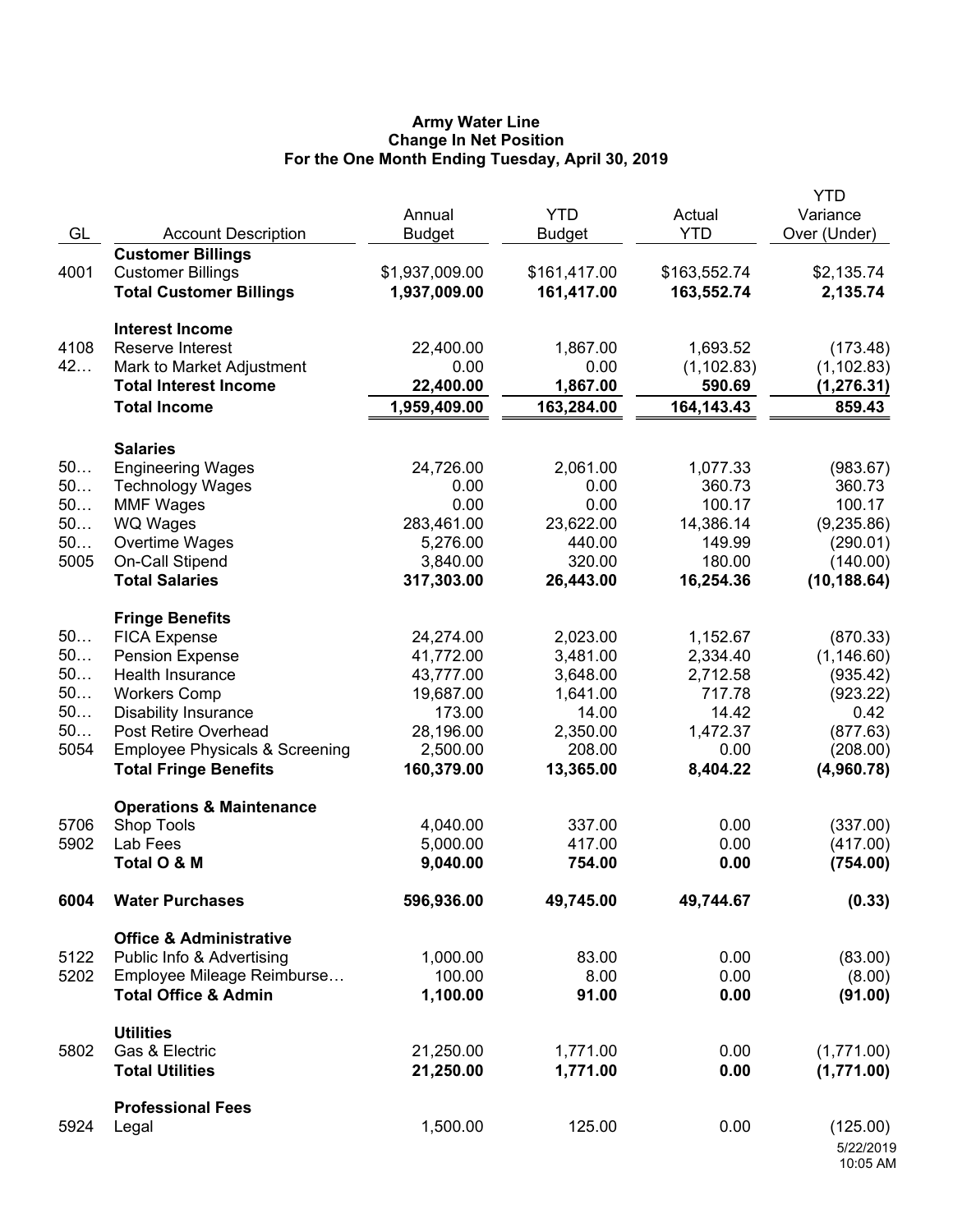## **Army Water Line Change In Net Position For the One Month Ending Tuesday, April 30, 2019**

| GL   | <b>Account Description</b>                | Annual<br><b>Budget</b> | <b>YTD</b><br><b>Budget</b> | Actual<br><b>YTD</b> | <b>YTD</b><br>Variance<br>Over (Under) |
|------|-------------------------------------------|-------------------------|-----------------------------|----------------------|----------------------------------------|
|      | <b>Customer Billings</b>                  |                         |                             |                      |                                        |
| 4001 | <b>Customer Billings</b>                  | \$1,937,009.00          | \$161,417.00                | \$163,552.74         | \$2,135.74                             |
|      | <b>Total Customer Billings</b>            | 1,937,009.00            | 161,417.00                  | 163,552.74           | 2,135.74                               |
|      | <b>Interest Income</b>                    |                         |                             |                      |                                        |
| 4108 | Reserve Interest                          | 22,400.00               | 1,867.00                    | 1,693.52             | (173.48)                               |
| 42   | Mark to Market Adjustment                 | 0.00                    | 0.00                        | (1, 102.83)          | (1, 102.83)                            |
|      | <b>Total Interest Income</b>              | 22,400.00               | 1,867.00                    | 590.69               | (1, 276.31)                            |
|      | <b>Total Income</b>                       | 1,959,409.00            | 163,284.00                  | 164, 143. 43         | 859.43                                 |
|      | <b>Salaries</b>                           |                         |                             |                      |                                        |
| 50   | <b>Engineering Wages</b>                  | 24,726.00               | 2,061.00                    | 1,077.33             | (983.67)                               |
| 50   | <b>Technology Wages</b>                   | 0.00                    | 0.00                        | 360.73               | 360.73                                 |
| 50   | <b>MMF Wages</b>                          | 0.00                    | 0.00                        | 100.17               | 100.17                                 |
| 50   | <b>WQ Wages</b>                           | 283,461.00              | 23,622.00                   | 14,386.14            | (9,235.86)                             |
| 50   | Overtime Wages                            | 5,276.00                | 440.00                      | 149.99               | (290.01)                               |
| 5005 | On-Call Stipend                           | 3,840.00                | 320.00                      | 180.00               | (140.00)                               |
|      | <b>Total Salaries</b>                     | 317,303.00              | 26,443.00                   | 16,254.36            | (10, 188.64)                           |
|      | <b>Fringe Benefits</b>                    |                         |                             |                      |                                        |
| 50   | <b>FICA Expense</b>                       | 24,274.00               | 2,023.00                    | 1,152.67             | (870.33)                               |
| 50   | <b>Pension Expense</b>                    | 41,772.00               | 3,481.00                    | 2,334.40             | (1, 146.60)                            |
| 50   | Health Insurance                          | 43,777.00               | 3,648.00                    | 2,712.58             | (935.42)                               |
| 50   | <b>Workers Comp</b>                       | 19,687.00               | 1,641.00                    | 717.78               | (923.22)                               |
| 50   | <b>Disability Insurance</b>               | 173.00                  | 14.00                       | 14.42                | 0.42                                   |
| 50   | Post Retire Overhead                      | 28,196.00               | 2,350.00                    | 1,472.37             | (877.63)                               |
| 5054 | <b>Employee Physicals &amp; Screening</b> | 2,500.00                | 208.00                      | 0.00                 | (208.00)                               |
|      | <b>Total Fringe Benefits</b>              | 160,379.00              | 13,365.00                   | 8,404.22             | (4,960.78)                             |
|      | <b>Operations &amp; Maintenance</b>       |                         |                             |                      |                                        |
| 5706 | Shop Tools                                | 4,040.00                | 337.00                      | 0.00                 | (337.00)                               |
| 5902 | Lab Fees                                  | 5,000.00                | 417.00                      | 0.00                 | (417.00)                               |
|      | Total O & M                               | 9,040.00                | 754.00                      | 0.00                 | (754.00)                               |
| 6004 | <b>Water Purchases</b>                    | 596,936.00              | 49,745.00                   | 49,744.67            | (0.33)                                 |
|      | <b>Office &amp; Administrative</b>        |                         |                             |                      |                                        |
| 5122 | Public Info & Advertising                 | 1,000.00                | 83.00                       | 0.00                 | (83.00)                                |
| 5202 | Employee Mileage Reimburse                | 100.00                  | 8.00                        | 0.00                 | (8.00)                                 |
|      | <b>Total Office &amp; Admin</b>           | 1,100.00                | 91.00                       | 0.00                 | (91.00)                                |
|      | <b>Utilities</b>                          |                         |                             |                      |                                        |
| 5802 | Gas & Electric                            | 21,250.00               | 1,771.00                    | 0.00                 | (1,771.00)                             |
|      | <b>Total Utilities</b>                    | 21,250.00               | 1,771.00                    | 0.00                 | (1,771.00)                             |
|      | <b>Professional Fees</b>                  |                         |                             |                      |                                        |
| 5924 | Legal                                     | 1,500.00                | 125.00                      | 0.00                 | (125.00)                               |
|      |                                           |                         |                             |                      | 5/22/2019<br>10:05 AM                  |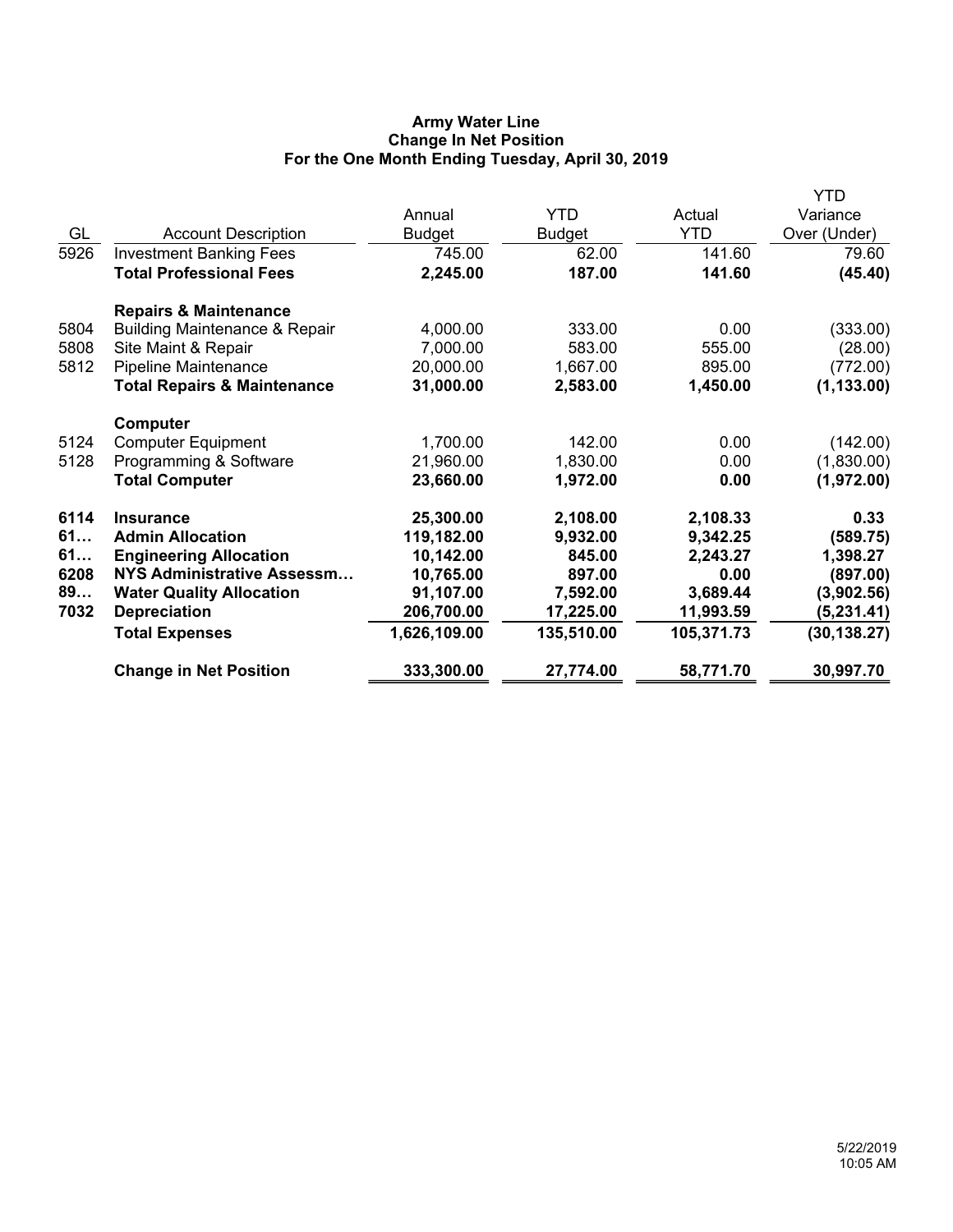# **Army Water Line Change In Net Position For the One Month Ending Tuesday, April 30, 2019**

|      |                                          |              |               |            | YTD          |
|------|------------------------------------------|--------------|---------------|------------|--------------|
|      |                                          | Annual       | <b>YTD</b>    | Actual     | Variance     |
| GL   | <b>Account Description</b>               | Budget       | <b>Budget</b> | <b>YTD</b> | Over (Under) |
| 5926 | <b>Investment Banking Fees</b>           | 745.00       | 62.00         | 141.60     | 79.60        |
|      | <b>Total Professional Fees</b>           | 2,245.00     | 187.00        | 141.60     | (45.40)      |
|      | <b>Repairs &amp; Maintenance</b>         |              |               |            |              |
| 5804 | <b>Building Maintenance &amp; Repair</b> | 4,000.00     | 333.00        | 0.00       | (333.00)     |
| 5808 | Site Maint & Repair                      | 7,000.00     | 583.00        | 555.00     | (28.00)      |
| 5812 | <b>Pipeline Maintenance</b>              | 20,000.00    | 1,667.00      | 895.00     | (772.00)     |
|      | <b>Total Repairs &amp; Maintenance</b>   | 31,000.00    | 2,583.00      | 1,450.00   | (1, 133.00)  |
|      | Computer                                 |              |               |            |              |
| 5124 | <b>Computer Equipment</b>                | 1,700.00     | 142.00        | 0.00       | (142.00)     |
| 5128 | Programming & Software                   | 21,960.00    | 1,830.00      | 0.00       | (1,830.00)   |
|      | <b>Total Computer</b>                    | 23,660.00    | 1,972.00      | 0.00       | (1,972.00)   |
| 6114 | <b>Insurance</b>                         | 25,300.00    | 2,108.00      | 2,108.33   | 0.33         |
| 61   | <b>Admin Allocation</b>                  | 119,182.00   | 9,932.00      | 9,342.25   | (589.75)     |
| 61   | <b>Engineering Allocation</b>            | 10,142.00    | 845.00        | 2,243.27   | 1,398.27     |
| 6208 | <b>NYS Administrative Assessm</b>        | 10,765.00    | 897.00        | 0.00       | (897.00)     |
| 89   | <b>Water Quality Allocation</b>          | 91,107.00    | 7,592.00      | 3,689.44   | (3,902.56)   |
| 7032 | <b>Depreciation</b>                      | 206,700.00   | 17,225.00     | 11,993.59  | (5,231.41)   |
|      | <b>Total Expenses</b>                    | 1,626,109.00 | 135,510.00    | 105,371.73 | (30, 138.27) |
|      | <b>Change in Net Position</b>            | 333,300.00   | 27,774.00     | 58,771.70  | 30,997.70    |
|      |                                          |              |               |            |              |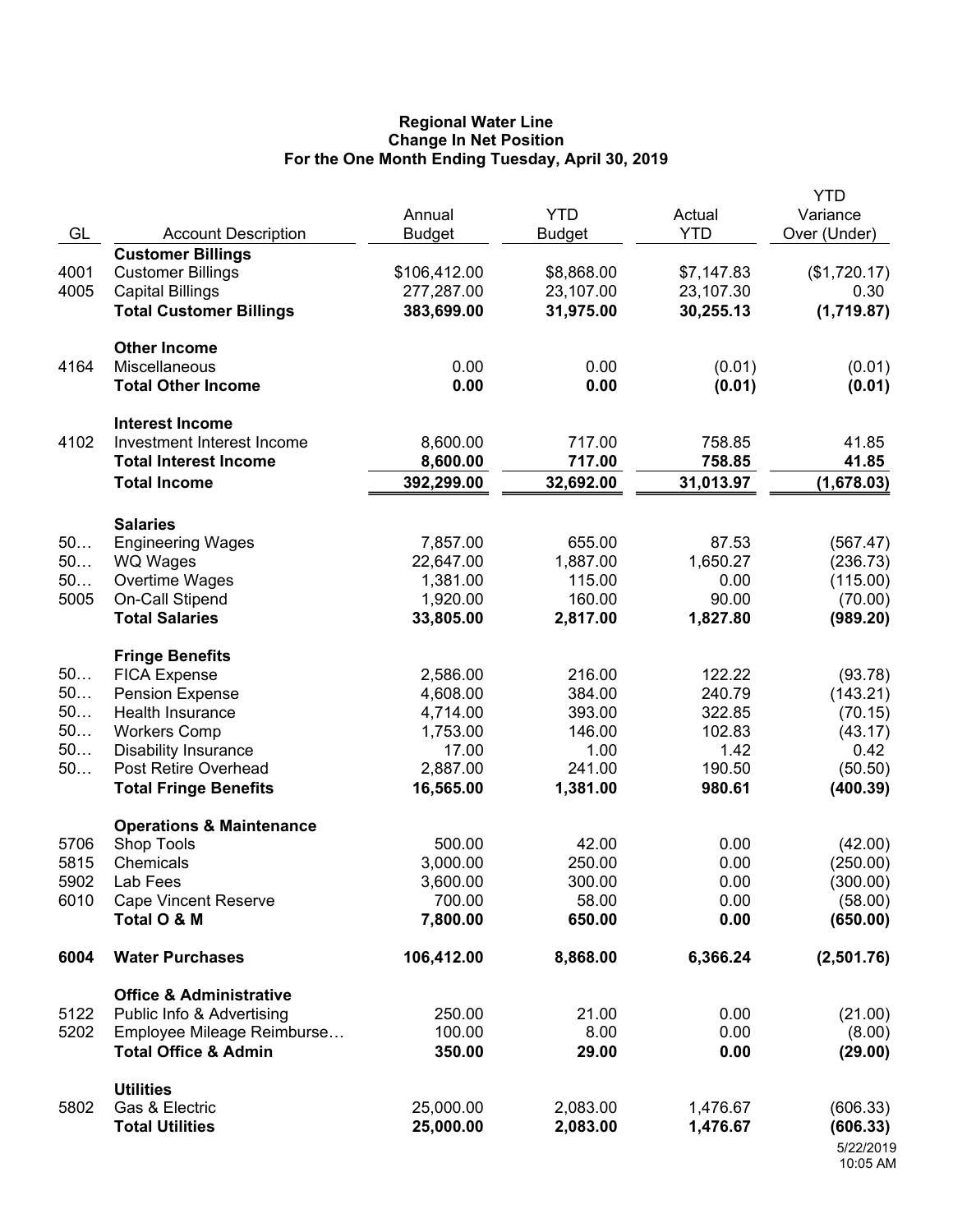## **Regional Water Line Change In Net Position For the One Month Ending Tuesday, April 30, 2019**

| GL       | <b>Account Description</b>                         | Annual<br><b>Budget</b> | <b>YTD</b><br><b>Budget</b> | Actual<br><b>YTD</b> | <b>YTD</b><br>Variance<br>Over (Under) |
|----------|----------------------------------------------------|-------------------------|-----------------------------|----------------------|----------------------------------------|
|          | <b>Customer Billings</b>                           |                         |                             |                      |                                        |
| 4001     | <b>Customer Billings</b>                           | \$106,412.00            | \$8,868.00                  | \$7,147.83           | (\$1,720.17)                           |
| 4005     | <b>Capital Billings</b>                            | 277,287.00              | 23,107.00                   | 23,107.30            | 0.30                                   |
|          | <b>Total Customer Billings</b>                     | 383,699.00              | 31,975.00                   | 30,255.13            | (1,719.87)                             |
|          | <b>Other Income</b>                                |                         |                             |                      |                                        |
| 4164     | Miscellaneous<br><b>Total Other Income</b>         | 0.00<br>0.00            | 0.00<br>0.00                | (0.01)<br>(0.01)     | (0.01)<br>(0.01)                       |
|          | <b>Interest Income</b>                             |                         |                             |                      |                                        |
| 4102     | Investment Interest Income                         | 8,600.00                | 717.00                      | 758.85               | 41.85                                  |
|          | <b>Total Interest Income</b>                       | 8,600.00                | 717.00                      | 758.85               | 41.85                                  |
|          | <b>Total Income</b>                                | 392,299.00              | 32,692.00                   | 31,013.97            | (1,678.03)                             |
|          | <b>Salaries</b>                                    |                         |                             |                      |                                        |
| 50       | <b>Engineering Wages</b>                           | 7,857.00                | 655.00                      | 87.53                | (567.47)                               |
| 50       | <b>WQ Wages</b>                                    | 22,647.00               | 1,887.00                    | 1,650.27             | (236.73)                               |
| 50       | Overtime Wages                                     | 1,381.00                | 115.00                      | 0.00                 | (115.00)                               |
| 5005     | On-Call Stipend                                    | 1,920.00                | 160.00                      | 90.00                | (70.00)                                |
|          | <b>Total Salaries</b>                              | 33,805.00               | 2,817.00                    | 1,827.80             | (989.20)                               |
|          | <b>Fringe Benefits</b>                             |                         |                             |                      |                                        |
| 50       | <b>FICA Expense</b>                                | 2,586.00                | 216.00                      | 122.22               | (93.78)                                |
| 50<br>50 | <b>Pension Expense</b>                             | 4,608.00                | 384.00                      | 240.79               | (143.21)                               |
| 50       | Health Insurance                                   | 4,714.00                | 393.00<br>146.00            | 322.85<br>102.83     | (70.15)                                |
| 50       | <b>Workers Comp</b><br><b>Disability Insurance</b> | 1,753.00<br>17.00       | 1.00                        | 1.42                 | (43.17)<br>0.42                        |
| 50       | Post Retire Overhead                               | 2,887.00                | 241.00                      | 190.50               | (50.50)                                |
|          | <b>Total Fringe Benefits</b>                       | 16,565.00               | 1,381.00                    | 980.61               | (400.39)                               |
|          | <b>Operations &amp; Maintenance</b>                |                         |                             |                      |                                        |
| 5706     | Shop Tools                                         | 500.00                  | 42.00                       | 0.00                 | (42.00)                                |
| 5815     | Chemicals                                          | 3,000.00                | 250.00                      | 0.00                 | (250.00)                               |
| 5902     | Lab Fees                                           | 3,600.00                | 300.00                      | 0.00                 | (300.00)                               |
| 6010     | <b>Cape Vincent Reserve</b>                        | 700.00                  | 58.00                       | 0.00                 | (58.00)                                |
|          | Total O & M                                        | 7,800.00                | 650.00                      | 0.00                 | (650.00)                               |
| 6004     | <b>Water Purchases</b>                             | 106,412.00              | 8,868.00                    | 6,366.24             | (2,501.76)                             |
|          | <b>Office &amp; Administrative</b>                 |                         |                             |                      |                                        |
| 5122     | Public Info & Advertising                          | 250.00                  | 21.00                       | 0.00                 | (21.00)                                |
| 5202     | Employee Mileage Reimburse                         | 100.00                  | 8.00                        | 0.00                 | (8.00)                                 |
|          | <b>Total Office &amp; Admin</b>                    | 350.00                  | 29.00                       | 0.00                 | (29.00)                                |
|          | <b>Utilities</b>                                   |                         |                             |                      |                                        |
| 5802     | Gas & Electric                                     | 25,000.00               | 2,083.00                    | 1,476.67             | (606.33)                               |
|          | <b>Total Utilities</b>                             | 25,000.00               | 2,083.00                    | 1,476.67             | (606.33)                               |
|          |                                                    |                         |                             |                      | 5/22/2019<br>10:05 AM                  |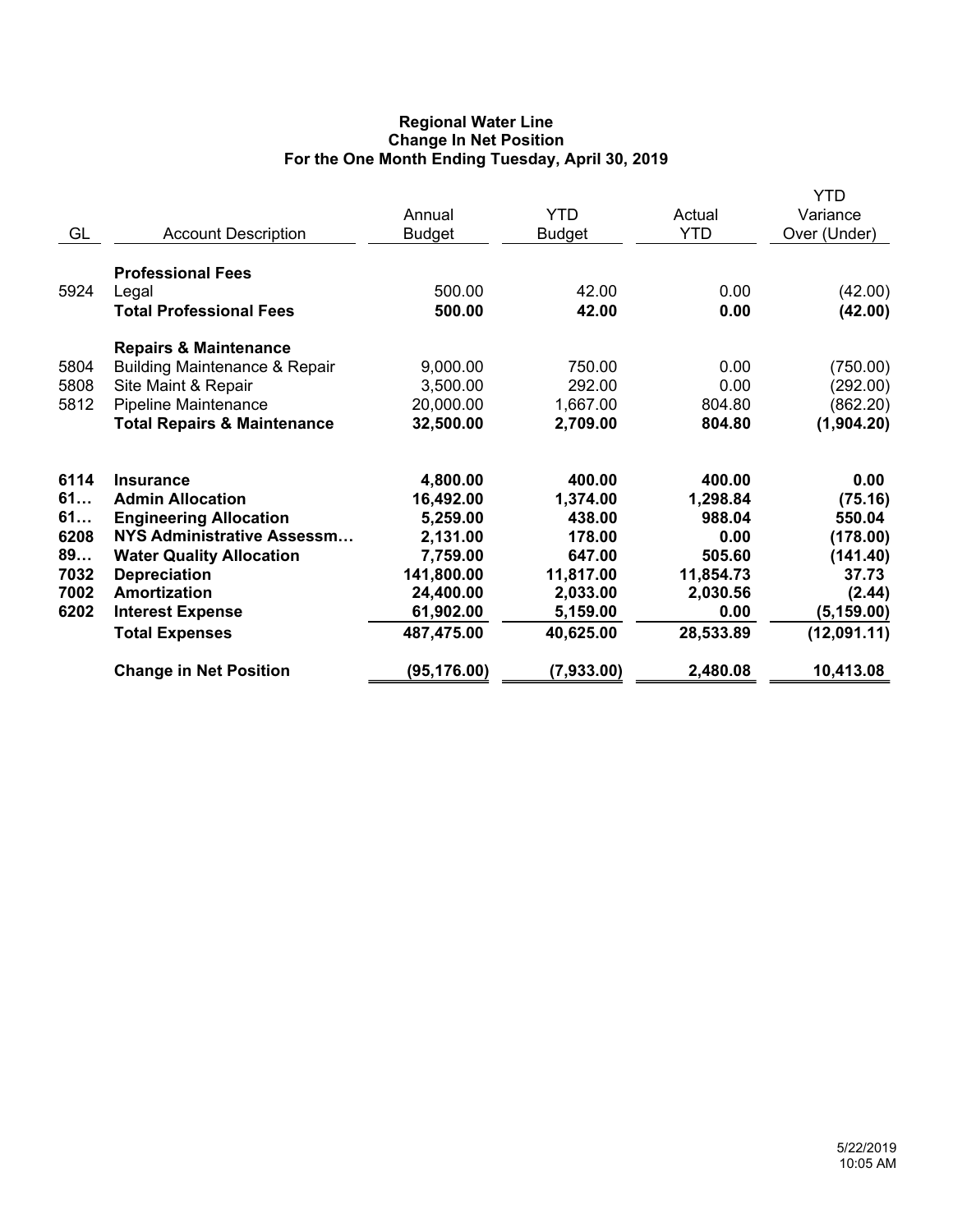# **Regional Water Line Change In Net Position For the One Month Ending Tuesday, April 30, 2019**

| GL                                                     | <b>Account Description</b>                                                                                                                                                                                                               | Annual<br><b>Budget</b>                                                                                         | <b>YTD</b><br><b>Budget</b>                                                                        | Actual<br><b>YTD</b>                                                                         | <b>YTD</b><br>Variance<br>Over (Under)                                                             |
|--------------------------------------------------------|------------------------------------------------------------------------------------------------------------------------------------------------------------------------------------------------------------------------------------------|-----------------------------------------------------------------------------------------------------------------|----------------------------------------------------------------------------------------------------|----------------------------------------------------------------------------------------------|----------------------------------------------------------------------------------------------------|
| 5924                                                   | <b>Professional Fees</b><br>Legal<br><b>Total Professional Fees</b>                                                                                                                                                                      | 500.00<br>500.00                                                                                                | 42.00<br>42.00                                                                                     | 0.00<br>0.00                                                                                 | (42.00)<br>(42.00)                                                                                 |
| 5804<br>5808<br>5812                                   | <b>Repairs &amp; Maintenance</b><br><b>Building Maintenance &amp; Repair</b><br>Site Maint & Repair<br>Pipeline Maintenance<br><b>Total Repairs &amp; Maintenance</b>                                                                    | 9,000.00<br>3,500.00<br>20,000.00<br>32,500.00                                                                  | 750.00<br>292.00<br>1,667.00<br>2,709.00                                                           | 0.00<br>0.00<br>804.80<br>804.80                                                             | (750.00)<br>(292.00)<br>(862.20)<br>(1,904.20)                                                     |
| 6114<br>61<br>61<br>6208<br>89<br>7032<br>7002<br>6202 | <b>Insurance</b><br><b>Admin Allocation</b><br><b>Engineering Allocation</b><br>NYS Administrative Assessm<br><b>Water Quality Allocation</b><br><b>Depreciation</b><br>Amortization<br><b>Interest Expense</b><br><b>Total Expenses</b> | 4,800.00<br>16,492.00<br>5,259.00<br>2,131.00<br>7,759.00<br>141,800.00<br>24,400.00<br>61,902.00<br>487,475.00 | 400.00<br>1,374.00<br>438.00<br>178.00<br>647.00<br>11,817.00<br>2,033.00<br>5,159.00<br>40,625.00 | 400.00<br>1,298.84<br>988.04<br>0.00<br>505.60<br>11,854.73<br>2,030.56<br>0.00<br>28,533.89 | 0.00<br>(75.16)<br>550.04<br>(178.00)<br>(141.40)<br>37.73<br>(2.44)<br>(5, 159.00)<br>(12,091.11) |
|                                                        | <b>Change in Net Position</b>                                                                                                                                                                                                            | (95, 176.00)                                                                                                    | (7,933.00)                                                                                         | 2,480.08                                                                                     | 10,413.08                                                                                          |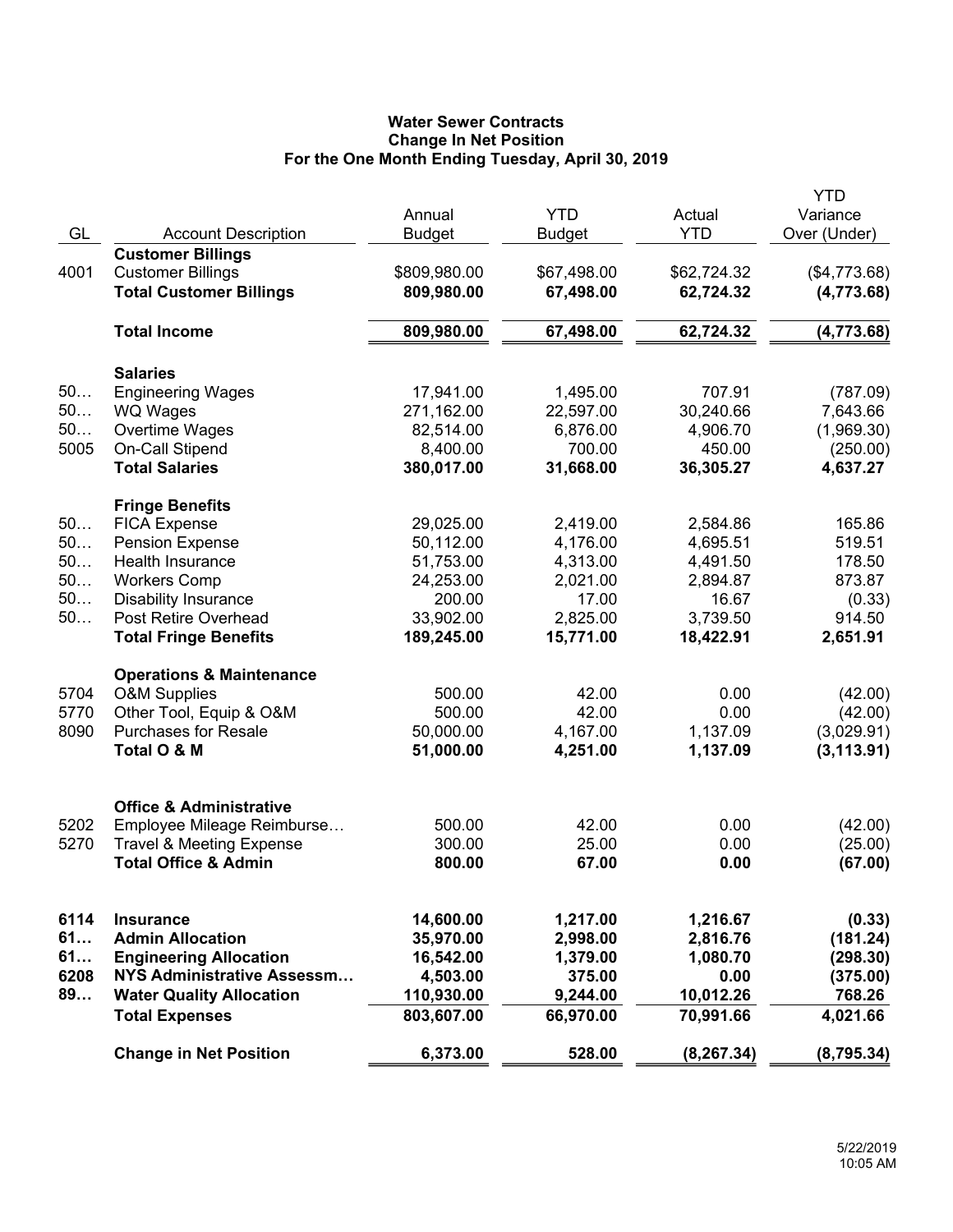# **Water Sewer Contracts Change In Net Position For the One Month Ending Tuesday, April 30, 2019**

|      |                                                            |               |                          |             | <b>YTD</b>                 |
|------|------------------------------------------------------------|---------------|--------------------------|-------------|----------------------------|
|      |                                                            | Annual        | <b>YTD</b>               | Actual      | Variance                   |
| GL   | <b>Account Description</b>                                 | <b>Budget</b> | <b>Budget</b>            | <b>YTD</b>  | Over (Under)               |
| 4001 | <b>Customer Billings</b>                                   | \$809,980.00  |                          | \$62,724.32 |                            |
|      | <b>Customer Billings</b><br><b>Total Customer Billings</b> | 809,980.00    | \$67,498.00<br>67,498.00 | 62,724.32   | (\$4,773.68)<br>(4,773.68) |
|      |                                                            |               |                          |             |                            |
|      | <b>Total Income</b>                                        | 809,980.00    | 67,498.00                | 62,724.32   | (4,773.68)                 |
|      | <b>Salaries</b>                                            |               |                          |             |                            |
| 50   | <b>Engineering Wages</b>                                   | 17,941.00     | 1,495.00                 | 707.91      | (787.09)                   |
| 50   | <b>WQ Wages</b>                                            | 271,162.00    | 22,597.00                | 30,240.66   | 7,643.66                   |
| 50   | Overtime Wages                                             | 82,514.00     | 6,876.00                 | 4,906.70    | (1,969.30)                 |
| 5005 | On-Call Stipend                                            | 8,400.00      | 700.00                   | 450.00      | (250.00)                   |
|      | <b>Total Salaries</b>                                      | 380,017.00    | 31,668.00                | 36,305.27   | 4,637.27                   |
|      |                                                            |               |                          |             |                            |
| 50   | <b>Fringe Benefits</b><br><b>FICA Expense</b>              | 29,025.00     | 2,419.00                 | 2,584.86    | 165.86                     |
| 50   | <b>Pension Expense</b>                                     | 50,112.00     | 4,176.00                 | 4,695.51    | 519.51                     |
| 50   | <b>Health Insurance</b>                                    | 51,753.00     | 4,313.00                 | 4,491.50    | 178.50                     |
| 50   | <b>Workers Comp</b>                                        | 24,253.00     | 2,021.00                 | 2,894.87    | 873.87                     |
| 50   | <b>Disability Insurance</b>                                | 200.00        | 17.00                    | 16.67       | (0.33)                     |
| 50   | Post Retire Overhead                                       | 33,902.00     | 2,825.00                 | 3,739.50    | 914.50                     |
|      | <b>Total Fringe Benefits</b>                               | 189,245.00    | 15,771.00                | 18,422.91   | 2,651.91                   |
|      | <b>Operations &amp; Maintenance</b>                        |               |                          |             |                            |
| 5704 | <b>O&amp;M Supplies</b>                                    | 500.00        | 42.00                    | 0.00        | (42.00)                    |
| 5770 | Other Tool, Equip & O&M                                    | 500.00        | 42.00                    | 0.00        | (42.00)                    |
| 8090 | <b>Purchases for Resale</b>                                | 50,000.00     | 4,167.00                 | 1,137.09    | (3,029.91)                 |
|      | Total O & M                                                | 51,000.00     | 4,251.00                 | 1,137.09    | (3, 113.91)                |
|      |                                                            |               |                          |             |                            |
|      | <b>Office &amp; Administrative</b>                         |               |                          |             |                            |
| 5202 | Employee Mileage Reimburse                                 | 500.00        | 42.00                    | 0.00        | (42.00)                    |
| 5270 | <b>Travel &amp; Meeting Expense</b>                        | 300.00        | 25.00                    | 0.00        | (25.00)                    |
|      | <b>Total Office &amp; Admin</b>                            | 800.00        | 67.00                    | 0.00        | (67.00)                    |
|      |                                                            |               |                          |             |                            |
| 6114 | <b>Insurance</b>                                           | 14,600.00     | 1,217.00                 | 1,216.67    | (0.33)                     |
| 61   | <b>Admin Allocation</b>                                    | 35,970.00     | 2,998.00                 | 2,816.76    | (181.24)                   |
| 61   | <b>Engineering Allocation</b>                              | 16,542.00     | 1,379.00                 | 1,080.70    | (298.30)                   |
| 6208 | NYS Administrative Assessm                                 | 4,503.00      | 375.00                   | 0.00        | (375.00)                   |
| 89   | <b>Water Quality Allocation</b>                            | 110,930.00    | 9,244.00                 | 10,012.26   | 768.26                     |
|      | <b>Total Expenses</b>                                      | 803,607.00    | 66,970.00                | 70,991.66   | 4,021.66                   |
|      | <b>Change in Net Position</b>                              | 6,373.00      | 528.00                   | (8, 267.34) | (8,795.34)                 |
|      |                                                            |               |                          |             |                            |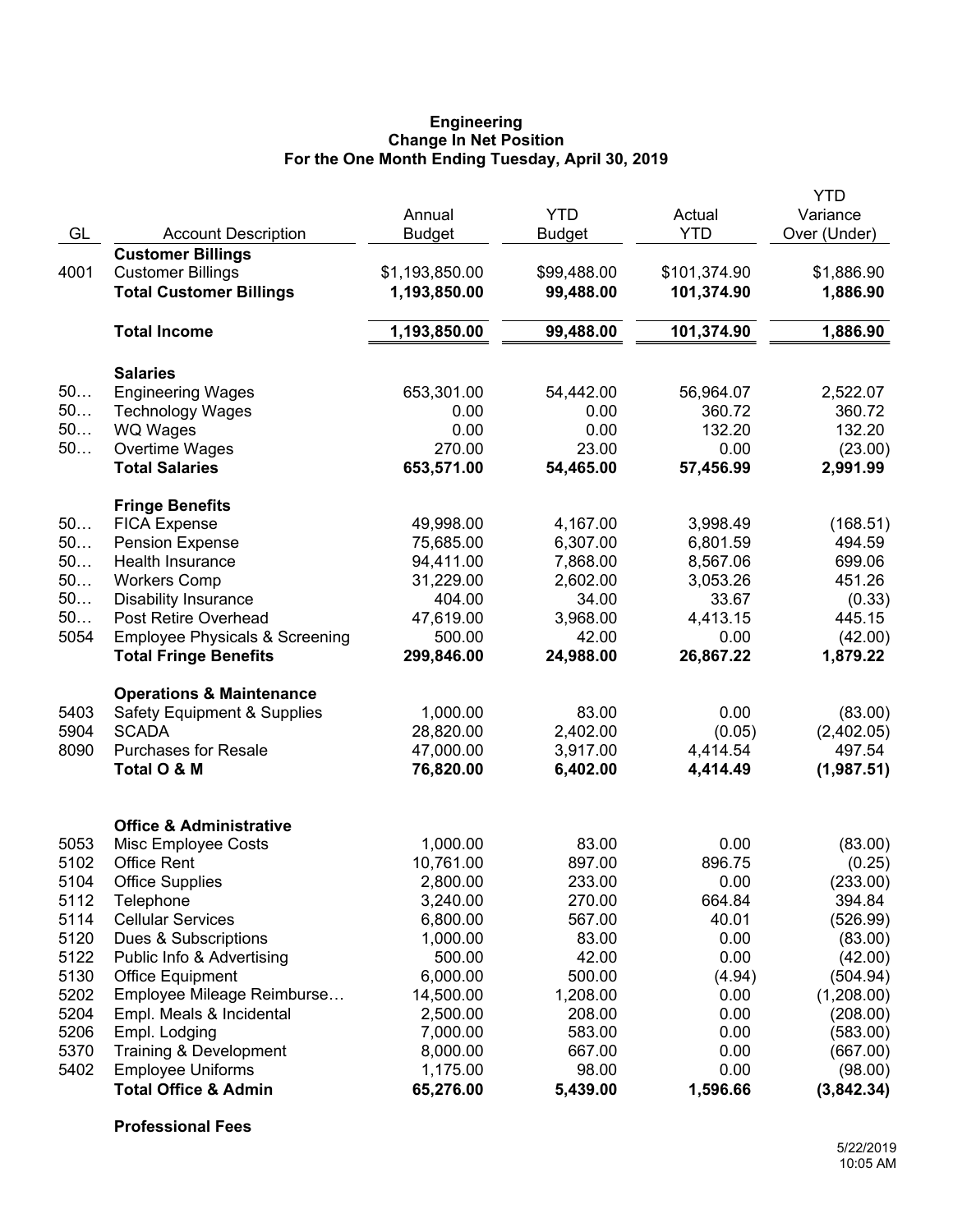#### **Engineering Change In Net Position For the One Month Ending Tuesday, April 30, 2019**

|      |                                           | Annual         | <b>YTD</b>    | Actual       | YTD<br>Variance |
|------|-------------------------------------------|----------------|---------------|--------------|-----------------|
| GL   | <b>Account Description</b>                | <b>Budget</b>  | <b>Budget</b> | <b>YTD</b>   | Over (Under)    |
|      | <b>Customer Billings</b>                  |                |               |              |                 |
| 4001 | <b>Customer Billings</b>                  | \$1,193,850.00 | \$99,488.00   | \$101,374.90 | \$1,886.90      |
|      | <b>Total Customer Billings</b>            | 1,193,850.00   | 99,488.00     | 101,374.90   | 1,886.90        |
|      | <b>Total Income</b>                       | 1,193,850.00   | 99,488.00     | 101,374.90   | 1,886.90        |
|      | <b>Salaries</b>                           |                |               |              |                 |
| 50   | <b>Engineering Wages</b>                  | 653,301.00     | 54,442.00     | 56,964.07    | 2,522.07        |
| 50   | <b>Technology Wages</b>                   | 0.00           | 0.00          | 360.72       | 360.72          |
| 50   | <b>WQ Wages</b>                           | 0.00           | 0.00          | 132.20       | 132.20          |
| 50   | Overtime Wages                            | 270.00         | 23.00         | 0.00         | (23.00)         |
|      | <b>Total Salaries</b>                     | 653,571.00     | 54,465.00     | 57,456.99    | 2,991.99        |
|      | <b>Fringe Benefits</b>                    |                |               |              |                 |
| 50   | <b>FICA Expense</b>                       | 49,998.00      | 4,167.00      | 3,998.49     | (168.51)        |
| 50   | <b>Pension Expense</b>                    | 75,685.00      | 6,307.00      | 6,801.59     | 494.59          |
| 50   | Health Insurance                          | 94,411.00      | 7,868.00      | 8,567.06     | 699.06          |
| 50   | <b>Workers Comp</b>                       | 31,229.00      | 2,602.00      | 3,053.26     | 451.26          |
| 50   | <b>Disability Insurance</b>               | 404.00         | 34.00         | 33.67        | (0.33)          |
| 50   | Post Retire Overhead                      | 47,619.00      | 3,968.00      | 4,413.15     | 445.15          |
| 5054 | <b>Employee Physicals &amp; Screening</b> | 500.00         | 42.00         | 0.00         | (42.00)         |
|      | <b>Total Fringe Benefits</b>              | 299,846.00     | 24,988.00     | 26,867.22    | 1,879.22        |
|      | <b>Operations &amp; Maintenance</b>       |                |               |              |                 |
| 5403 | <b>Safety Equipment &amp; Supplies</b>    | 1,000.00       | 83.00         | 0.00         | (83.00)         |
| 5904 | <b>SCADA</b>                              | 28,820.00      | 2,402.00      | (0.05)       | (2,402.05)      |
| 8090 | <b>Purchases for Resale</b>               | 47,000.00      | 3,917.00      | 4,414.54     | 497.54          |
|      | Total O & M                               | 76,820.00      | 6,402.00      | 4,414.49     | (1,987.51)      |
|      | <b>Office &amp; Administrative</b>        |                |               |              |                 |
| 5053 | Misc Employee Costs                       | 1,000.00       | 83.00         | 0.00         | (83.00)         |
| 5102 | <b>Office Rent</b>                        | 10,761.00      | 897.00        | 896.75       | (0.25)          |
| 5104 | <b>Office Supplies</b>                    | 2,800.00       | 233.00        | 0.00         | (233.00)        |
| 5112 | Telephone                                 | 3,240.00       | 270.00        | 664.84       | 394.84          |
| 5114 | <b>Cellular Services</b>                  | 6,800.00       | 567.00        | 40.01        | (526.99)        |
| 5120 | Dues & Subscriptions                      | 1,000.00       | 83.00         | 0.00         | (83.00)         |
| 5122 | Public Info & Advertising                 | 500.00         | 42.00         | 0.00         | (42.00)         |
| 5130 | <b>Office Equipment</b>                   | 6,000.00       | 500.00        | (4.94)       | (504.94)        |
| 5202 | Employee Mileage Reimburse                | 14,500.00      | 1,208.00      | 0.00         | (1,208.00)      |
| 5204 | Empl. Meals & Incidental                  | 2,500.00       | 208.00        | 0.00         | (208.00)        |
| 5206 | Empl. Lodging                             | 7,000.00       | 583.00        | 0.00         | (583.00)        |
| 5370 | Training & Development                    | 8,000.00       | 667.00        | 0.00         | (667.00)        |
| 5402 | <b>Employee Uniforms</b>                  | 1,175.00       | 98.00         | 0.00         | (98.00)         |
|      | <b>Total Office &amp; Admin</b>           | 65,276.00      | 5,439.00      | 1,596.66     | (3,842.34)      |

**Professional Fees**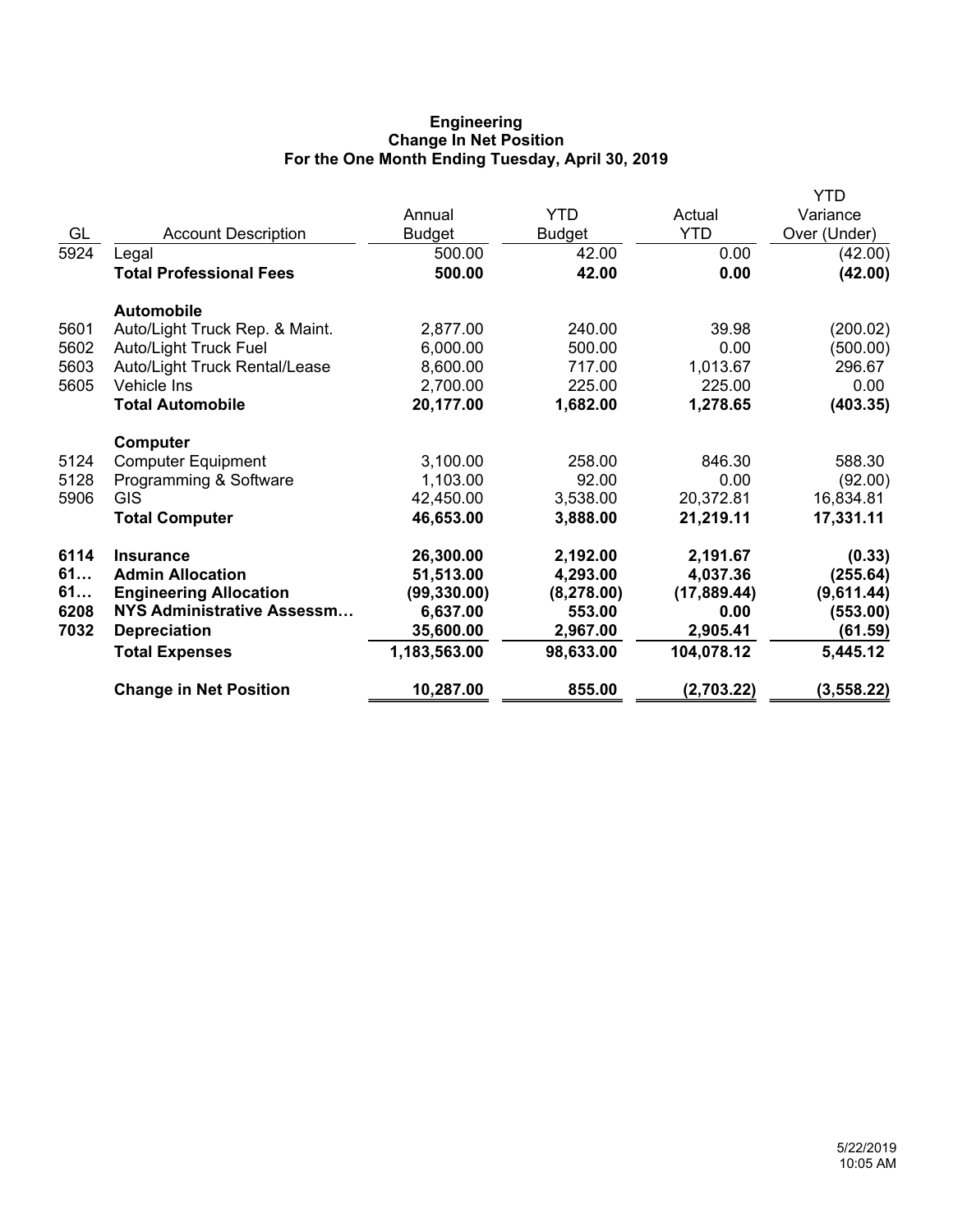# **Engineering Change In Net Position For the One Month Ending Tuesday, April 30, 2019**

|      |                                |               |               |              | YTD          |
|------|--------------------------------|---------------|---------------|--------------|--------------|
|      |                                | Annual        | <b>YTD</b>    | Actual       | Variance     |
| GL   | <b>Account Description</b>     | <b>Budget</b> | <b>Budget</b> | <b>YTD</b>   | Over (Under) |
| 5924 | Legal                          | 500.00        | 42.00         | 0.00         | (42.00)      |
|      | <b>Total Professional Fees</b> | 500.00        | 42.00         | 0.00         | (42.00)      |
|      | <b>Automobile</b>              |               |               |              |              |
| 5601 | Auto/Light Truck Rep. & Maint. | 2,877.00      | 240.00        | 39.98        | (200.02)     |
| 5602 | <b>Auto/Light Truck Fuel</b>   | 6,000.00      | 500.00        | 0.00         | (500.00)     |
| 5603 | Auto/Light Truck Rental/Lease  | 8,600.00      | 717.00        | 1,013.67     | 296.67       |
| 5605 | Vehicle Ins                    | 2,700.00      | 225.00        | 225.00       | 0.00         |
|      | <b>Total Automobile</b>        | 20,177.00     | 1,682.00      | 1,278.65     | (403.35)     |
|      | Computer                       |               |               |              |              |
| 5124 | <b>Computer Equipment</b>      | 3,100.00      | 258.00        | 846.30       | 588.30       |
| 5128 | Programming & Software         | 1,103.00      | 92.00         | 0.00         | (92.00)      |
| 5906 | <b>GIS</b>                     | 42,450.00     | 3,538.00      | 20,372.81    | 16,834.81    |
|      | <b>Total Computer</b>          | 46,653.00     | 3,888.00      | 21,219.11    | 17,331.11    |
| 6114 | <b>Insurance</b>               | 26,300.00     | 2,192.00      | 2,191.67     | (0.33)       |
| 61   | <b>Admin Allocation</b>        | 51,513.00     | 4,293.00      | 4,037.36     | (255.64)     |
| 61   | <b>Engineering Allocation</b>  | (99, 330.00)  | (8, 278.00)   | (17, 889.44) | (9,611.44)   |
| 6208 | NYS Administrative Assessm     | 6,637.00      | 553.00        | 0.00         | (553.00)     |
| 7032 | <b>Depreciation</b>            | 35,600.00     | 2,967.00      | 2,905.41     | (61.59)      |
|      | <b>Total Expenses</b>          | 1,183,563.00  | 98,633.00     | 104,078.12   | 5,445.12     |
|      | <b>Change in Net Position</b>  | 10,287.00     | 855.00        | (2,703.22)   | (3, 558.22)  |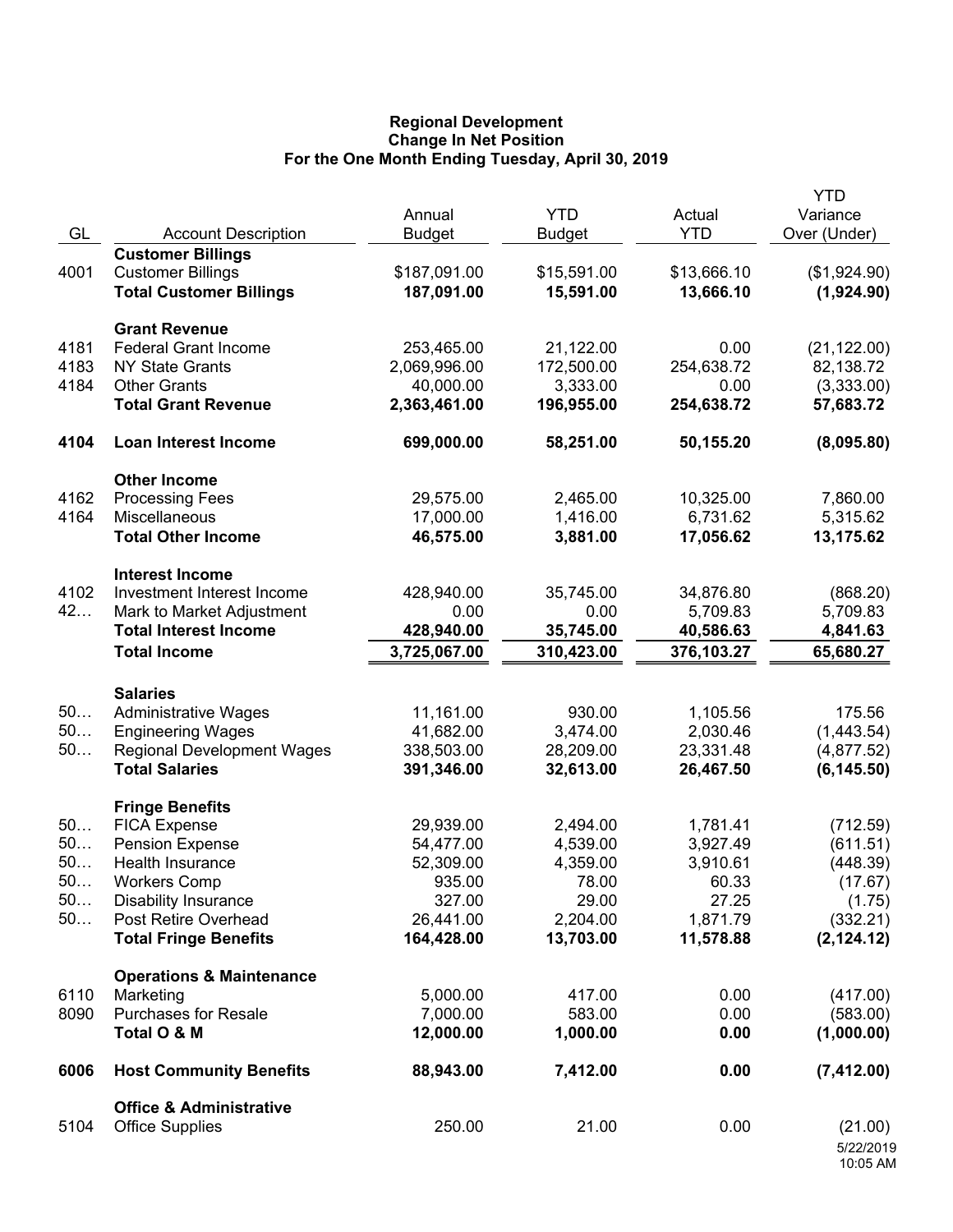## **Regional Development Change In Net Position For the One Month Ending Tuesday, April 30, 2019**

| GL         | <b>Account Description</b>                                                             | Annual<br><b>Budget</b>    | <b>YTD</b><br><b>Budget</b> | Actual<br><b>YTD</b>     | <b>YTD</b><br>Variance<br>Over (Under) |
|------------|----------------------------------------------------------------------------------------|----------------------------|-----------------------------|--------------------------|----------------------------------------|
| 4001       | <b>Customer Billings</b><br><b>Customer Billings</b><br><b>Total Customer Billings</b> | \$187,091.00<br>187,091.00 | \$15,591.00<br>15,591.00    | \$13,666.10<br>13,666.10 | (\$1,924.90)<br>(1,924.90)             |
|            |                                                                                        |                            |                             |                          |                                        |
| 4181       | <b>Grant Revenue</b><br><b>Federal Grant Income</b>                                    | 253,465.00                 | 21,122.00                   | 0.00                     | (21, 122.00)                           |
| 4183       | <b>NY State Grants</b>                                                                 | 2,069,996.00               | 172,500.00                  | 254,638.72               | 82,138.72                              |
| 4184       | <b>Other Grants</b>                                                                    | 40,000.00                  | 3,333.00                    | 0.00                     | (3,333.00)                             |
|            | <b>Total Grant Revenue</b>                                                             | 2,363,461.00               | 196,955.00                  | 254,638.72               | 57,683.72                              |
| 4104       | <b>Loan Interest Income</b>                                                            | 699,000.00                 | 58,251.00                   | 50,155.20                | (8,095.80)                             |
|            | <b>Other Income</b>                                                                    |                            |                             |                          |                                        |
| 4162       | <b>Processing Fees</b>                                                                 | 29,575.00                  | 2,465.00                    | 10,325.00                | 7,860.00                               |
| 4164       | Miscellaneous                                                                          | 17,000.00                  | 1,416.00                    | 6,731.62                 | 5,315.62                               |
|            | <b>Total Other Income</b>                                                              | 46,575.00                  | 3,881.00                    | 17,056.62                | 13,175.62                              |
|            | <b>Interest Income</b>                                                                 |                            |                             |                          |                                        |
| 4102<br>42 | Investment Interest Income                                                             | 428,940.00                 | 35,745.00                   | 34,876.80                | (868.20)                               |
|            | Mark to Market Adjustment<br><b>Total Interest Income</b>                              | 0.00<br>428,940.00         | 0.00<br>35,745.00           | 5,709.83<br>40,586.63    | 5,709.83<br>4,841.63                   |
|            | <b>Total Income</b>                                                                    | 3,725,067.00               | 310,423.00                  | 376,103.27               | 65,680.27                              |
|            |                                                                                        |                            |                             |                          |                                        |
|            | <b>Salaries</b>                                                                        |                            |                             |                          |                                        |
| 50<br>50   | <b>Administrative Wages</b>                                                            | 11,161.00<br>41,682.00     | 930.00<br>3,474.00          | 1,105.56<br>2,030.46     | 175.56                                 |
| 50         | <b>Engineering Wages</b><br><b>Regional Development Wages</b>                          | 338,503.00                 | 28,209.00                   | 23,331.48                | (1,443.54)<br>(4,877.52)               |
|            | <b>Total Salaries</b>                                                                  | 391,346.00                 | 32,613.00                   | 26,467.50                | (6, 145.50)                            |
|            | <b>Fringe Benefits</b>                                                                 |                            |                             |                          |                                        |
| 50         | <b>FICA Expense</b>                                                                    | 29,939.00                  | 2,494.00                    | 1,781.41                 | (712.59)                               |
| 50         | <b>Pension Expense</b>                                                                 | 54,477.00                  | 4,539.00                    | 3,927.49                 | (611.51)                               |
| 50         | Health Insurance                                                                       | 52,309.00                  | 4,359.00                    | 3,910.61                 | (448.39)                               |
| 50         | <b>Workers Comp</b>                                                                    | 935.00                     | 78.00                       | 60.33                    | (17.67)                                |
| 50         | <b>Disability Insurance</b>                                                            | 327.00                     | 29.00                       | 27.25                    | (1.75)                                 |
| 50         | Post Retire Overhead                                                                   | 26,441.00                  | 2,204.00                    | 1,871.79                 | (332.21)                               |
|            | <b>Total Fringe Benefits</b>                                                           | 164,428.00                 | 13,703.00                   | 11,578.88                | (2, 124.12)                            |
|            | <b>Operations &amp; Maintenance</b>                                                    |                            |                             |                          |                                        |
| 6110       | Marketing                                                                              | 5,000.00                   | 417.00                      | 0.00                     | (417.00)                               |
| 8090       | <b>Purchases for Resale</b><br>Total O & M                                             | 7,000.00<br>12,000.00      | 583.00<br>1,000.00          | 0.00<br>0.00             | (583.00)<br>(1,000.00)                 |
|            |                                                                                        |                            |                             |                          |                                        |
| 6006       | <b>Host Community Benefits</b>                                                         | 88,943.00                  | 7,412.00                    | 0.00                     | (7, 412.00)                            |
|            | <b>Office &amp; Administrative</b>                                                     |                            |                             |                          |                                        |
| 5104       | <b>Office Supplies</b>                                                                 | 250.00                     | 21.00                       | 0.00                     | (21.00)<br>5/22/2019<br>10:05 AM       |